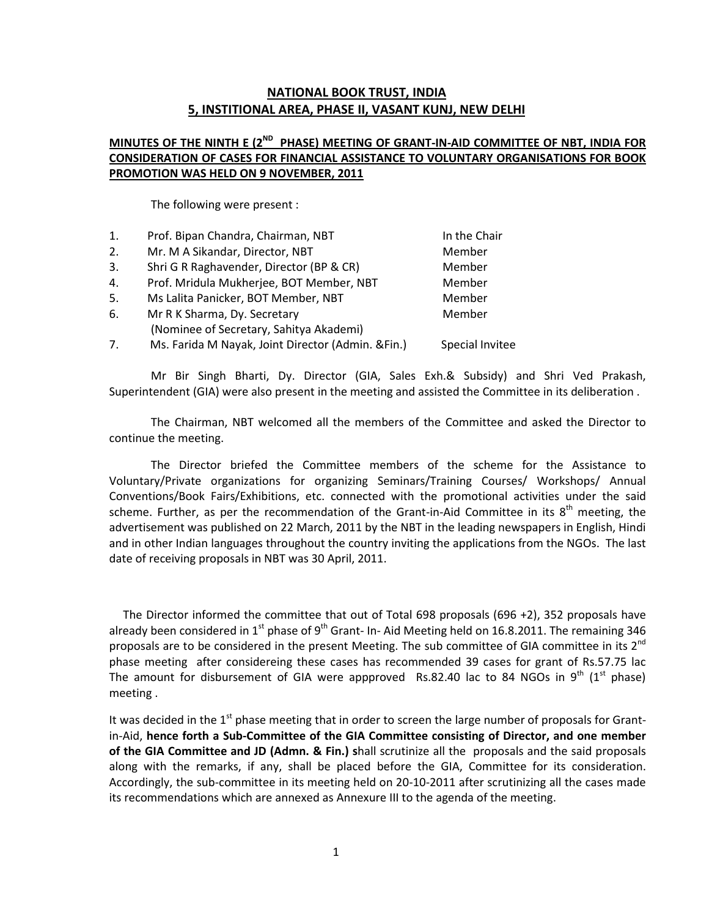#### NATIONAL BOOK TRUST, INDIA 5, INSTITIONAL AREA, PHASE II, VASANT KUNJ, NEW DELHI

#### MINUTES OF THE NINTH E ( $2^{ND}$  PHASE) MEETING OF GRANT-IN-AID COMMITTEE OF NBT, INDIA FOR CONSIDERATION OF CASES FOR FINANCIAL ASSISTANCE TO VOLUNTARY ORGANISATIONS FOR BOOK PROMOTION WAS HELD ON 9 NOVEMBER, 2011

The following were present :

| 1. | Prof. Bipan Chandra, Chairman, NBT                 | In the Chair    |
|----|----------------------------------------------------|-----------------|
| 2. | Mr. M A Sikandar, Director, NBT                    | Member          |
| 3. | Shri G R Raghavender, Director (BP & CR)           | Member          |
| 4. | Prof. Mridula Mukherjee, BOT Member, NBT           | Member          |
| 5. | Ms Lalita Panicker, BOT Member, NBT                | Member          |
| 6. | Mr R K Sharma, Dy. Secretary                       | Member          |
|    | (Nominee of Secretary, Sahitya Akademi)            |                 |
| 7. | Ms. Farida M Nayak, Joint Director (Admin. & Fin.) | Special Invitee |

Mr Bir Singh Bharti, Dy. Director (GIA, Sales Exh.& Subsidy) and Shri Ved Prakash, Superintendent (GIA) were also present in the meeting and assisted the Committee in its deliberation .

The Chairman, NBT welcomed all the members of the Committee and asked the Director to continue the meeting.

The Director briefed the Committee members of the scheme for the Assistance to Voluntary/Private organizations for organizing Seminars/Training Courses/ Workshops/ Annual Conventions/Book Fairs/Exhibitions, etc. connected with the promotional activities under the said scheme. Further, as per the recommendation of the Grant-in-Aid Committee in its  $8<sup>th</sup>$  meeting, the advertisement was published on 22 March, 2011 by the NBT in the leading newspapers in English, Hindi and in other Indian languages throughout the country inviting the applications from the NGOs. The last date of receiving proposals in NBT was 30 April, 2011.

The Director informed the committee that out of Total 698 proposals (696 +2), 352 proposals have already been considered in 1<sup>st</sup> phase of 9<sup>th</sup> Grant- In- Aid Meeting held on 16.8.2011. The remaining 346 proposals are to be considered in the present Meeting. The sub committee of GIA committee in its 2<sup>nd</sup> phase meeting after considereing these cases has recommended 39 cases for grant of Rs.57.75 lac The amount for disbursement of GIA were appproved Rs.82.40 lac to 84 NGOs in  $9<sup>th</sup>$  (1<sup>st</sup> phase) meeting .

It was decided in the  $1<sup>st</sup>$  phase meeting that in order to screen the large number of proposals for Grantin-Aid, hence forth a Sub-Committee of the GIA Committee consisting of Director, and one member of the GIA Committee and JD (Admn. & Fin.) shall scrutinize all the proposals and the said proposals along with the remarks, if any, shall be placed before the GIA, Committee for its consideration. Accordingly, the sub-committee in its meeting held on 20-10-2011 after scrutinizing all the cases made its recommendations which are annexed as Annexure III to the agenda of the meeting.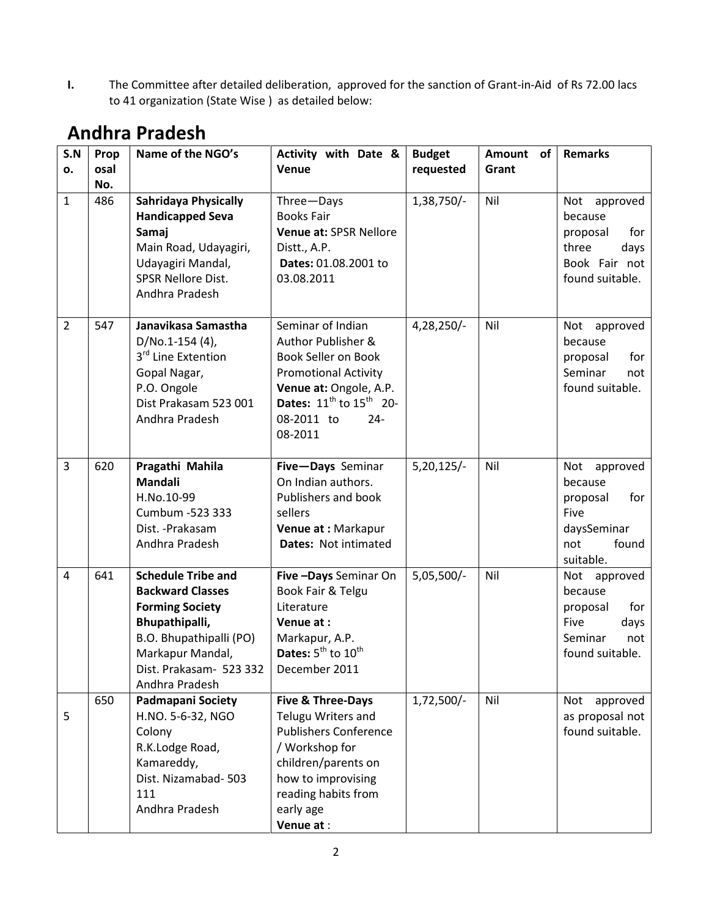I. The Committee after detailed deliberation, approved for the sanction of Grant-in-Aid of Rs 72.00 lacs to 41 organization (State Wise ) as detailed below:

| S.N            | Prop        | Name of the NGO's                                                                                                                                                                            | Activity with Date &                                                                                                                                                                                   | <b>Budget</b> | <b>Amount</b><br>of l | Remarks                                                                                            |
|----------------|-------------|----------------------------------------------------------------------------------------------------------------------------------------------------------------------------------------------|--------------------------------------------------------------------------------------------------------------------------------------------------------------------------------------------------------|---------------|-----------------------|----------------------------------------------------------------------------------------------------|
| о.             | osal<br>No. |                                                                                                                                                                                              | Venue                                                                                                                                                                                                  | requested     | Grant                 |                                                                                                    |
| $\mathbf{1}$   | 486         | <b>Sahridaya Physically</b><br><b>Handicapped Seva</b><br>Samaj<br>Main Road, Udayagiri,<br>Udayagiri Mandal,<br><b>SPSR Nellore Dist.</b><br>Andhra Pradesh                                 | Three-Days<br><b>Books Fair</b><br>Venue at: SPSR Nellore<br>Distt., A.P.<br>Dates: 01.08.2001 to<br>03.08.2011                                                                                        | 1,38,750/-    | Nil                   | Not<br>approved<br>because<br>for<br>proposal<br>three<br>days<br>Book Fair not<br>found suitable. |
| $\overline{2}$ | 547         | Janavikasa Samastha<br>$D/No.1-154(4)$ ,<br>3 <sup>rd</sup> Line Extention<br>Gopal Nagar,<br>P.O. Ongole<br>Dist Prakasam 523 001<br>Andhra Pradesh                                         | Seminar of Indian<br>Author Publisher &<br>Book Seller on Book<br><b>Promotional Activity</b><br>Venue at: Ongole, A.P.<br><b>Dates:</b> $11^{th}$ to $15^{th}$ 20-<br>08-2011 to<br>$24 -$<br>08-2011 | 4,28,250/-    | Nil                   | Not<br>approved<br>because<br>for<br>proposal<br>Seminar<br>not<br>found suitable.                 |
| 3              | 620         | Pragathi Mahila<br>Mandali<br>H.No.10-99<br>Cumbum -523 333<br>Dist. - Prakasam<br>Andhra Pradesh                                                                                            | Five-Days Seminar<br>On Indian authors.<br>Publishers and book<br>sellers<br>Venue at: Markapur<br>Dates: Not intimated                                                                                | $5,20,125/-$  | Nil                   | Not<br>approved<br>because<br>for<br>proposal<br>Five<br>daysSeminar<br>not<br>found<br>suitable.  |
| 4              | 641         | <b>Schedule Tribe and</b><br><b>Backward Classes</b><br><b>Forming Society</b><br>Bhupathipalli,<br>B.O. Bhupathipalli (PO)<br>Markapur Mandal,<br>Dist. Prakasam- 523 332<br>Andhra Pradesh | Five - Days Seminar On<br>Book Fair & Telgu<br>Literature<br>Venue at:<br>Markapur, A.P.<br>Dates: $5^{th}$ to $10^{th}$<br>December 2011                                                              | $5,05,500/-$  | Nil                   | Not<br>approved<br>because<br>for<br>proposal<br>Five<br>days<br>Seminar<br>not<br>found suitable. |
| 5              | 650         | <b>Padmapani Society</b><br>H.NO. 5-6-32, NGO<br>Colony<br>R.K.Lodge Road,<br>Kamareddy,<br>Dist. Nizamabad-503<br>111<br>Andhra Pradesh                                                     | Five & Three-Days<br>Telugu Writers and<br><b>Publishers Conference</b><br>/ Workshop for<br>children/parents on<br>how to improvising<br>reading habits from<br>early age<br>Venue at:                | $1,72,500/-$  | Nil                   | approved<br>Not<br>as proposal not<br>found suitable.                                              |

#### Andhra Pradesh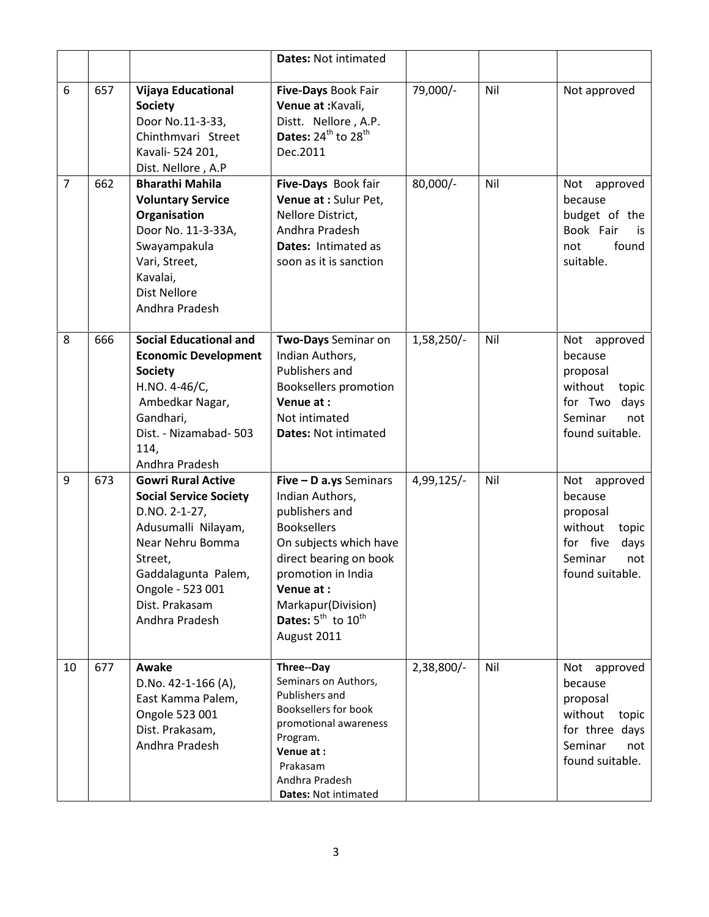|                |     |                                                                                                                                                                                                                  | <b>Dates: Not intimated</b>                                                                                                                                                                                                                   |            |     |                                                                                                                     |
|----------------|-----|------------------------------------------------------------------------------------------------------------------------------------------------------------------------------------------------------------------|-----------------------------------------------------------------------------------------------------------------------------------------------------------------------------------------------------------------------------------------------|------------|-----|---------------------------------------------------------------------------------------------------------------------|
| 6              | 657 | <b>Vijaya Educational</b><br><b>Society</b><br>Door No.11-3-33,<br>Chinthmvari Street<br>Kavali- 524 201,<br>Dist. Nellore, A.P                                                                                  | Five-Days Book Fair<br>Venue at : Kavali,<br>Distt. Nellore, A.P.<br>Dates: $24^{th}$ to $28^{th}$<br>Dec.2011                                                                                                                                | 79,000/-   | Nil | Not approved                                                                                                        |
| $\overline{7}$ | 662 | <b>Bharathi Mahila</b><br><b>Voluntary Service</b><br>Organisation<br>Door No. 11-3-33A,<br>Swayampakula<br>Vari, Street,<br>Kavalai,<br><b>Dist Nellore</b><br>Andhra Pradesh                                   | Five-Days Book fair<br>Venue at : Sulur Pet,<br>Nellore District,<br>Andhra Pradesh<br>Dates: Intimated as<br>soon as it is sanction                                                                                                          | 80,000/-   | Nil | Not approved<br>because<br>budget of the<br>Book Fair<br>is<br>found<br>not<br>suitable.                            |
| 8              | 666 | <b>Social Educational and</b><br><b>Economic Development</b><br><b>Society</b><br>H.NO. 4-46/C,<br>Ambedkar Nagar,<br>Gandhari,<br>Dist. - Nizamabad- 503<br>114,<br>Andhra Pradesh                              | Two-Days Seminar on<br>Indian Authors,<br>Publishers and<br><b>Booksellers promotion</b><br>Venue at:<br>Not intimated<br><b>Dates: Not intimated</b>                                                                                         | 1,58,250/- | Nil | Not<br>approved<br>because<br>proposal<br>without<br>topic<br>for Two<br>days<br>Seminar<br>not<br>found suitable.  |
| 9              | 673 | <b>Gowri Rural Active</b><br><b>Social Service Society</b><br>D.NO. 2-1-27,<br>Adusumalli Nilayam,<br>Near Nehru Bomma<br>Street,<br>Gaddalagunta Palem,<br>Ongole - 523 001<br>Dist. Prakasam<br>Andhra Pradesh | Five - D a.ys Seminars<br>Indian Authors,<br>publishers and<br><b>Booksellers</b><br>On subjects which have<br>direct bearing on book<br>promotion in India<br>Venue at:<br>Markapur(Division)<br>Dates: $5^{th}$ to $10^{th}$<br>August 2011 | 4,99,125/- | Nil | Not<br>approved<br>because<br>proposal<br>without<br>topic<br>for five<br>days<br>Seminar<br>not<br>found suitable. |
| 10             | 677 | Awake<br>D.No. $42-1-166$ (A),<br>East Kamma Palem,<br>Ongole 523 001<br>Dist. Prakasam,<br>Andhra Pradesh                                                                                                       | Three--Day<br>Seminars on Authors,<br>Publishers and<br><b>Booksellers for book</b><br>promotional awareness<br>Program.<br>Venue at:<br>Prakasam<br>Andhra Pradesh<br>Dates: Not intimated                                                   | 2,38,800/- | Nil | Not<br>approved<br>because<br>proposal<br>without<br>topic<br>for three days<br>Seminar<br>not<br>found suitable.   |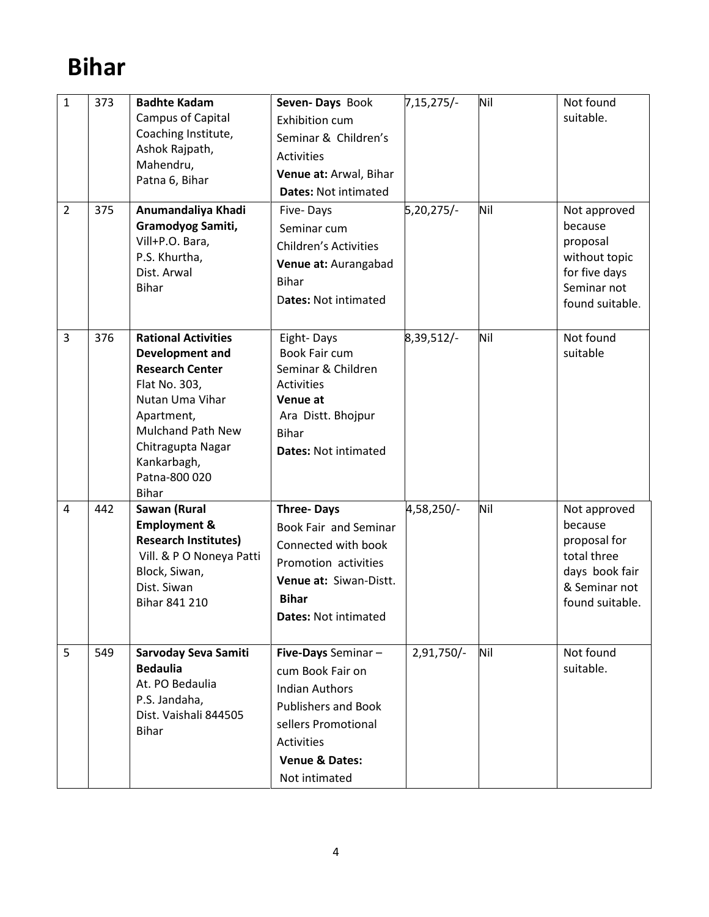# Bihar

| $\mathbf 1$    | 373 | <b>Badhte Kadam</b><br>Campus of Capital<br>Coaching Institute,<br>Ashok Rajpath,<br>Mahendru,<br>Patna 6, Bihar                                                                                                           | Seven-Days Book<br>Exhibition cum<br>Seminar & Children's<br>Activities<br>Venue at: Arwal, Bihar<br><b>Dates: Not intimated</b>                                                        | $7,15,275/-$ | Nil | Not found<br>suitable.                                                                                       |
|----------------|-----|----------------------------------------------------------------------------------------------------------------------------------------------------------------------------------------------------------------------------|-----------------------------------------------------------------------------------------------------------------------------------------------------------------------------------------|--------------|-----|--------------------------------------------------------------------------------------------------------------|
| $\overline{2}$ | 375 | Anumandaliya Khadi<br>Gramodyog Samiti,<br>Vill+P.O. Bara,<br>P.S. Khurtha,<br>Dist. Arwal<br><b>Bihar</b>                                                                                                                 | Five-Days<br>Seminar cum<br><b>Children's Activities</b><br>Venue at: Aurangabad<br><b>Bihar</b><br>Dates: Not intimated                                                                | 5,20,275/-   | Nil | Not approved<br>because<br>proposal<br>without topic<br>for five days<br>Seminar not<br>found suitable.      |
| 3              | 376 | <b>Rational Activities</b><br>Development and<br><b>Research Center</b><br>Flat No. 303,<br>Nutan Uma Vihar<br>Apartment,<br><b>Mulchand Path New</b><br>Chitragupta Nagar<br>Kankarbagh,<br>Patna-800 020<br><b>Bihar</b> | Eight-Days<br>Book Fair cum<br>Seminar & Children<br>Activities<br>Venue at<br>Ara Distt. Bhojpur<br><b>Bihar</b><br><b>Dates: Not intimated</b>                                        | 8,39,512/-   | Nil | Not found<br>suitable                                                                                        |
| 4              | 442 | Sawan (Rural<br><b>Employment &amp;</b><br><b>Research Institutes)</b><br>Vill. & P O Noneya Patti<br>Block, Siwan,<br>Dist. Siwan<br>Bihar 841 210                                                                        | <b>Three-Days</b><br><b>Book Fair and Seminar</b><br>Connected with book<br>Promotion activities<br>Venue at: Siwan-Distt.<br><b>Bihar</b><br><b>Dates: Not intimated</b>               | 4,58,250/-   | Nil | Not approved<br>because<br>proposal for<br>total three<br>days book fair<br>& Seminar not<br>found suitable. |
| 5              | 549 | Sarvoday Seva Samiti<br><b>Bedaulia</b><br>At. PO Bedaulia<br>P.S. Jandaha,<br>Dist. Vaishali 844505<br><b>Bihar</b>                                                                                                       | Five-Days Seminar-<br>cum Book Fair on<br><b>Indian Authors</b><br><b>Publishers and Book</b><br>sellers Promotional<br><b>Activities</b><br><b>Venue &amp; Dates:</b><br>Not intimated | 2,91,750/-   | Nil | Not found<br>suitable.                                                                                       |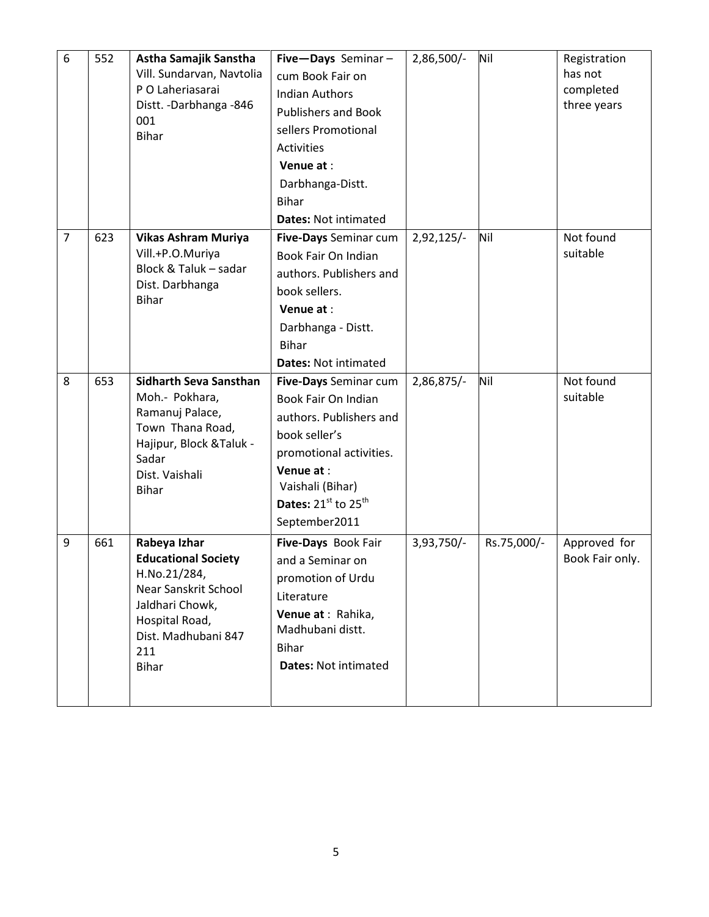| $\sqrt{6}$     | 552 | Astha Samajik Sanstha<br>Vill. Sundarvan, Navtolia<br>P O Laheriasarai<br>Distt. - Darbhanga - 846<br>001<br><b>Bihar</b>                                             | Five-Days Seminar-<br>cum Book Fair on<br><b>Indian Authors</b><br><b>Publishers and Book</b><br>sellers Promotional<br>Activities<br>Venue at:<br>Darbhanga-Distt.<br><b>Bihar</b><br><b>Dates: Not intimated</b> | 2,86,500/- | Nil         | Registration<br>has not<br>completed<br>three years |
|----------------|-----|-----------------------------------------------------------------------------------------------------------------------------------------------------------------------|--------------------------------------------------------------------------------------------------------------------------------------------------------------------------------------------------------------------|------------|-------------|-----------------------------------------------------|
| $\overline{7}$ | 623 | <b>Vikas Ashram Muriya</b><br>Vill.+P.O.Muriya<br>Block & Taluk - sadar<br>Dist. Darbhanga<br><b>Bihar</b>                                                            | Five-Days Seminar cum<br>Book Fair On Indian<br>authors. Publishers and<br>book sellers.<br>Venue at:<br>Darbhanga - Distt.<br><b>Bihar</b><br><b>Dates: Not intimated</b>                                         | 2,92,125/- | Nil         | Not found<br>suitable                               |
| 8              | 653 | <b>Sidharth Seva Sansthan</b><br>Moh.- Pokhara,<br>Ramanuj Palace,<br>Town Thana Road,<br>Hajipur, Block & Taluk -<br>Sadar<br>Dist. Vaishali<br><b>Bihar</b>         | Five-Days Seminar cum<br>Book Fair On Indian<br>authors. Publishers and<br>book seller's<br>promotional activities.<br>Venue at:<br>Vaishali (Bihar)<br>Dates: 21st to 25 <sup>th</sup><br>September2011           | 2,86,875/- | Nil         | Not found<br>suitable                               |
| 9              | 661 | Rabeya Izhar<br><b>Educational Society</b><br>H.No.21/284,<br>Near Sanskrit School<br>Jaldhari Chowk,<br>Hospital Road,<br>Dist. Madhubani 847<br>211<br><b>Bihar</b> | Five-Days Book Fair<br>and a Seminar on<br>promotion of Urdu<br>Literature<br>Venue at : Rahika,<br>Madhubani distt.<br><b>Bihar</b><br><b>Dates: Not intimated</b>                                                | 3,93,750/- | Rs.75,000/- | Approved for<br>Book Fair only.                     |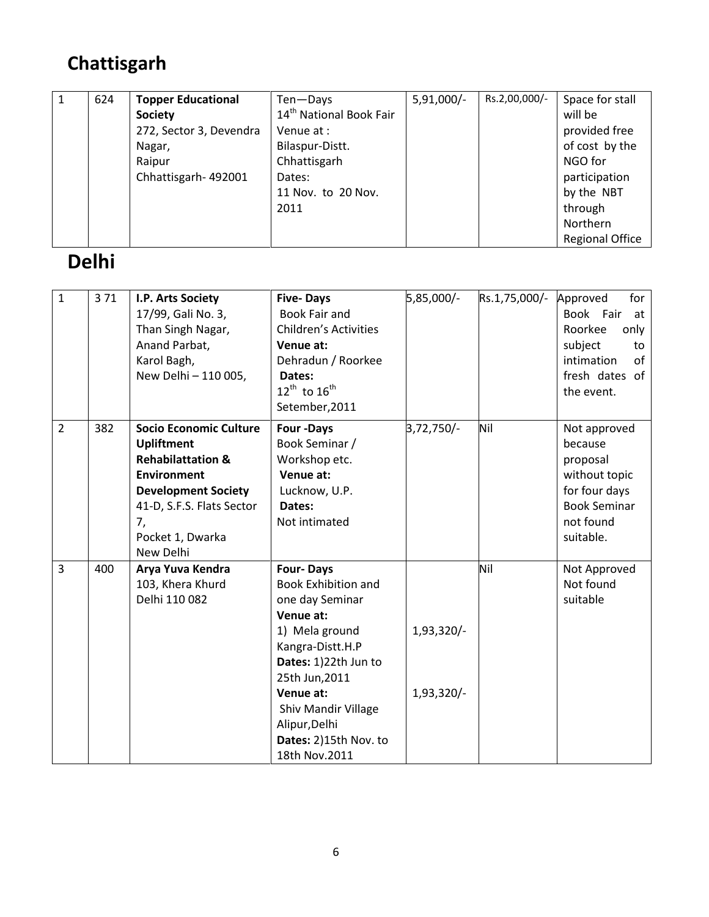# Chattisgarh

| 1 | 624 | <b>Topper Educational</b> | Ten-Days                            | $5,91,000/-$ | Rs.2,00,000/- | Space for stall        |
|---|-----|---------------------------|-------------------------------------|--------------|---------------|------------------------|
|   |     | <b>Society</b>            | 14 <sup>th</sup> National Book Fair |              |               | will be                |
|   |     | 272, Sector 3, Devendra   | Venue at :                          |              |               | provided free          |
|   |     | Nagar,                    | Bilaspur-Distt.                     |              |               | of cost by the         |
|   |     | Raipur                    | Chhattisgarh                        |              |               | NGO for                |
|   |     | Chhattisgarh-492001       | Dates:                              |              |               | participation          |
|   |     |                           | 11 Nov. to 20 Nov.                  |              |               | by the NBT             |
|   |     |                           | 2011                                |              |               | through                |
|   |     |                           |                                     |              |               | Northern               |
|   |     |                           |                                     |              |               | <b>Regional Office</b> |

### Delhi

| $\mathbf{1}$   | 371 | I.P. Arts Society<br>17/99, Gali No. 3,<br>Than Singh Nagar,<br>Anand Parbat,<br>Karol Bagh,<br>New Delhi - 110 005,                                                                                       | <b>Five-Days</b><br><b>Book Fair and</b><br><b>Children's Activities</b><br>Venue at:<br>Dehradun / Roorkee<br>Dates:<br>$12^{\text{th}}$ to $16^{\text{th}}$<br>Setember, 2011                                                                               | 5,85,000/-               | Rs.1,75,000/- | for<br>Approved<br>Book Fair<br>at<br>Roorkee<br>only<br>subject<br>to<br>intimation<br>of<br>fresh dates of<br>the event. |
|----------------|-----|------------------------------------------------------------------------------------------------------------------------------------------------------------------------------------------------------------|---------------------------------------------------------------------------------------------------------------------------------------------------------------------------------------------------------------------------------------------------------------|--------------------------|---------------|----------------------------------------------------------------------------------------------------------------------------|
| $\overline{2}$ | 382 | <b>Socio Economic Culture</b><br><b>Upliftment</b><br><b>Rehabilattation &amp;</b><br><b>Environment</b><br><b>Development Society</b><br>41-D, S.F.S. Flats Sector<br>7,<br>Pocket 1, Dwarka<br>New Delhi | Four -Days<br>Book Seminar /<br>Workshop etc.<br>Venue at:<br>Lucknow, U.P.<br>Dates:<br>Not intimated                                                                                                                                                        | $3,72,750/-$             | Nil           | Not approved<br>because<br>proposal<br>without topic<br>for four days<br><b>Book Seminar</b><br>not found<br>suitable.     |
| 3              | 400 | Arya Yuva Kendra<br>103, Khera Khurd<br>Delhi 110 082                                                                                                                                                      | <b>Four-Days</b><br><b>Book Exhibition and</b><br>one day Seminar<br>Venue at:<br>1) Mela ground<br>Kangra-Distt.H.P<br>Dates: 1)22th Jun to<br>25th Jun, 2011<br>Venue at:<br>Shiv Mandir Village<br>Alipur, Delhi<br>Dates: 2)15th Nov. to<br>18th Nov.2011 | 1,93,320/-<br>1,93,320/- | Nil           | Not Approved<br>Not found<br>suitable                                                                                      |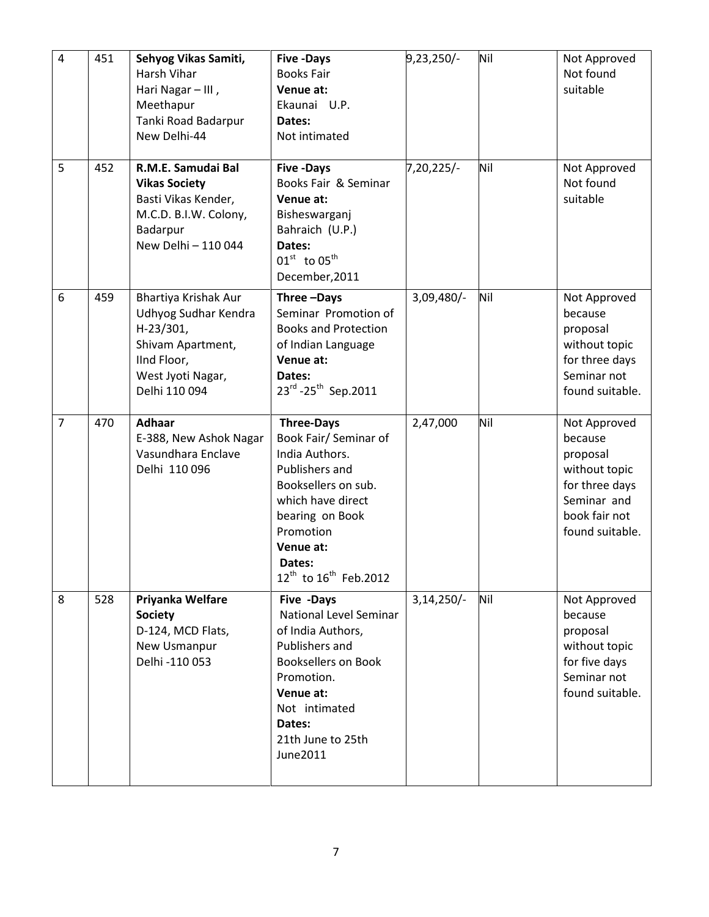| $\overline{4}$ | 451 | Sehyog Vikas Samiti,<br>Harsh Vihar<br>Hari Nagar - III,<br>Meethapur<br>Tanki Road Badarpur<br>New Delhi-44                          | <b>Five -Days</b><br><b>Books Fair</b><br>Venue at:<br>Ekaunai U.P.<br>Dates:<br>Not intimated                                                                                                                                     | 9,23,250/-   | Nil | Not Approved<br>Not found<br>suitable                                                                                     |
|----------------|-----|---------------------------------------------------------------------------------------------------------------------------------------|------------------------------------------------------------------------------------------------------------------------------------------------------------------------------------------------------------------------------------|--------------|-----|---------------------------------------------------------------------------------------------------------------------------|
| 5              | 452 | R.M.E. Samudai Bal<br><b>Vikas Society</b><br>Basti Vikas Kender,<br>M.C.D. B.I.W. Colony,<br>Badarpur<br>New Delhi - 110 044         | <b>Five -Days</b><br>Books Fair & Seminar<br>Venue at:<br>Bisheswarganj<br>Bahraich (U.P.)<br>Dates:<br>$01^{\text{st}}$ to $05^{\text{th}}$<br>December, 2011                                                                     | $7,20,225/-$ | Nil | Not Approved<br>Not found<br>suitable                                                                                     |
| 6              | 459 | Bhartiya Krishak Aur<br>Udhyog Sudhar Kendra<br>$H-23/301,$<br>Shivam Apartment,<br>IInd Floor,<br>West Jyoti Nagar,<br>Delhi 110 094 | Three-Days<br>Seminar Promotion of<br><b>Books and Protection</b><br>of Indian Language<br>Venue at:<br>Dates:<br>23rd - 25 <sup>th</sup> Sep. 2011                                                                                | 3,09,480/-   | Nil | Not Approved<br>because<br>proposal<br>without topic<br>for three days<br>Seminar not<br>found suitable.                  |
| $\overline{7}$ | 470 | <b>Adhaar</b><br>E-388, New Ashok Nagar<br>Vasundhara Enclave<br>Delhi 110 096                                                        | <b>Three-Days</b><br>Book Fair/ Seminar of<br>India Authors.<br>Publishers and<br>Booksellers on sub.<br>which have direct<br>bearing on Book<br>Promotion<br>Venue at:<br>Dates:<br>12 <sup>th</sup> to 16 <sup>th</sup> Feb.2012 | 2,47,000     | Nil | Not Approved<br>because<br>proposal<br>without topic<br>for three days<br>Seminar and<br>book fair not<br>found suitable. |
| 8              | 528 | Priyanka Welfare<br><b>Society</b><br>D-124, MCD Flats,<br>New Usmanpur<br>Delhi -110 053                                             | Five -Days<br>National Level Seminar<br>of India Authors,<br>Publishers and<br><b>Booksellers on Book</b><br>Promotion.<br>Venue at:<br>Not intimated<br>Dates:<br>21th June to 25th<br>June2011                                   | $3,14,250/-$ | Nil | Not Approved<br>because<br>proposal<br>without topic<br>for five days<br>Seminar not<br>found suitable.                   |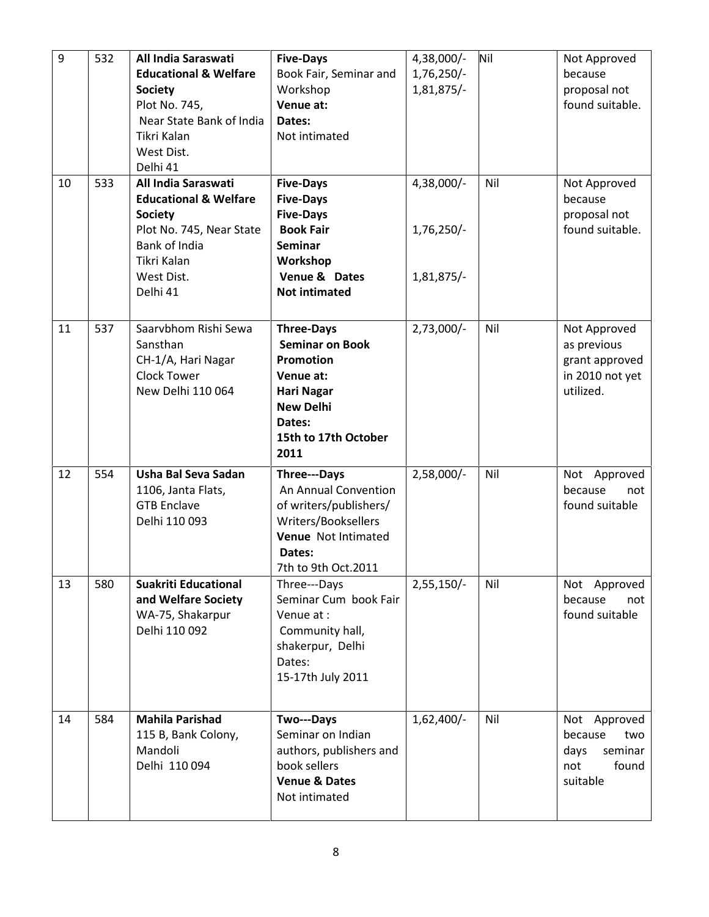| 9  | 532 | All India Saraswati<br><b>Educational &amp; Welfare</b><br><b>Society</b><br>Plot No. 745,<br>Near State Bank of India<br>Tikri Kalan<br>West Dist.<br>Delhi 41 | <b>Five-Days</b><br>Book Fair, Seminar and<br>Workshop<br>Venue at:<br>Dates:<br>Not intimated                                                                  | 4,38,000/-<br>1,76,250/-<br>1,81,875/- | Nil | Not Approved<br>because<br>proposal not<br>found suitable.                    |
|----|-----|-----------------------------------------------------------------------------------------------------------------------------------------------------------------|-----------------------------------------------------------------------------------------------------------------------------------------------------------------|----------------------------------------|-----|-------------------------------------------------------------------------------|
| 10 | 533 | All India Saraswati<br><b>Educational &amp; Welfare</b><br><b>Society</b><br>Plot No. 745, Near State<br>Bank of India<br>Tikri Kalan<br>West Dist.<br>Delhi 41 | <b>Five-Days</b><br><b>Five-Days</b><br><b>Five-Days</b><br><b>Book Fair</b><br><b>Seminar</b><br>Workshop<br>Venue & Dates<br><b>Not intimated</b>             | 4,38,000/-<br>1,76,250/-<br>1,81,875/- | Nil | Not Approved<br>because<br>proposal not<br>found suitable.                    |
| 11 | 537 | Saarvbhom Rishi Sewa<br>Sansthan<br>CH-1/A, Hari Nagar<br><b>Clock Tower</b><br>New Delhi 110 064                                                               | <b>Three-Days</b><br><b>Seminar on Book</b><br><b>Promotion</b><br>Venue at:<br><b>Hari Nagar</b><br><b>New Delhi</b><br>Dates:<br>15th to 17th October<br>2011 | $2,73,000/-$                           | Nil | Not Approved<br>as previous<br>grant approved<br>in 2010 not yet<br>utilized. |
| 12 | 554 | Usha Bal Seva Sadan<br>1106, Janta Flats,<br><b>GTB Enclave</b><br>Delhi 110 093                                                                                | Three---Days<br>An Annual Convention<br>of writers/publishers/<br>Writers/Booksellers<br>Venue Not Intimated<br>Dates:<br>7th to 9th Oct.2011                   | $2,58,000/-$                           | Nil | Not Approved<br>because<br>not<br>found suitable                              |
| 13 | 580 | <b>Suakriti Educational</b><br>and Welfare Society<br>WA-75, Shakarpur<br>Delhi 110 092                                                                         | Three---Days<br>Seminar Cum book Fair<br>Venue at:<br>Community hall,<br>shakerpur, Delhi<br>Dates:<br>15-17th July 2011                                        | $2,55,150/-$                           | Nil | Not Approved<br>because<br>not<br>found suitable                              |
| 14 | 584 | <b>Mahila Parishad</b><br>115 B, Bank Colony,<br>Mandoli<br>Delhi 110 094                                                                                       | Two---Days<br>Seminar on Indian<br>authors, publishers and<br>book sellers<br><b>Venue &amp; Dates</b><br>Not intimated                                         | $1,62,400/-$                           | Nil | Not Approved<br>because<br>two<br>seminar<br>days<br>not<br>found<br>suitable |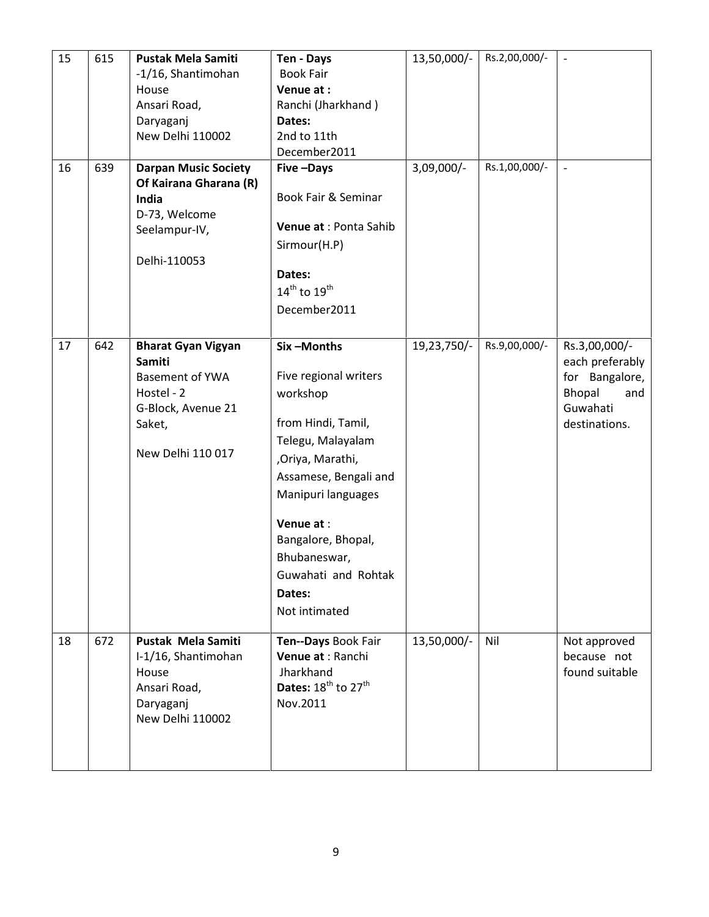| 15 | 615 | <b>Pustak Mela Samiti</b>   | Ten - Days                                  | 13,50,000/- | Rs.2,00,000/- | $\overline{\phantom{a}}$     |
|----|-----|-----------------------------|---------------------------------------------|-------------|---------------|------------------------------|
|    |     | -1/16, Shantimohan          | <b>Book Fair</b>                            |             |               |                              |
|    |     | House                       | Venue at:                                   |             |               |                              |
|    |     | Ansari Road,                | Ranchi (Jharkhand)                          |             |               |                              |
|    |     | Daryaganj                   | Dates:                                      |             |               |                              |
|    |     | New Delhi 110002            | 2nd to 11th                                 |             |               |                              |
|    |     |                             | December2011                                |             |               |                              |
| 16 | 639 | <b>Darpan Music Society</b> | Five-Days                                   | 3,09,000/-  | Rs.1,00,000/- | $\qquad \qquad \blacksquare$ |
|    |     | Of Kairana Gharana (R)      |                                             |             |               |                              |
|    |     | India                       | Book Fair & Seminar                         |             |               |                              |
|    |     | D-73, Welcome               |                                             |             |               |                              |
|    |     | Seelampur-IV,               | Venue at : Ponta Sahib                      |             |               |                              |
|    |     |                             | Sirmour(H.P)                                |             |               |                              |
|    |     | Delhi-110053                |                                             |             |               |                              |
|    |     |                             | Dates:                                      |             |               |                              |
|    |     |                             | $14^{th}$ to $19^{th}$                      |             |               |                              |
|    |     |                             | December2011                                |             |               |                              |
|    |     |                             |                                             |             |               |                              |
| 17 | 642 | <b>Bharat Gyan Vigyan</b>   | Six-Months                                  | 19,23,750/- | Rs.9,00,000/- | Rs.3,00,000/-                |
|    |     | <b>Samiti</b>               |                                             |             |               | each preferably              |
|    |     | <b>Basement of YWA</b>      | Five regional writers                       |             |               | for Bangalore,               |
|    |     | Hostel - 2                  | workshop                                    |             |               | Bhopal<br>and                |
|    |     | G-Block, Avenue 21          |                                             |             |               | Guwahati                     |
|    |     | Saket,                      | from Hindi, Tamil,                          |             |               | destinations.                |
|    |     |                             |                                             |             |               |                              |
|    |     | New Delhi 110 017           | Telegu, Malayalam                           |             |               |                              |
|    |     |                             | ,Oriya, Marathi,                            |             |               |                              |
|    |     |                             | Assamese, Bengali and                       |             |               |                              |
|    |     |                             | Manipuri languages                          |             |               |                              |
|    |     |                             | Venue at:                                   |             |               |                              |
|    |     |                             | Bangalore, Bhopal,                          |             |               |                              |
|    |     |                             |                                             |             |               |                              |
|    |     |                             | Bhubaneswar,                                |             |               |                              |
|    |     |                             | Guwahati and Rohtak                         |             |               |                              |
|    |     |                             | Dates:                                      |             |               |                              |
|    |     |                             | Not intimated                               |             |               |                              |
|    |     |                             |                                             |             |               |                              |
| 18 | 672 | <b>Pustak Mela Samiti</b>   | Ten--Days Book Fair                         | 13,50,000/- | Nil           | Not approved                 |
|    |     | I-1/16, Shantimohan         | Venue at : Ranchi                           |             |               | because not                  |
|    |     | House                       | Jharkhand                                   |             |               | found suitable               |
|    |     | Ansari Road,                | Dates: 18 <sup>th</sup> to 27 <sup>th</sup> |             |               |                              |
|    |     | Daryaganj                   | Nov.2011                                    |             |               |                              |
|    |     | New Delhi 110002            |                                             |             |               |                              |
|    |     |                             |                                             |             |               |                              |
|    |     |                             |                                             |             |               |                              |
|    |     |                             |                                             |             |               |                              |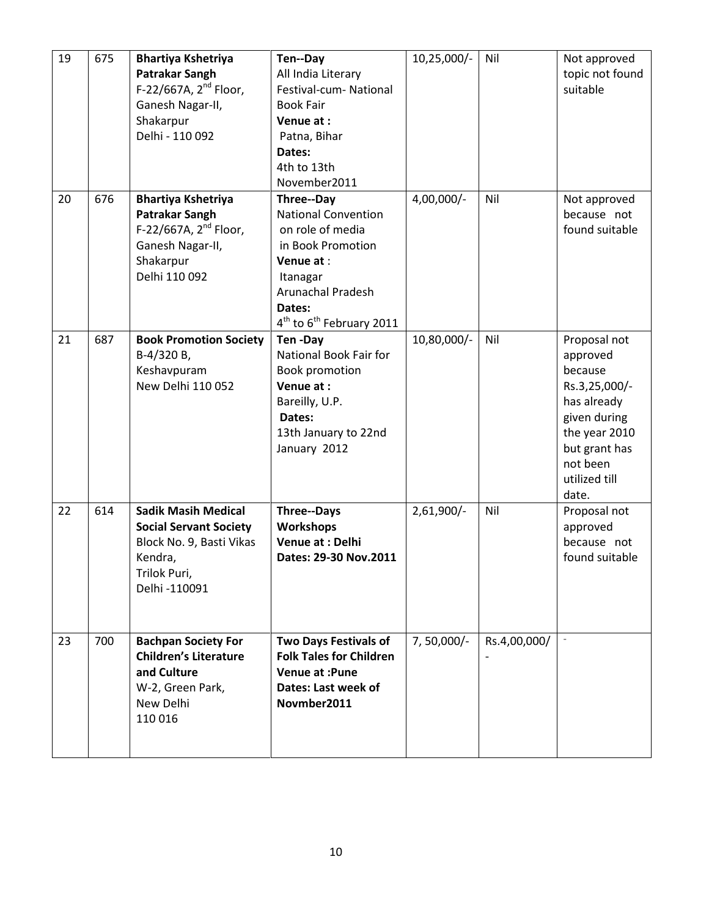| 19 | 675 | <b>Bhartiya Kshetriya</b><br><b>Patrakar Sangh</b><br>F-22/667A, 2 <sup>nd</sup> Floor,<br>Ganesh Nagar-II,<br>Shakarpur<br>Delhi - 110 092 | Ten--Day<br>All India Literary<br>Festival-cum- National<br><b>Book Fair</b><br>Venue at:<br>Patna, Bihar<br>Dates:<br>4th to 13th<br>November2011                                                          | 10,25,000/-  | Nil          | Not approved<br>topic not found<br>suitable                                                                                                                 |
|----|-----|---------------------------------------------------------------------------------------------------------------------------------------------|-------------------------------------------------------------------------------------------------------------------------------------------------------------------------------------------------------------|--------------|--------------|-------------------------------------------------------------------------------------------------------------------------------------------------------------|
| 20 | 676 | <b>Bhartiya Kshetriya</b><br><b>Patrakar Sangh</b><br>F-22/667A, $2^{nd}$ Floor,<br>Ganesh Nagar-II,<br>Shakarpur<br>Delhi 110 092          | <b>Three--Day</b><br><b>National Convention</b><br>on role of media<br>in Book Promotion<br>Venue at:<br>Itanagar<br><b>Arunachal Pradesh</b><br>Dates:<br>4 <sup>th</sup> to 6 <sup>th</sup> February 2011 | 4,00,000/-   | Nil          | Not approved<br>because not<br>found suitable                                                                                                               |
| 21 | 687 | <b>Book Promotion Society</b><br>B-4/320 B,<br>Keshavpuram<br>New Delhi 110 052                                                             | Ten-Day<br>National Book Fair for<br>Book promotion<br>Venue at:<br>Bareilly, U.P.<br>Dates:<br>13th January to 22nd<br>January 2012                                                                        | 10,80,000/-  | Nil          | Proposal not<br>approved<br>because<br>Rs.3,25,000/-<br>has already<br>given during<br>the year 2010<br>but grant has<br>not been<br>utilized till<br>date. |
| 22 | 614 | <b>Sadik Masih Medical</b><br><b>Social Servant Society</b><br>Block No. 9, Basti Vikas<br>Kendra,<br>Trilok Puri,<br>Delhi -110091         | <b>Three--Days</b><br><b>Workshops</b><br>Venue at : Delhi<br>Dates: 29-30 Nov.2011                                                                                                                         | $2,61,900/-$ | Nil          | Proposal not<br>approved<br>because not<br>found suitable                                                                                                   |
| 23 | 700 | <b>Bachpan Society For</b><br><b>Children's Literature</b><br>and Culture<br>W-2, Green Park,<br>New Delhi<br>110 016                       | <b>Two Days Festivals of</b><br><b>Folk Tales for Children</b><br><b>Venue at :Pune</b><br>Dates: Last week of<br>Novmber2011                                                                               | 7,50,000/-   | Rs.4,00,000/ |                                                                                                                                                             |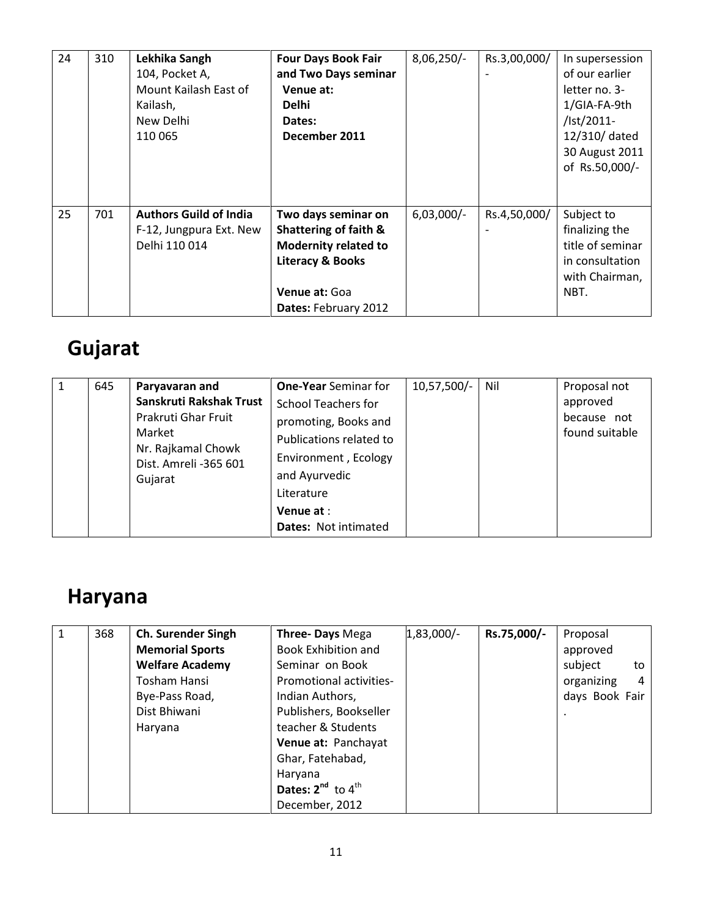| 24 | 310 | Lekhika Sangh<br>104, Pocket A,<br>Mount Kailash East of<br>Kailash,<br>New Delhi<br>110 065 | <b>Four Days Book Fair</b><br>and Two Days seminar<br>Venue at:<br><b>Delhi</b><br>Dates:<br>December 2011                                          | $8,06,250/-$ | Rs.3,00,000/ | In supersession<br>of our earlier<br>letter no. 3-<br>1/GIA-FA-9th<br>/lst/2011-<br>12/310/ dated<br>30 August 2011<br>of Rs.50,000/- |
|----|-----|----------------------------------------------------------------------------------------------|-----------------------------------------------------------------------------------------------------------------------------------------------------|--------------|--------------|---------------------------------------------------------------------------------------------------------------------------------------|
| 25 | 701 | <b>Authors Guild of India</b><br>F-12, Jungpura Ext. New<br>Delhi 110 014                    | Two days seminar on<br>Shattering of faith &<br><b>Modernity related to</b><br><b>Literacy &amp; Books</b><br>Venue at: Goa<br>Dates: February 2012 | $6,03,000/-$ | Rs.4,50,000/ | Subject to<br>finalizing the<br>title of seminar<br>in consultation<br>with Chairman,<br>NBT.                                         |

# Gujarat

|  | 645 | Paryavaran and<br>Sanskruti Rakshak Trust<br>Prakruti Ghar Fruit<br>Market<br>Nr. Rajkamal Chowk<br>Dist. Amreli -365 601<br>Gujarat | <b>One-Year</b> Seminar for<br>School Teachers for<br>promoting, Books and<br>Publications related to<br>Environment, Ecology<br>and Ayurvedic<br>Literature<br>Venue at :<br><b>Dates: Not intimated</b> | $10,57,500/-$ | Nil | Proposal not<br>approved<br>because not<br>found suitable |
|--|-----|--------------------------------------------------------------------------------------------------------------------------------------|-----------------------------------------------------------------------------------------------------------------------------------------------------------------------------------------------------------|---------------|-----|-----------------------------------------------------------|
|--|-----|--------------------------------------------------------------------------------------------------------------------------------------|-----------------------------------------------------------------------------------------------------------------------------------------------------------------------------------------------------------|---------------|-----|-----------------------------------------------------------|

# Haryana

| 1 | 368 | <b>Ch. Surender Singh</b> | Three- Days Mega            | $1,83,000/-$ | Rs.75,000/- | Proposal        |
|---|-----|---------------------------|-----------------------------|--------------|-------------|-----------------|
|   |     | <b>Memorial Sports</b>    | <b>Book Exhibition and</b>  |              |             | approved        |
|   |     | <b>Welfare Academy</b>    | Seminar on Book             |              |             | subject<br>to   |
|   |     | Tosham Hansi              | Promotional activities-     |              |             | organizing<br>4 |
|   |     | Bye-Pass Road,            | Indian Authors,             |              |             | days Book Fair  |
|   |     | Dist Bhiwani              | Publishers, Bookseller      |              |             |                 |
|   |     | Haryana                   | teacher & Students          |              |             |                 |
|   |     |                           | Venue at: Panchayat         |              |             |                 |
|   |     |                           | Ghar, Fatehabad,            |              |             |                 |
|   |     |                           | Haryana                     |              |             |                 |
|   |     |                           | Dates: $2^{nd}$ to $4^{th}$ |              |             |                 |
|   |     |                           | December, 2012              |              |             |                 |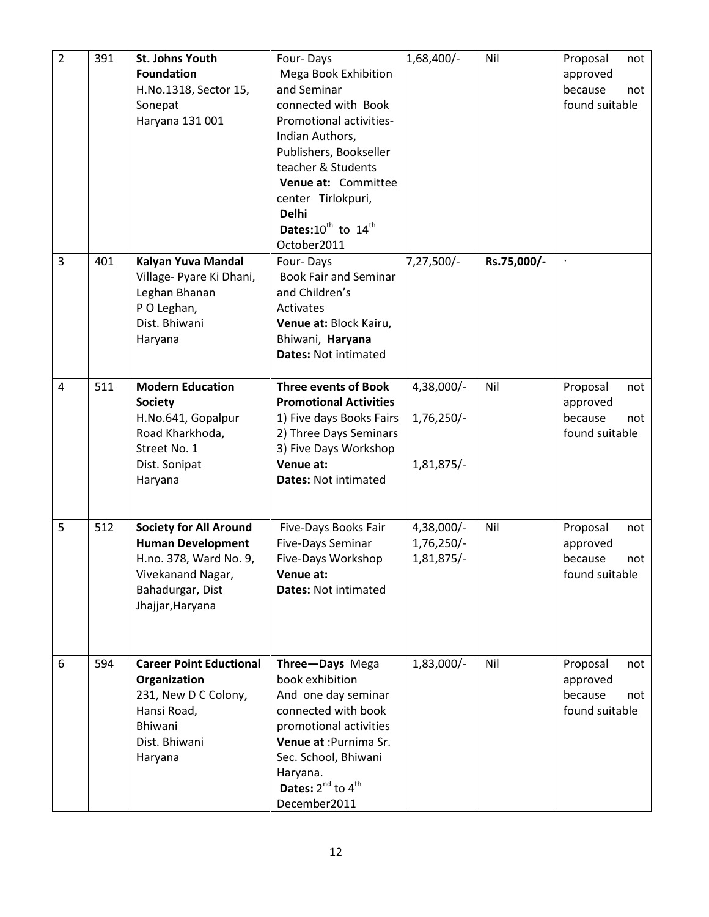| $\overline{2}$ | 391 | <b>St. Johns Youth</b><br><b>Foundation</b><br>H.No.1318, Sector 15,<br>Sonepat<br>Haryana 131 001                                               | Four-Days<br>Mega Book Exhibition<br>and Seminar<br>connected with Book<br>Promotional activities-<br>Indian Authors,<br>Publishers, Bookseller<br>teacher & Students<br>Venue at: Committee<br>center Tirlokpuri,<br><b>Delhi</b><br>Dates: $10^{th}$ to $14^{th}$<br>October2011 | 1,68,400/-                               | Nil         | Proposal<br>not<br>approved<br>because<br>not<br>found suitable |
|----------------|-----|--------------------------------------------------------------------------------------------------------------------------------------------------|------------------------------------------------------------------------------------------------------------------------------------------------------------------------------------------------------------------------------------------------------------------------------------|------------------------------------------|-------------|-----------------------------------------------------------------|
| $\overline{3}$ | 401 | Kalyan Yuva Mandal<br>Village- Pyare Ki Dhani,<br>Leghan Bhanan<br>P O Leghan,<br>Dist. Bhiwani<br>Haryana                                       | Four-Days<br><b>Book Fair and Seminar</b><br>and Children's<br>Activates<br>Venue at: Block Kairu,<br>Bhiwani, Haryana<br><b>Dates: Not intimated</b>                                                                                                                              | 7,27,500/-                               | Rs.75,000/- |                                                                 |
| $\overline{4}$ | 511 | <b>Modern Education</b><br><b>Society</b><br>H.No.641, Gopalpur<br>Road Kharkhoda,<br>Street No. 1<br>Dist. Sonipat<br>Haryana                   | <b>Three events of Book</b><br><b>Promotional Activities</b><br>1) Five days Books Fairs<br>2) Three Days Seminars<br>3) Five Days Workshop<br>Venue at:<br>Dates: Not intimated                                                                                                   | 4,38,000/-<br>1,76,250/-<br>1,81,875/-   | Nil         | Proposal<br>not<br>approved<br>because<br>not<br>found suitable |
| 5              | 512 | <b>Society for All Around</b><br><b>Human Development</b><br>H.no. 378, Ward No. 9,<br>Vivekanand Nagar,<br>Bahadurgar, Dist<br>Jhajjar, Haryana | Five-Days Books Fair<br>Five-Days Seminar<br>Five-Days Workshop<br>Venue at:<br><b>Dates: Not intimated</b>                                                                                                                                                                        | 4,38,000/-<br>$1,76,250/-$<br>1,81,875/- | Nil         | Proposal<br>not<br>approved<br>because<br>not<br>found suitable |
| 6              | 594 | <b>Career Point Eductional</b><br>Organization<br>231, New D C Colony,<br>Hansi Road,<br>Bhiwani<br>Dist. Bhiwani<br>Haryana                     | Three-Days Mega<br>book exhibition<br>And one day seminar<br>connected with book<br>promotional activities<br>Venue at : Purnima Sr.<br>Sec. School, Bhiwani<br>Haryana.<br>Dates: 2 <sup>nd</sup> to 4 <sup>th</sup><br>December2011                                              | $1,83,000/-$                             | Nil         | Proposal<br>not<br>approved<br>because<br>not<br>found suitable |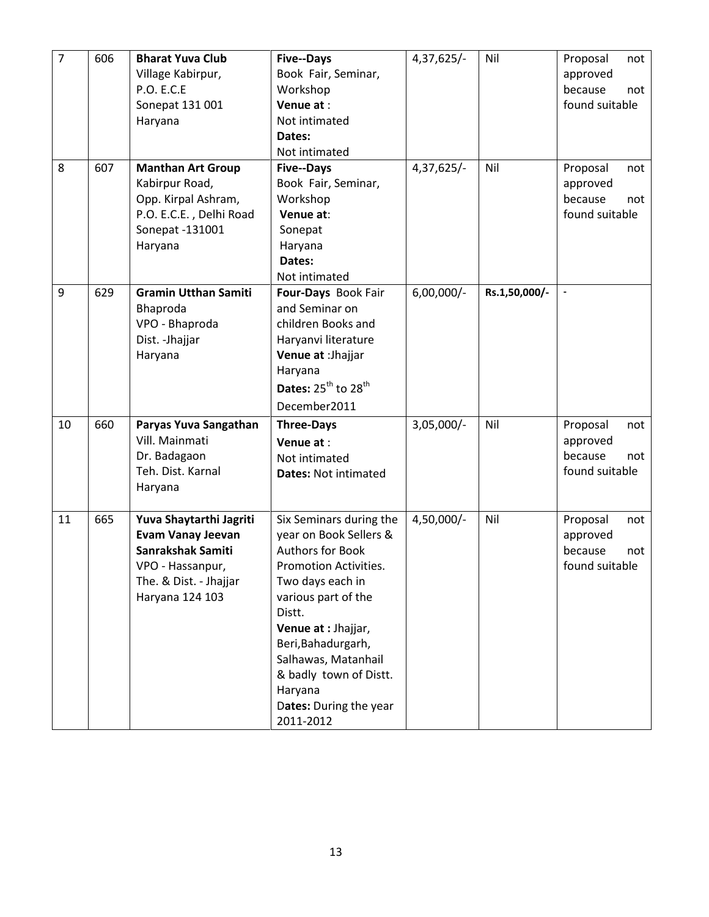| $\overline{7}$ | 606 | <b>Bharat Yuva Club</b>     | <b>Five--Days</b>             | $4,37,625/-$ | Nil           | Proposal<br>not |
|----------------|-----|-----------------------------|-------------------------------|--------------|---------------|-----------------|
|                |     | Village Kabirpur,           | Book Fair, Seminar,           |              |               | approved        |
|                |     | <b>P.O. E.C.E</b>           | Workshop                      |              |               | because<br>not  |
|                |     | Sonepat 131 001             | Venue at:                     |              |               | found suitable  |
|                |     | Haryana                     | Not intimated                 |              |               |                 |
|                |     |                             | Dates:                        |              |               |                 |
|                |     |                             | Not intimated                 |              |               |                 |
| 8              | 607 | <b>Manthan Art Group</b>    | <b>Five--Days</b>             | 4,37,625/-   | Nil           | Proposal<br>not |
|                |     | Kabirpur Road,              | Book Fair, Seminar,           |              |               | approved        |
|                |     | Opp. Kirpal Ashram,         | Workshop                      |              |               | because<br>not  |
|                |     | P.O. E.C.E., Delhi Road     | Venue at:                     |              |               | found suitable  |
|                |     | Sonepat -131001             | Sonepat                       |              |               |                 |
|                |     | Haryana                     | Haryana                       |              |               |                 |
|                |     |                             | Dates:                        |              |               |                 |
|                |     |                             | Not intimated                 |              |               |                 |
| 9              | 629 | <b>Gramin Utthan Samiti</b> | Four-Days Book Fair           | $6,00,000/-$ | Rs.1,50,000/- |                 |
|                |     | Bhaproda                    | and Seminar on                |              |               |                 |
|                |     | VPO - Bhaproda              | children Books and            |              |               |                 |
|                |     | Dist. - Jhajjar             | Haryanvi literature           |              |               |                 |
|                |     | Haryana                     | Venue at : Jhajjar            |              |               |                 |
|                |     |                             | Haryana                       |              |               |                 |
|                |     |                             | Dates: $25^{th}$ to $28^{th}$ |              |               |                 |
|                |     |                             | December2011                  |              |               |                 |
| 10             | 660 | Paryas Yuva Sangathan       | <b>Three-Days</b>             | $3,05,000/-$ | Nil           | Proposal<br>not |
|                |     | Vill. Mainmati              | Venue at:                     |              |               | approved        |
|                |     | Dr. Badagaon                | Not intimated                 |              |               | because<br>not  |
|                |     | Teh. Dist. Karnal           | <b>Dates: Not intimated</b>   |              |               | found suitable  |
|                |     | Haryana                     |                               |              |               |                 |
|                |     |                             |                               |              |               |                 |
| 11             | 665 | Yuva Shaytarthi Jagriti     | Six Seminars during the       | 4,50,000/-   | Nil           | Proposal<br>not |
|                |     | <b>Evam Vanay Jeevan</b>    | year on Book Sellers &        |              |               | approved        |
|                |     | Sanrakshak Samiti           | <b>Authors for Book</b>       |              |               | because<br>not  |
|                |     | VPO - Hassanpur,            | <b>Promotion Activities.</b>  |              |               | found suitable  |
|                |     | The. & Dist. - Jhajjar      | Two days each in              |              |               |                 |
|                |     | Haryana 124 103             | various part of the           |              |               |                 |
|                |     |                             | Distt.                        |              |               |                 |
|                |     |                             | Venue at : Jhajjar,           |              |               |                 |
|                |     |                             | Beri, Bahadurgarh,            |              |               |                 |
|                |     |                             | Salhawas, Matanhail           |              |               |                 |
|                |     |                             | & badly town of Distt.        |              |               |                 |
|                |     |                             | Haryana                       |              |               |                 |
|                |     |                             | Dates: During the year        |              |               |                 |
|                |     |                             | 2011-2012                     |              |               |                 |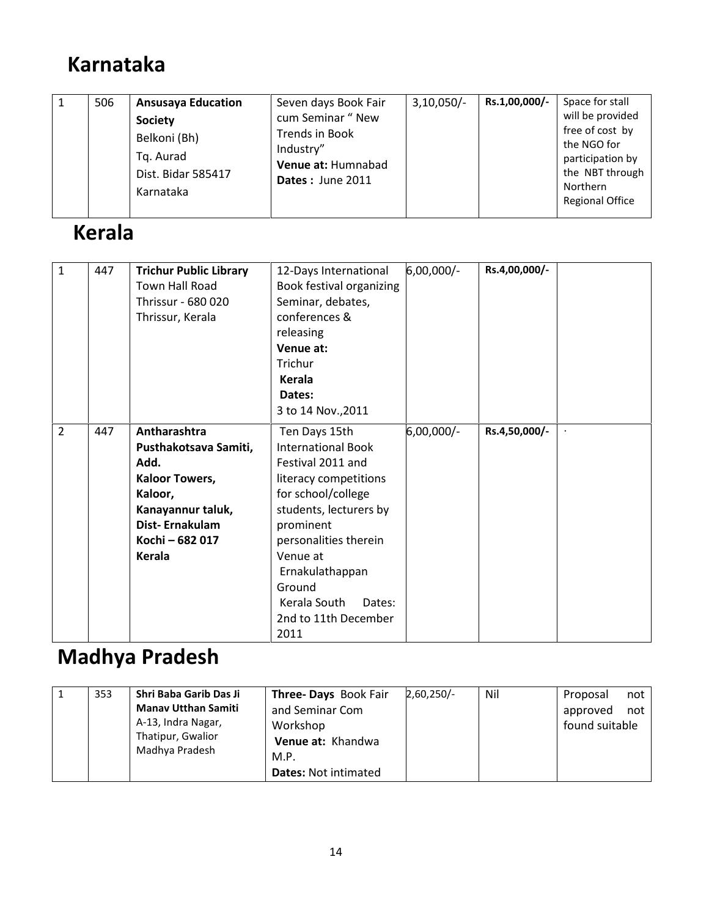## Karnataka

|  | 506 | <b>Ansusaya Education</b><br><b>Society</b><br>Belkoni (Bh)<br>Tq. Aurad<br>Dist. Bidar 585417<br>Karnataka | Seven days Book Fair<br>cum Seminar " New<br>Trends in Book<br>Industry"<br>Venue at: Humnabad<br>Dates: June 2011 | $3,10,050/-$ | Rs.1,00,000/- | Space for stall<br>will be provided<br>free of cost by<br>the NGO for<br>participation by<br>the NBT through<br>Northern<br><b>Regional Office</b> |
|--|-----|-------------------------------------------------------------------------------------------------------------|--------------------------------------------------------------------------------------------------------------------|--------------|---------------|----------------------------------------------------------------------------------------------------------------------------------------------------|
|--|-----|-------------------------------------------------------------------------------------------------------------|--------------------------------------------------------------------------------------------------------------------|--------------|---------------|----------------------------------------------------------------------------------------------------------------------------------------------------|

## Kerala

| $\mathbf{1}$   | 447 | <b>Trichur Public Library</b> | 12-Days International     | 6,00,000/- | Rs.4,00,000/- |  |
|----------------|-----|-------------------------------|---------------------------|------------|---------------|--|
|                |     | Town Hall Road                | Book festival organizing  |            |               |  |
|                |     | Thrissur - 680 020            | Seminar, debates,         |            |               |  |
|                |     | Thrissur, Kerala              | conferences &             |            |               |  |
|                |     |                               | releasing                 |            |               |  |
|                |     |                               | Venue at:                 |            |               |  |
|                |     |                               | Trichur                   |            |               |  |
|                |     |                               | Kerala                    |            |               |  |
|                |     |                               | Dates:                    |            |               |  |
|                |     |                               | 3 to 14 Nov., 2011        |            |               |  |
| $\overline{2}$ | 447 | Antharashtra                  | Ten Days 15th             | 6,00,000/- | Rs.4,50,000/- |  |
|                |     | Pusthakotsava Samiti,         | <b>International Book</b> |            |               |  |
|                |     | Add.                          | Festival 2011 and         |            |               |  |
|                |     | <b>Kaloor Towers,</b>         | literacy competitions     |            |               |  |
|                |     | Kaloor,                       | for school/college        |            |               |  |
|                |     | Kanayannur taluk,             | students, lecturers by    |            |               |  |
|                |     | Dist-Ernakulam                | prominent                 |            |               |  |
|                |     | Kochi - 682 017               | personalities therein     |            |               |  |
|                |     | <b>Kerala</b>                 | Venue at                  |            |               |  |
|                |     |                               | Ernakulathappan           |            |               |  |
|                |     |                               | Ground                    |            |               |  |
|                |     |                               | Kerala South<br>Dates:    |            |               |  |
|                |     |                               | 2nd to 11th December      |            |               |  |
|                |     |                               | 2011                      |            |               |  |

# Madhya Pradesh

|  | 353 | Shri Baba Garib Das Ji<br><b>Manay Utthan Samiti</b><br>A-13, Indra Nagar,<br>Thatipur, Gwalior<br>Madhya Pradesh | Three- Days Book Fair<br>and Seminar Com<br>Workshop<br>Venue at: Khandwa<br>M.P.<br><b>Dates: Not intimated</b> | 2,60,250/- | Nil | Proposal<br>approved<br>found suitable | not<br>not |
|--|-----|-------------------------------------------------------------------------------------------------------------------|------------------------------------------------------------------------------------------------------------------|------------|-----|----------------------------------------|------------|
|--|-----|-------------------------------------------------------------------------------------------------------------------|------------------------------------------------------------------------------------------------------------------|------------|-----|----------------------------------------|------------|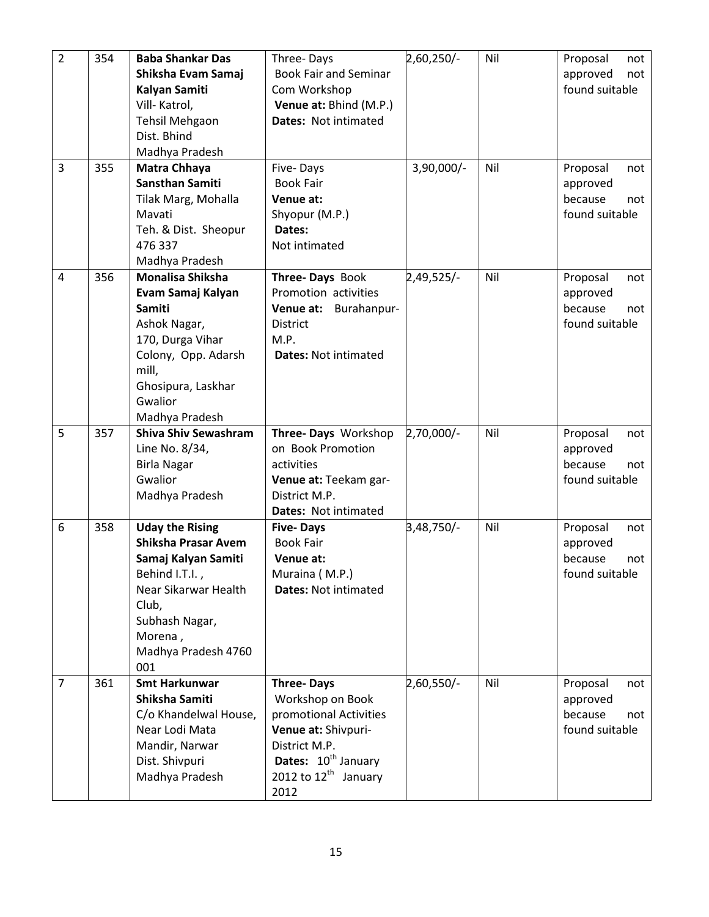| $\overline{2}$ | 354 | <b>Baba Shankar Das</b>     | Three-Days                               | 2,60,250/-   | Nil | Proposal<br>not |
|----------------|-----|-----------------------------|------------------------------------------|--------------|-----|-----------------|
|                |     | Shiksha Evam Samaj          | <b>Book Fair and Seminar</b>             |              |     | approved<br>not |
|                |     | Kalyan Samiti               | Com Workshop                             |              |     | found suitable  |
|                |     | Vill-Katrol,                | Venue at: Bhind (M.P.)                   |              |     |                 |
|                |     | <b>Tehsil Mehgaon</b>       | <b>Dates: Not intimated</b>              |              |     |                 |
|                |     | Dist. Bhind                 |                                          |              |     |                 |
|                |     | Madhya Pradesh              |                                          |              |     |                 |
| 3              | 355 | Matra Chhaya                | Five-Days                                | $3,90,000/-$ | Nil | Proposal<br>not |
|                |     | <b>Sansthan Samiti</b>      | <b>Book Fair</b>                         |              |     | approved        |
|                |     | Tilak Marg, Mohalla         | Venue at:                                |              |     | because<br>not  |
|                |     | Mavati                      | Shyopur (M.P.)                           |              |     | found suitable  |
|                |     | Teh. & Dist. Sheopur        | Dates:                                   |              |     |                 |
|                |     | 476 337                     | Not intimated                            |              |     |                 |
|                |     | Madhya Pradesh              |                                          |              |     |                 |
| $\overline{4}$ | 356 | Monalisa Shiksha            | Three-Days Book                          | $2,49,525/-$ | Nil | Proposal<br>not |
|                |     | Evam Samaj Kalyan           | Promotion activities                     |              |     | approved        |
|                |     | Samiti                      | Venue at:<br>Burahanpur-                 |              |     | because<br>not  |
|                |     | Ashok Nagar,                | <b>District</b>                          |              |     | found suitable  |
|                |     | 170, Durga Vihar            | M.P.                                     |              |     |                 |
|                |     | Colony, Opp. Adarsh         | <b>Dates: Not intimated</b>              |              |     |                 |
|                |     | mill,                       |                                          |              |     |                 |
|                |     | Ghosipura, Laskhar          |                                          |              |     |                 |
|                |     | Gwalior                     |                                          |              |     |                 |
|                |     | Madhya Pradesh              |                                          |              |     |                 |
| 5              | 357 | <b>Shiva Shiv Sewashram</b> | Three- Days Workshop                     | $2,70,000/-$ | Nil | Proposal<br>not |
|                |     | Line No. 8/34,              | on Book Promotion                        |              |     | approved        |
|                |     | <b>Birla Nagar</b>          | activities                               |              |     | because<br>not  |
|                |     | Gwalior                     | Venue at: Teekam gar-                    |              |     | found suitable  |
|                |     | Madhya Pradesh              | District M.P.                            |              |     |                 |
|                |     |                             | Dates: Not intimated                     |              |     |                 |
| 6              | 358 | <b>Uday the Rising</b>      | <b>Five-Days</b>                         | 3,48,750/-   | Nil | Proposal<br>not |
|                |     | <b>Shiksha Prasar Avem</b>  | <b>Book Fair</b>                         |              |     | approved        |
|                |     | Samaj Kalyan Samiti         | Venue at:                                |              |     | because<br>not  |
|                |     |                             |                                          |              |     |                 |
|                |     | Behind I.T.I.,              | Muraina (M.P.)                           |              |     | found suitable  |
|                |     | Near Sikarwar Health        | <b>Dates: Not intimated</b>              |              |     |                 |
|                |     | Club,                       |                                          |              |     |                 |
|                |     | Subhash Nagar,              |                                          |              |     |                 |
|                |     | Morena,                     |                                          |              |     |                 |
|                |     | Madhya Pradesh 4760         |                                          |              |     |                 |
|                |     | 001                         |                                          |              |     |                 |
| $\overline{7}$ | 361 | <b>Smt Harkunwar</b>        | <b>Three-Days</b>                        | 2,60,550/-   | Nil | Proposal<br>not |
|                |     | Shiksha Samiti              | Workshop on Book                         |              |     | approved        |
|                |     | C/o Khandelwal House,       | promotional Activities                   |              |     | because<br>not  |
|                |     | Near Lodi Mata              | Venue at: Shivpuri-                      |              |     | found suitable  |
|                |     | Mandir, Narwar              | District M.P.                            |              |     |                 |
|                |     | Dist. Shivpuri              | Dates: 10 <sup>th</sup> January          |              |     |                 |
|                |     | Madhya Pradesh              | 2012 to 12 <sup>th</sup> January<br>2012 |              |     |                 |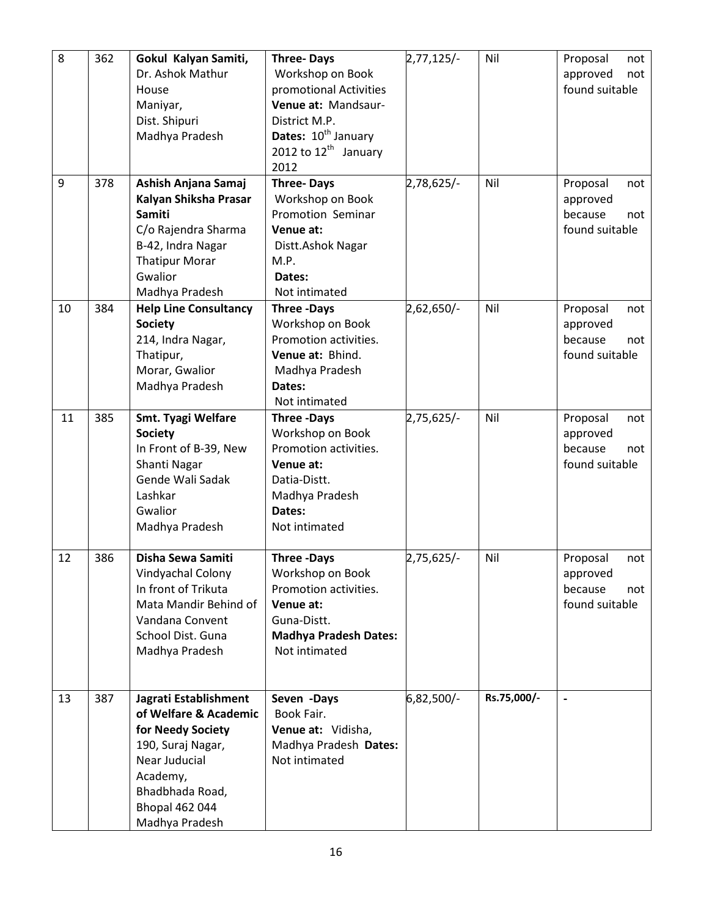| 8  | 362 | Gokul Kalyan Samiti,         | <b>Three-Days</b>               | $2,77,125/-$ | Nil         | Proposal<br>not            |
|----|-----|------------------------------|---------------------------------|--------------|-------------|----------------------------|
|    |     | Dr. Ashok Mathur             | Workshop on Book                |              |             | approved<br>not            |
|    |     | House                        | promotional Activities          |              |             | found suitable             |
|    |     | Maniyar,                     | Venue at: Mandsaur-             |              |             |                            |
|    |     | Dist. Shipuri                | District M.P.                   |              |             |                            |
|    |     | Madhya Pradesh               | Dates: 10 <sup>th</sup> January |              |             |                            |
|    |     |                              | 2012 to $12^{th}$ January       |              |             |                            |
|    |     |                              | 2012                            |              |             |                            |
| 9  | 378 | Ashish Anjana Samaj          | <b>Three-Days</b>               | 2,78,625/-   | Nil         | Proposal<br>not            |
|    |     | Kalyan Shiksha Prasar        | Workshop on Book                |              |             |                            |
|    |     | Samiti                       | Promotion Seminar               |              |             | approved<br>because<br>not |
|    |     |                              | Venue at:                       |              |             | found suitable             |
|    |     | C/o Rajendra Sharma          |                                 |              |             |                            |
|    |     | B-42, Indra Nagar            | Distt.Ashok Nagar               |              |             |                            |
|    |     | <b>Thatipur Morar</b>        | M.P.                            |              |             |                            |
|    |     | Gwalior                      | Dates:                          |              |             |                            |
|    |     | Madhya Pradesh               | Not intimated                   |              |             |                            |
| 10 | 384 | <b>Help Line Consultancy</b> | <b>Three -Days</b>              | $2,62,650/-$ | Nil         | Proposal<br>not            |
|    |     | <b>Society</b>               | Workshop on Book                |              |             | approved                   |
|    |     | 214, Indra Nagar,            | Promotion activities.           |              |             | because<br>not             |
|    |     | Thatipur,                    | Venue at: Bhind.                |              |             | found suitable             |
|    |     | Morar, Gwalior               | Madhya Pradesh                  |              |             |                            |
|    |     | Madhya Pradesh               | Dates:                          |              |             |                            |
|    |     |                              | Not intimated                   |              |             |                            |
| 11 | 385 | Smt. Tyagi Welfare           | <b>Three -Days</b>              | $2,75,625/-$ | Nil         | Proposal<br>not            |
|    |     | <b>Society</b>               | Workshop on Book                |              |             | approved                   |
|    |     | In Front of B-39, New        | Promotion activities.           |              |             | because<br>not             |
|    |     | Shanti Nagar                 | Venue at:                       |              |             | found suitable             |
|    |     | Gende Wali Sadak             | Datia-Distt.                    |              |             |                            |
|    |     | Lashkar                      | Madhya Pradesh                  |              |             |                            |
|    |     | Gwalior                      | Dates:                          |              |             |                            |
|    |     | Madhya Pradesh               | Not intimated                   |              |             |                            |
|    |     |                              |                                 |              |             |                            |
| 12 | 386 | Disha Sewa Samiti            | <b>Three -Days</b>              | 2,75,625/-   | Nil         | Proposal<br>not            |
|    |     | Vindyachal Colony            | Workshop on Book                |              |             | approved                   |
|    |     | In front of Trikuta          | Promotion activities.           |              |             | because<br>not             |
|    |     | Mata Mandir Behind of        | Venue at:                       |              |             | found suitable             |
|    |     | Vandana Convent              | Guna-Distt.                     |              |             |                            |
|    |     | School Dist. Guna            | <b>Madhya Pradesh Dates:</b>    |              |             |                            |
|    |     | Madhya Pradesh               | Not intimated                   |              |             |                            |
|    |     |                              |                                 |              |             |                            |
|    |     |                              |                                 |              |             |                            |
| 13 | 387 | Jagrati Establishment        | Seven -Days                     | 6,82,500/-   | Rs.75,000/- |                            |
|    |     | of Welfare & Academic        | Book Fair.                      |              |             |                            |
|    |     | for Needy Society            | Venue at: Vidisha,              |              |             |                            |
|    |     | 190, Suraj Nagar,            | Madhya Pradesh Dates:           |              |             |                            |
|    |     | Near Juducial                | Not intimated                   |              |             |                            |
|    |     | Academy,                     |                                 |              |             |                            |
|    |     |                              |                                 |              |             |                            |
|    |     | Bhadbhada Road,              |                                 |              |             |                            |
|    |     | <b>Bhopal 462 044</b>        |                                 |              |             |                            |
|    |     | Madhya Pradesh               |                                 |              |             |                            |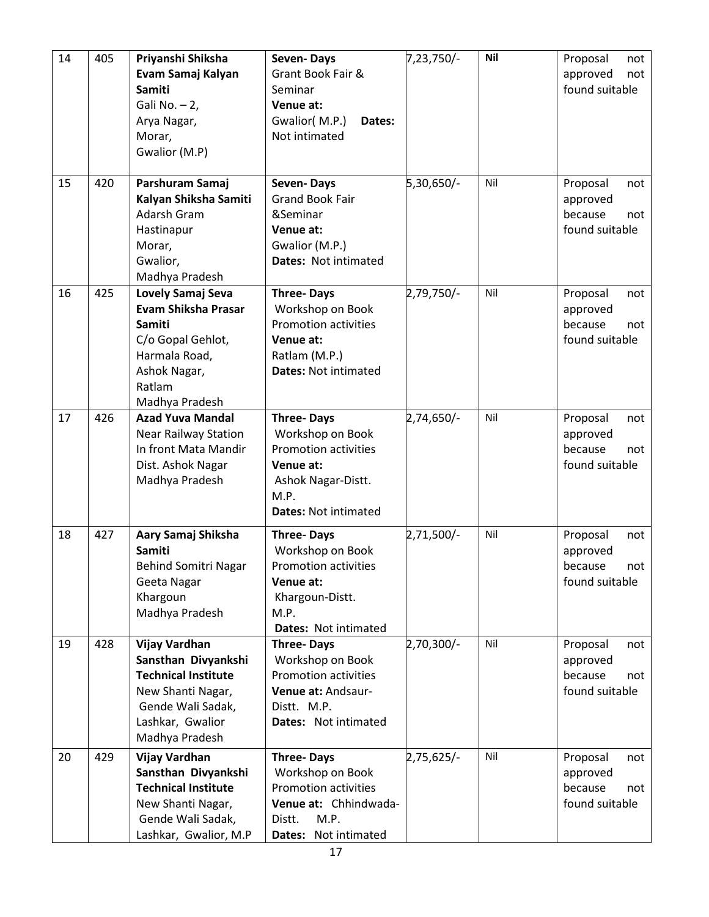| 14<br>15 | 405<br>420 | Priyanshi Shiksha<br>Evam Samaj Kalyan<br><b>Samiti</b><br>Gali No. $-2$ ,<br>Arya Nagar,<br>Morar,<br>Gwalior (M.P)<br>Parshuram Samaj                   | Seven-Days<br>Grant Book Fair &<br>Seminar<br>Venue at:<br>Gwalior(M.P.)<br>Dates:<br>Not intimated<br>Seven-Days                              | $7,23,750/-$<br>5,30,650/- | <b>Nil</b><br>Nil | Proposal<br>not<br>approved<br>not<br>found suitable<br>Proposal<br>not |
|----------|------------|-----------------------------------------------------------------------------------------------------------------------------------------------------------|------------------------------------------------------------------------------------------------------------------------------------------------|----------------------------|-------------------|-------------------------------------------------------------------------|
|          |            | Kalyan Shiksha Samiti<br>Adarsh Gram<br>Hastinapur<br>Morar,<br>Gwalior,<br>Madhya Pradesh                                                                | <b>Grand Book Fair</b><br>&Seminar<br>Venue at:<br>Gwalior (M.P.)<br>Dates: Not intimated                                                      |                            |                   | approved<br>because<br>not<br>found suitable                            |
| 16       | 425        | Lovely Samaj Seva<br><b>Evam Shiksha Prasar</b><br><b>Samiti</b><br>C/o Gopal Gehlot,<br>Harmala Road,<br>Ashok Nagar,<br>Ratlam<br>Madhya Pradesh        | <b>Three-Days</b><br>Workshop on Book<br><b>Promotion activities</b><br>Venue at:<br>Ratlam (M.P.)<br><b>Dates: Not intimated</b>              | $2,79,750/-$               | Nil               | Proposal<br>not<br>approved<br>because<br>not<br>found suitable         |
| 17       | 426        | <b>Azad Yuva Mandal</b><br><b>Near Railway Station</b><br>In front Mata Mandir<br>Dist. Ashok Nagar<br>Madhya Pradesh                                     | <b>Three-Days</b><br>Workshop on Book<br><b>Promotion activities</b><br>Venue at:<br>Ashok Nagar-Distt.<br>M.P.<br><b>Dates: Not intimated</b> | 2,74,650/-                 | Nil               | Proposal<br>not<br>approved<br>because<br>not<br>found suitable         |
| 18       | 427        | Aary Samaj Shiksha<br>Samiti<br><b>Behind Somitri Nagar</b><br>Geeta Nagar<br>Khargoun<br>Madhya Pradesh                                                  | <b>Three-Days</b><br>Workshop on Book<br>Promotion activities<br>Venue at:<br>Khargoun-Distt.<br>M.P.<br>Dates: Not intimated                  | 2,71,500/-                 | Nil               | Proposal<br>not<br>approved<br>because<br>not<br>found suitable         |
| 19       | 428        | <b>Vijay Vardhan</b><br>Sansthan Divyankshi<br><b>Technical Institute</b><br>New Shanti Nagar,<br>Gende Wali Sadak,<br>Lashkar, Gwalior<br>Madhya Pradesh | <b>Three-Days</b><br>Workshop on Book<br><b>Promotion activities</b><br>Venue at: Andsaur-<br>Distt. M.P.<br>Dates: Not intimated              | 2,70,300/-                 | Nil               | Proposal<br>not<br>approved<br>because<br>not<br>found suitable         |
| 20       | 429        | Vijay Vardhan<br>Sansthan Divyankshi<br><b>Technical Institute</b><br>New Shanti Nagar,<br>Gende Wali Sadak,<br>Lashkar, Gwalior, M.P                     | <b>Three-Days</b><br>Workshop on Book<br><b>Promotion activities</b><br>Venue at: Chhindwada-<br>M.P.<br>Distt.<br>Not intimated<br>Dates:     | 2,75,625/-                 | Nil               | Proposal<br>not<br>approved<br>because<br>not<br>found suitable         |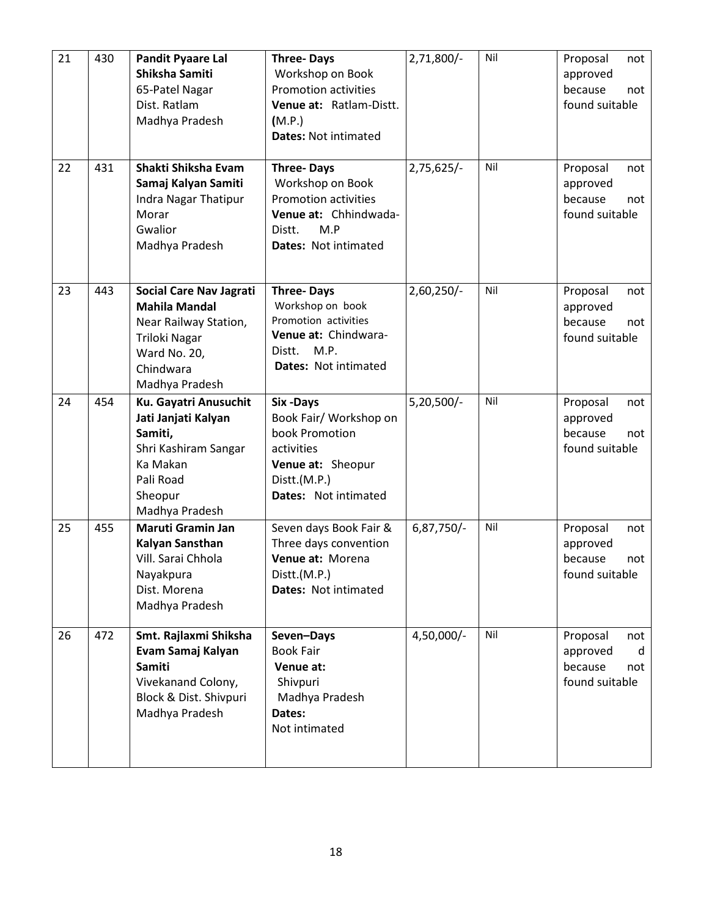| 21 | 430 | <b>Pandit Pyaare Lal</b><br>Shiksha Samiti<br>65-Patel Nagar<br>Dist. Ratlam<br>Madhya Pradesh                                                  | <b>Three-Days</b><br>Workshop on Book<br><b>Promotion activities</b><br>Venue at: Ratlam-Distt.<br>(M.P.)<br><b>Dates: Not intimated</b> | 2,71,800/-   | Nil | Proposal<br>not<br>approved<br>because<br>not<br>found suitable      |
|----|-----|-------------------------------------------------------------------------------------------------------------------------------------------------|------------------------------------------------------------------------------------------------------------------------------------------|--------------|-----|----------------------------------------------------------------------|
| 22 | 431 | Shakti Shiksha Evam<br>Samaj Kalyan Samiti<br><b>Indra Nagar Thatipur</b><br>Morar<br>Gwalior<br>Madhya Pradesh                                 | <b>Three-Days</b><br>Workshop on Book<br><b>Promotion activities</b><br>Venue at: Chhindwada-<br>M.P<br>Distt.<br>Dates: Not intimated   | 2,75,625/-   | Nil | Proposal<br>not<br>approved<br>because<br>not<br>found suitable      |
| 23 | 443 | <b>Social Care Nav Jagrati</b><br><b>Mahila Mandal</b><br>Near Railway Station,<br>Triloki Nagar<br>Ward No. 20,<br>Chindwara<br>Madhya Pradesh | <b>Three-Days</b><br>Workshop on book<br>Promotion activities<br>Venue at: Chindwara-<br>M.P.<br>Distt.<br>Dates: Not intimated          | $2,60,250/-$ | Nil | Proposal<br>not<br>approved<br>because<br>not<br>found suitable      |
| 24 | 454 | Ku. Gayatri Anusuchit<br>Jati Janjati Kalyan<br>Samiti,<br>Shri Kashiram Sangar<br>Ka Makan<br>Pali Road<br>Sheopur<br>Madhya Pradesh           | Six-Days<br>Book Fair/ Workshop on<br>book Promotion<br>activities<br>Venue at: Sheopur<br>Distt.(M.P.)<br>Dates: Not intimated          | $5,20,500/-$ | Nil | Proposal<br>not<br>approved<br>because<br>not<br>found suitable      |
| 25 | 455 | <b>Maruti Gramin Jan</b><br>Kalyan Sansthan<br>Vill. Sarai Chhola<br>Nayakpura<br>Dist. Morena<br>Madhya Pradesh                                | Seven days Book Fair &<br>Three days convention<br>Venue at: Morena<br>Distt.(M.P.)<br>Dates: Not intimated                              | 6,87,750/-   | Nil | Proposal<br>not<br>approved<br>because<br>not<br>found suitable      |
| 26 | 472 | Smt. Rajlaxmi Shiksha<br>Evam Samaj Kalyan<br><b>Samiti</b><br>Vivekanand Colony,<br>Block & Dist. Shivpuri<br>Madhya Pradesh                   | Seven-Days<br><b>Book Fair</b><br>Venue at:<br>Shivpuri<br>Madhya Pradesh<br>Dates:<br>Not intimated                                     | 4,50,000/-   | Nil | Proposal<br>not<br>d<br>approved<br>because<br>not<br>found suitable |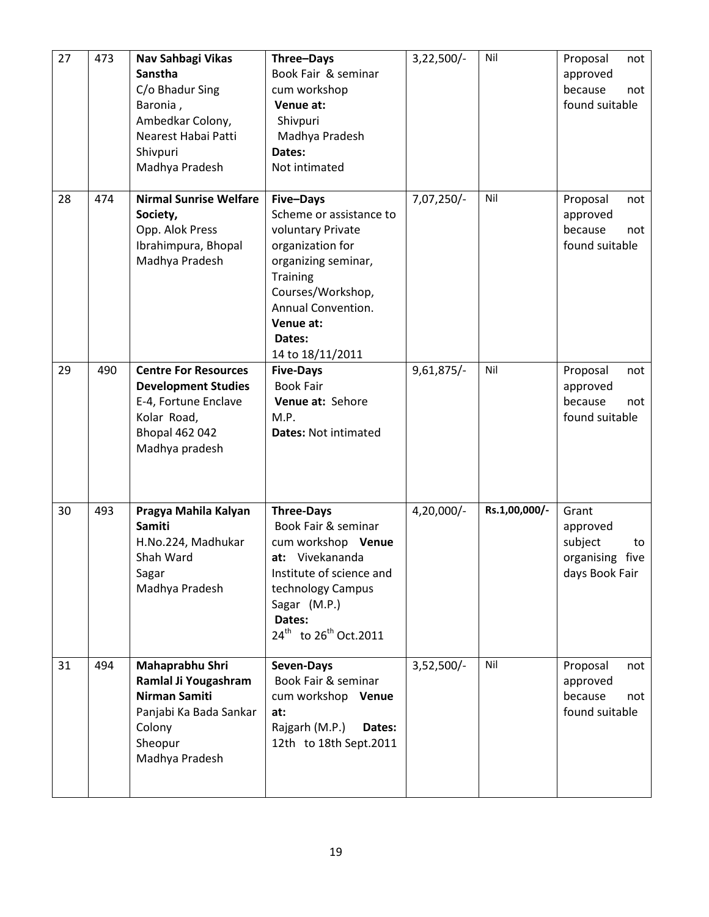| 27 | 473 | Nav Sahbagi Vikas<br>Sanstha<br>C/o Bhadur Sing<br>Baronia,<br>Ambedkar Colony,<br>Nearest Habai Patti<br>Shivpuri<br>Madhya Pradesh        | Three-Days<br>Book Fair & seminar<br>cum workshop<br>Venue at:<br>Shivpuri<br>Madhya Pradesh<br>Dates:<br>Not intimated                                                                                       | $3,22,500/-$ | Nil           | Proposal<br>not<br>approved<br>because<br>not<br>found suitable            |
|----|-----|---------------------------------------------------------------------------------------------------------------------------------------------|---------------------------------------------------------------------------------------------------------------------------------------------------------------------------------------------------------------|--------------|---------------|----------------------------------------------------------------------------|
| 28 | 474 | <b>Nirmal Sunrise Welfare</b><br>Society,<br>Opp. Alok Press<br>Ibrahimpura, Bhopal<br>Madhya Pradesh                                       | Five-Days<br>Scheme or assistance to<br>voluntary Private<br>organization for<br>organizing seminar,<br><b>Training</b><br>Courses/Workshop,<br>Annual Convention.<br>Venue at:<br>Dates:<br>14 to 18/11/2011 | 7,07,250/-   | Nil           | Proposal<br>not<br>approved<br>because<br>not<br>found suitable            |
| 29 | 490 | <b>Centre For Resources</b><br><b>Development Studies</b><br>E-4, Fortune Enclave<br>Kolar Road,<br><b>Bhopal 462 042</b><br>Madhya pradesh | <b>Five-Days</b><br><b>Book Fair</b><br>Venue at: Sehore<br>M.P.<br><b>Dates: Not intimated</b>                                                                                                               | $9,61,875/-$ | Nil           | Proposal<br>not<br>approved<br>because<br>not<br>found suitable            |
| 30 | 493 | Pragya Mahila Kalyan<br><b>Samiti</b><br>H.No.224, Madhukar<br>Shah Ward<br>Sagar<br>Madhya Pradesh                                         | <b>Three-Days</b><br>Book Fair & seminar<br>cum workshop Venue<br>at: Vivekananda<br>Institute of science and<br>technology Campus<br>Sagar (M.P.)<br>Dates:<br>24 <sup>th</sup> to 26 <sup>th</sup> Oct.2011 | $4,20,000/-$ | Rs.1,00,000/- | Grant<br>approved<br>subject<br>to<br>organising<br>five<br>days Book Fair |
| 31 | 494 | Mahaprabhu Shri<br>Ramlal Ji Yougashram<br><b>Nirman Samiti</b><br>Panjabi Ka Bada Sankar<br>Colony<br>Sheopur<br>Madhya Pradesh            | Seven-Days<br>Book Fair & seminar<br>cum workshop Venue<br>at:<br>Rajgarh (M.P.)<br>Dates:<br>12th to 18th Sept.2011                                                                                          | $3,52,500/-$ | Nil           | Proposal<br>not<br>approved<br>because<br>not<br>found suitable            |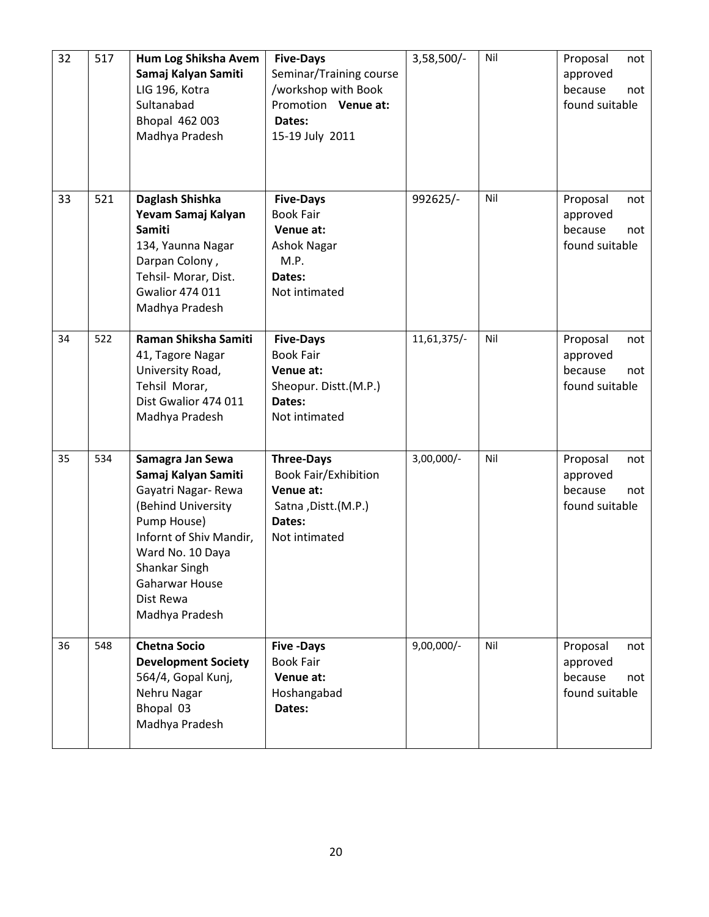| 32 | 517 | Hum Log Shiksha Avem<br>Samaj Kalyan Samiti<br>LIG 196, Kotra<br>Sultanabad<br>Bhopal 462 003<br>Madhya Pradesh                                                                                                            | <b>Five-Days</b><br>Seminar/Training course<br>workshop with Book<br>Promotion Venue at:<br>Dates:<br>15-19 July 2011 | $3,58,500/-$ | Nil | Proposal<br>not<br>approved<br>because<br>not<br>found suitable |
|----|-----|----------------------------------------------------------------------------------------------------------------------------------------------------------------------------------------------------------------------------|-----------------------------------------------------------------------------------------------------------------------|--------------|-----|-----------------------------------------------------------------|
| 33 | 521 | Daglash Shishka<br>Yevam Samaj Kalyan<br><b>Samiti</b><br>134, Yaunna Nagar<br>Darpan Colony,<br>Tehsil- Morar, Dist.<br><b>Gwalior 474 011</b><br>Madhya Pradesh                                                          | <b>Five-Days</b><br><b>Book Fair</b><br>Venue at:<br><b>Ashok Nagar</b><br>M.P.<br>Dates:<br>Not intimated            | 992625/-     | Nil | Proposal<br>not<br>approved<br>because<br>not<br>found suitable |
| 34 | 522 | Raman Shiksha Samiti<br>41, Tagore Nagar<br>University Road,<br>Tehsil Morar,<br>Dist Gwalior 474 011<br>Madhya Pradesh                                                                                                    | <b>Five-Days</b><br><b>Book Fair</b><br>Venue at:<br>Sheopur. Distt.(M.P.)<br>Dates:<br>Not intimated                 | 11,61,375/-  | Nil | Proposal<br>not<br>approved<br>because<br>not<br>found suitable |
| 35 | 534 | Samagra Jan Sewa<br>Samaj Kalyan Samiti<br>Gayatri Nagar-Rewa<br>(Behind University<br>Pump House)<br>Infornt of Shiv Mandir,<br>Ward No. 10 Daya<br>Shankar Singh<br><b>Gaharwar House</b><br>Dist Rewa<br>Madhya Pradesh | <b>Three-Days</b><br><b>Book Fair/Exhibition</b><br>Venue at:<br>Satna, Distt.(M.P.)<br>Dates:<br>Not intimated       | 3,00,000/-   | Nil | Proposal<br>not<br>approved<br>because<br>not<br>found suitable |
| 36 | 548 | <b>Chetna Socio</b><br><b>Development Society</b><br>564/4, Gopal Kunj,<br>Nehru Nagar<br>Bhopal 03<br>Madhya Pradesh                                                                                                      | <b>Five -Days</b><br><b>Book Fair</b><br>Venue at:<br>Hoshangabad<br>Dates:                                           | $9,00,000/-$ | Nil | Proposal<br>not<br>approved<br>because<br>not<br>found suitable |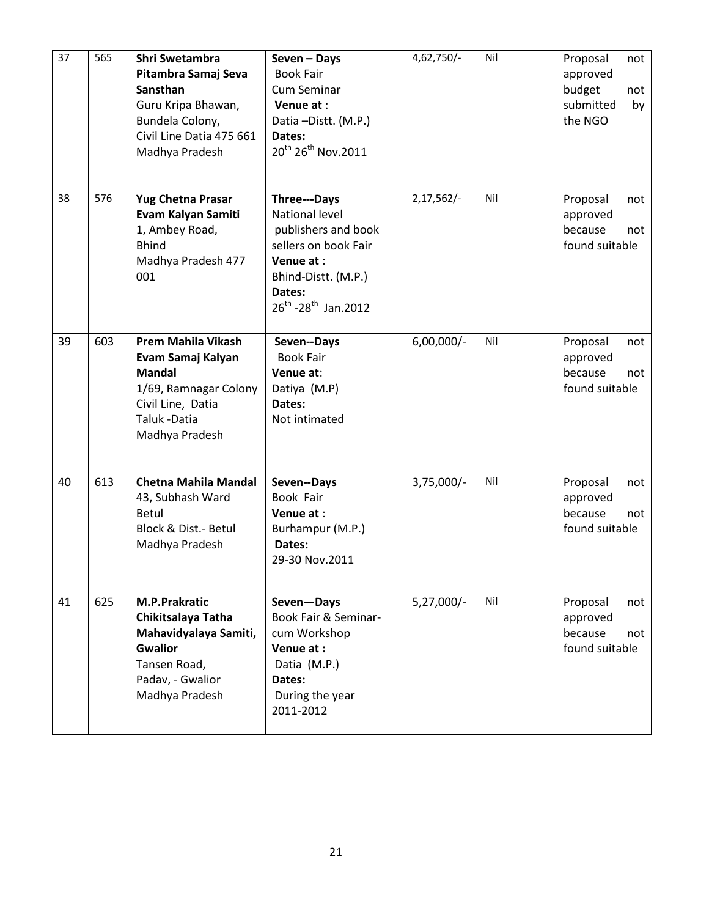| 37 | 565 | Shri Swetambra<br>Pitambra Samaj Seva<br>Sansthan<br>Guru Kripa Bhawan,<br>Bundela Colony,<br>Civil Line Datia 475 661<br>Madhya Pradesh         | Seven - Days<br><b>Book Fair</b><br><b>Cum Seminar</b><br>Venue at:<br>Datia-Distt. (M.P.)<br>Dates:<br>20 <sup>th</sup> 26 <sup>th</sup> Nov.2011                         | 4,62,750/-   | Nil | Proposal<br>not<br>approved<br>budget<br>not<br>submitted<br>by<br>the NGO |
|----|-----|--------------------------------------------------------------------------------------------------------------------------------------------------|----------------------------------------------------------------------------------------------------------------------------------------------------------------------------|--------------|-----|----------------------------------------------------------------------------|
| 38 | 576 | <b>Yug Chetna Prasar</b><br>Evam Kalyan Samiti<br>1, Ambey Road,<br><b>Bhind</b><br>Madhya Pradesh 477<br>001                                    | Three---Days<br><b>National level</b><br>publishers and book<br>sellers on book Fair<br>Venue at:<br>Bhind-Distt. (M.P.)<br>Dates:<br>$26^{th}$ -28 <sup>th</sup> Jan.2012 | $2,17,562/-$ | Nil | Proposal<br>not<br>approved<br>because<br>not<br>found suitable            |
| 39 | 603 | <b>Prem Mahila Vikash</b><br>Evam Samaj Kalyan<br><b>Mandal</b><br>1/69, Ramnagar Colony<br>Civil Line, Datia<br>Taluk - Datia<br>Madhya Pradesh | Seven--Days<br><b>Book Fair</b><br>Venue at:<br>Datiya (M.P)<br>Dates:<br>Not intimated                                                                                    | $6,00,000/-$ | Nil | Proposal<br>not<br>approved<br>because<br>not<br>found suitable            |
| 40 | 613 | <b>Chetna Mahila Mandal</b><br>43, Subhash Ward<br>Betul<br>Block & Dist.- Betul<br>Madhya Pradesh                                               | Seven--Days<br>Book Fair<br>Venue at:<br>Burhampur (M.P.)<br>Dates:<br>29-30 Nov.2011                                                                                      | $3,75,000/-$ | Nil | Proposal<br>not<br>approved<br>because<br>not<br>found suitable            |
| 41 | 625 | <b>M.P.Prakratic</b><br>Chikitsalaya Tatha<br>Mahavidyalaya Samiti,<br><b>Gwalior</b><br>Tansen Road,<br>Padav, - Gwalior<br>Madhya Pradesh      | Seven-Days<br>Book Fair & Seminar-<br>cum Workshop<br>Venue at:<br>Datia (M.P.)<br>Dates:<br>During the year<br>2011-2012                                                  | $5,27,000/-$ | Nil | Proposal<br>not<br>approved<br>because<br>not<br>found suitable            |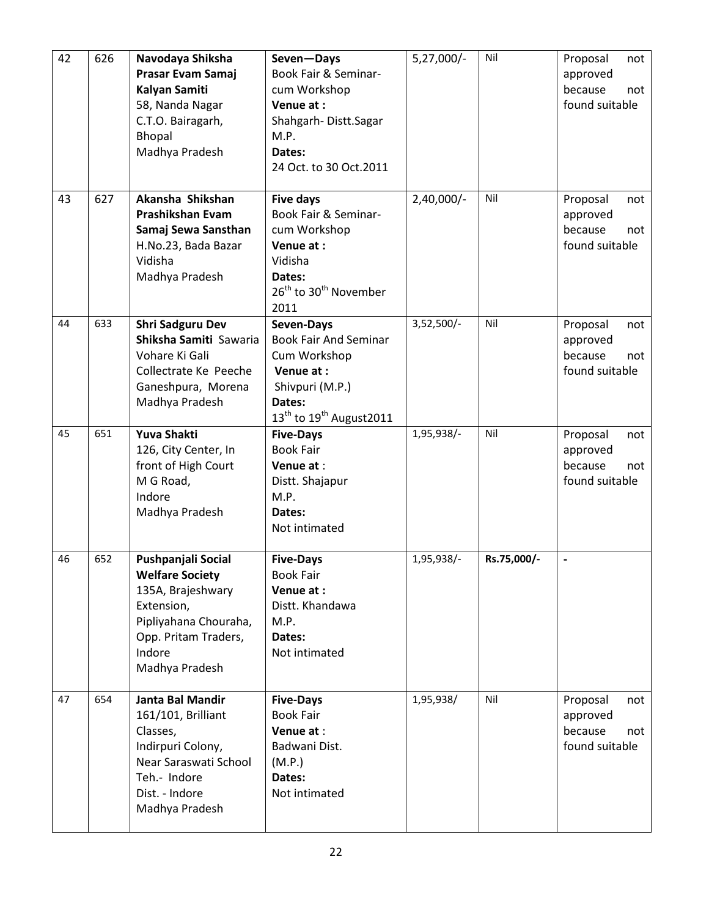| 42 | 626 | Navodaya Shiksha<br>Prasar Evam Samaj<br>Kalyan Samiti<br>58, Nanda Nagar<br>C.T.O. Bairagarh,<br>Bhopal<br>Madhya Pradesh                                   | Seven-Days<br>Book Fair & Seminar-<br>cum Workshop<br>Venue at:<br>Shahgarh-Distt.Sagar<br>M.P.<br>Dates:<br>24 Oct. to 30 Oct.2011                     | $5,27,000/-$ | Nil         | Proposal<br>not<br>approved<br>because<br>not<br>found suitable |
|----|-----|--------------------------------------------------------------------------------------------------------------------------------------------------------------|---------------------------------------------------------------------------------------------------------------------------------------------------------|--------------|-------------|-----------------------------------------------------------------|
| 43 | 627 | Akansha Shikshan<br>Prashikshan Evam<br>Samaj Sewa Sansthan<br>H.No.23, Bada Bazar<br>Vidisha<br>Madhya Pradesh                                              | <b>Five days</b><br>Book Fair & Seminar-<br>cum Workshop<br>Venue at:<br>Vidisha<br>Dates:<br>26 <sup>th</sup> to 30 <sup>th</sup> November<br>2011     | 2,40,000/-   | Nil         | Proposal<br>not<br>approved<br>because<br>not<br>found suitable |
| 44 | 633 | <b>Shri Sadguru Dev</b><br>Shiksha Samiti Sawaria<br>Vohare Ki Gali<br>Collectrate Ke Peeche<br>Ganeshpura, Morena<br>Madhya Pradesh                         | Seven-Days<br><b>Book Fair And Seminar</b><br>Cum Workshop<br>Venue at:<br>Shivpuri (M.P.)<br>Dates:<br>$13^{\text{th}}$ to $19^{\text{th}}$ August2011 | 3,52,500/-   | Nil         | Proposal<br>not<br>approved<br>because<br>not<br>found suitable |
| 45 | 651 | Yuva Shakti<br>126, City Center, In<br>front of High Court<br>M G Road,<br>Indore<br>Madhya Pradesh                                                          | <b>Five-Days</b><br><b>Book Fair</b><br>Venue at:<br>Distt. Shajapur<br>M.P.<br>Dates:<br>Not intimated                                                 | 1,95,938/-   | Nil         | Proposal<br>not<br>approved<br>because<br>not<br>found suitable |
| 46 | 652 | Pushpanjali Social<br><b>Welfare Society</b><br>135A, Brajeshwary<br>Extension,<br>Pipliyahana Chouraha,<br>Opp. Pritam Traders,<br>Indore<br>Madhya Pradesh | <b>Five-Days</b><br><b>Book Fair</b><br>Venue at:<br>Distt. Khandawa<br>M.P.<br>Dates:<br>Not intimated                                                 | 1,95,938/-   | Rs.75,000/- | $\qquad \qquad \blacksquare$                                    |
| 47 | 654 | Janta Bal Mandir<br>161/101, Brilliant<br>Classes,<br>Indirpuri Colony,<br>Near Saraswati School<br>Teh.- Indore<br>Dist. - Indore<br>Madhya Pradesh         | <b>Five-Days</b><br><b>Book Fair</b><br>Venue at:<br>Badwani Dist.<br>(M.P.)<br>Dates:<br>Not intimated                                                 | 1,95,938/    | Nil         | Proposal<br>not<br>approved<br>because<br>not<br>found suitable |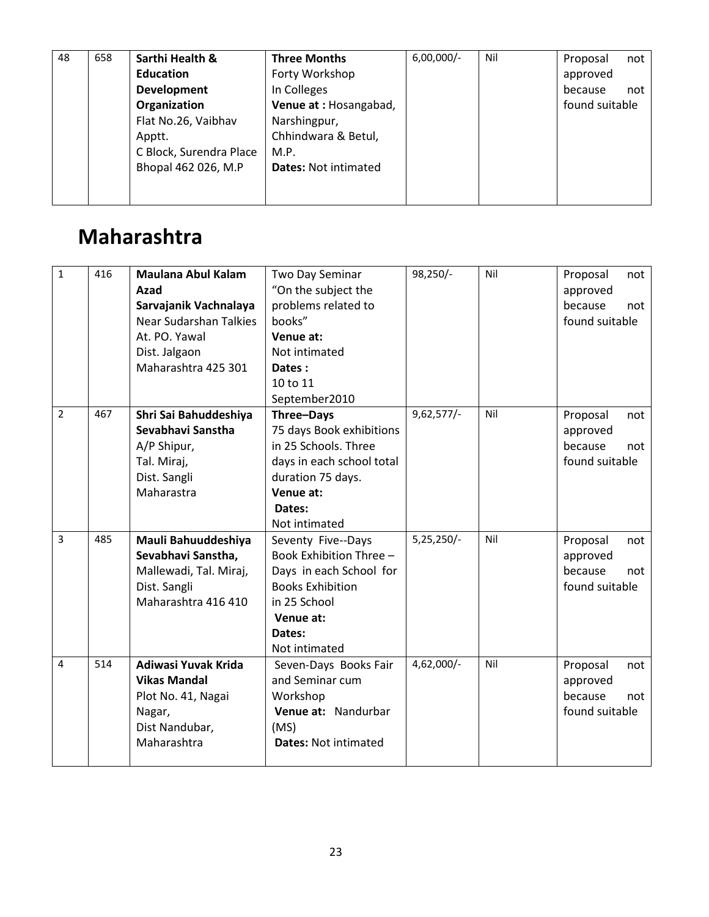|--|

## Maharashtra

| $\mathbf{1}$   | 416 | <b>Maulana Abul Kalam</b>     | Two Day Seminar             | 98,250/-     | Nil | Proposal<br>not |
|----------------|-----|-------------------------------|-----------------------------|--------------|-----|-----------------|
|                |     | Azad                          | "On the subject the         |              |     | approved        |
|                |     | Sarvajanik Vachnalaya         | problems related to         |              |     | because<br>not  |
|                |     | <b>Near Sudarshan Talkies</b> | books"                      |              |     | found suitable  |
|                |     | At. PO. Yawal                 | Venue at:                   |              |     |                 |
|                |     | Dist. Jalgaon                 | Not intimated               |              |     |                 |
|                |     | Maharashtra 425 301           | Dates:                      |              |     |                 |
|                |     |                               | 10 to 11                    |              |     |                 |
|                |     |                               | September2010               |              |     |                 |
| $\overline{2}$ | 467 | Shri Sai Bahuddeshiya         | Three-Days                  | $9,62,577/-$ | Nil | Proposal<br>not |
|                |     | Sevabhavi Sanstha             | 75 days Book exhibitions    |              |     | approved        |
|                |     | A/P Shipur,                   | in 25 Schools. Three        |              |     | because<br>not  |
|                |     | Tal. Miraj,                   | days in each school total   |              |     | found suitable  |
|                |     | Dist. Sangli                  | duration 75 days.           |              |     |                 |
|                |     | Maharastra                    | Venue at:                   |              |     |                 |
|                |     |                               | Dates:                      |              |     |                 |
|                |     |                               | Not intimated               |              |     |                 |
| 3              | 485 | Mauli Bahuuddeshiya           | Seventy Five--Days          | 5,25,250/-   | Nil | Proposal<br>not |
|                |     | Sevabhavi Sanstha,            | Book Exhibition Three -     |              |     | approved        |
|                |     | Mallewadi, Tal. Miraj,        | Days in each School for     |              |     | because<br>not  |
|                |     | Dist. Sangli                  | <b>Books Exhibition</b>     |              |     | found suitable  |
|                |     | Maharashtra 416 410           | in 25 School                |              |     |                 |
|                |     |                               | Venue at:                   |              |     |                 |
|                |     |                               | Dates:                      |              |     |                 |
|                |     |                               | Not intimated               |              |     |                 |
| 4              | 514 | Adiwasi Yuvak Krida           | Seven-Days Books Fair       | 4,62,000/-   | Nil | Proposal<br>not |
|                |     | <b>Vikas Mandal</b>           | and Seminar cum             |              |     | approved        |
|                |     | Plot No. 41, Nagai            | Workshop                    |              |     | because<br>not  |
|                |     | Nagar,                        | Venue at: Nandurbar         |              |     | found suitable  |
|                |     | Dist Nandubar,                | (MS)                        |              |     |                 |
|                |     | Maharashtra                   | <b>Dates: Not intimated</b> |              |     |                 |
|                |     |                               |                             |              |     |                 |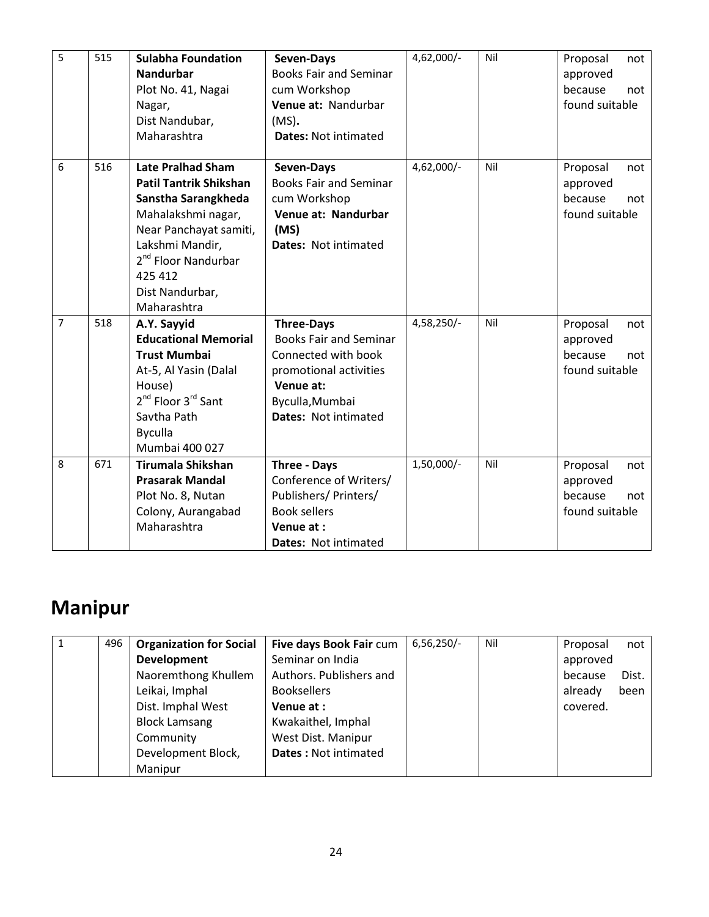| 5              | 515 | <b>Sulabha Foundation</b><br><b>Nandurbar</b><br>Plot No. 41, Nagai<br>Nagar,<br>Dist Nandubar,<br>Maharashtra                                                                                                                      | Seven-Days<br><b>Books Fair and Seminar</b><br>cum Workshop<br>Venue at: Nandurbar<br>$(MS)$ .<br><b>Dates: Not intimated</b>                                      | 4,62,000/-   | Nil | Proposal<br>not<br>approved<br>because<br>not<br>found suitable |
|----------------|-----|-------------------------------------------------------------------------------------------------------------------------------------------------------------------------------------------------------------------------------------|--------------------------------------------------------------------------------------------------------------------------------------------------------------------|--------------|-----|-----------------------------------------------------------------|
| 6              | 516 | <b>Late Pralhad Sham</b><br><b>Patil Tantrik Shikshan</b><br>Sanstha Sarangkheda<br>Mahalakshmi nagar,<br>Near Panchayat samiti,<br>Lakshmi Mandir,<br>2 <sup>nd</sup> Floor Nandurbar<br>425 412<br>Dist Nandurbar,<br>Maharashtra | Seven-Days<br><b>Books Fair and Seminar</b><br>cum Workshop<br>Venue at: Nandurbar<br>(MS)<br>Dates: Not intimated                                                 | 4,62,000/-   | Nil | Proposal<br>not<br>approved<br>because<br>not<br>found suitable |
| $\overline{7}$ | 518 | A.Y. Sayyid<br><b>Educational Memorial</b><br><b>Trust Mumbai</b><br>At-5, Al Yasin (Dalal<br>House)<br>2 <sup>nd</sup> Floor 3 <sup>rd</sup> Sant<br>Savtha Path<br><b>Byculla</b><br>Mumbai 400 027                               | <b>Three-Days</b><br><b>Books Fair and Seminar</b><br>Connected with book<br>promotional activities<br>Venue at:<br>Byculla, Mumbai<br><b>Dates: Not intimated</b> | 4,58,250/-   | Nil | Proposal<br>not<br>approved<br>because<br>not<br>found suitable |
| 8              | 671 | <b>Tirumala Shikshan</b><br><b>Prasarak Mandal</b><br>Plot No. 8, Nutan<br>Colony, Aurangabad<br>Maharashtra                                                                                                                        | Three - Days<br>Conference of Writers/<br>Publishers/ Printers/<br><b>Book sellers</b><br>Venue at :<br>Dates: Not intimated                                       | $1,50,000/-$ | Nil | Proposal<br>not<br>approved<br>because<br>not<br>found suitable |

# Manipur

| 496 | <b>Organization for Social</b> | Five days Book Fair cum     | $6,56,250/-$ | Nil | Proposal | not   |
|-----|--------------------------------|-----------------------------|--------------|-----|----------|-------|
|     | <b>Development</b>             | Seminar on India            |              |     | approved |       |
|     | Naoremthong Khullem            | Authors. Publishers and     |              |     | because  | Dist. |
|     | Leikai, Imphal                 | <b>Booksellers</b>          |              |     | already  | been  |
|     | Dist. Imphal West              | Venue at :                  |              |     | covered. |       |
|     | <b>Block Lamsang</b>           | Kwakaithel, Imphal          |              |     |          |       |
|     | Community                      | West Dist. Manipur          |              |     |          |       |
|     | Development Block,             | <b>Dates: Not intimated</b> |              |     |          |       |
|     | Manipur                        |                             |              |     |          |       |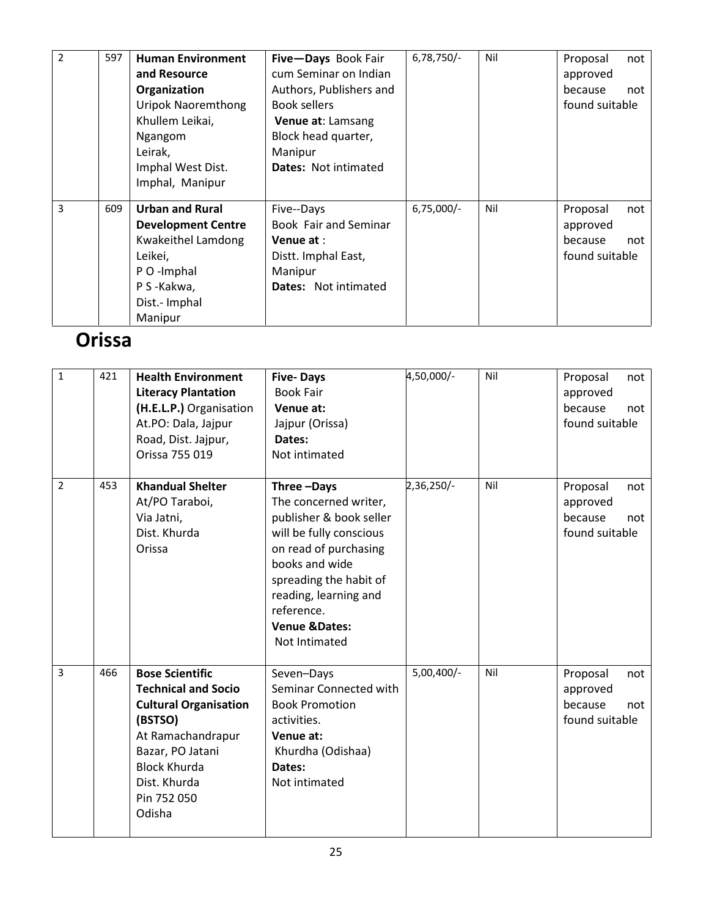| $\overline{2}$ | 597 | <b>Human Environment</b>  | Five-Days Book Fair         | $6,78,750/-$ | Nil | Proposal       | not |
|----------------|-----|---------------------------|-----------------------------|--------------|-----|----------------|-----|
|                |     | and Resource              | cum Seminar on Indian       |              |     | approved       |     |
|                |     | Organization              | Authors, Publishers and     |              |     | because        | not |
|                |     | <b>Uripok Naoremthong</b> | Book sellers                |              |     | found suitable |     |
|                |     | Khullem Leikai,           | Venue at: Lamsang           |              |     |                |     |
|                |     | Ngangom                   | Block head quarter,         |              |     |                |     |
|                |     | Leirak,                   | Manipur                     |              |     |                |     |
|                |     | Imphal West Dist.         | <b>Dates: Not intimated</b> |              |     |                |     |
|                |     | Imphal, Manipur           |                             |              |     |                |     |
|                |     |                           |                             |              |     |                |     |
| 3              | 609 | <b>Urban and Rural</b>    | Five--Days                  | $6,75,000/-$ | Nil | Proposal       | not |
|                |     | <b>Development Centre</b> | Book Fair and Seminar       |              |     | approved       |     |
|                |     | Kwakeithel Lamdong        | Venue at:                   |              |     | because        | not |
|                |     | Leikei,                   | Distt. Imphal East,         |              |     | found suitable |     |
|                |     | P O -Imphal               | Manipur                     |              |     |                |     |
|                |     | P S-Kakwa,                | <b>Dates:</b> Not intimated |              |     |                |     |
|                |     | Dist.- Imphal             |                             |              |     |                |     |
|                |     | Manipur                   |                             |              |     |                |     |

### Orissa

| 1              | 421 | <b>Health Environment</b><br><b>Literacy Plantation</b><br>(H.E.L.P.) Organisation<br>At.PO: Dala, Jajpur<br>Road, Dist. Jajpur,<br>Orissa 755 019                                                       | <b>Five-Days</b><br><b>Book Fair</b><br>Venue at:<br>Jajpur (Orissa)<br>Dates:<br>Not intimated                                                                                                                                                    | 4,50,000/-   | Nil | Proposal<br>not<br>approved<br>because<br>not<br>found suitable |
|----------------|-----|----------------------------------------------------------------------------------------------------------------------------------------------------------------------------------------------------------|----------------------------------------------------------------------------------------------------------------------------------------------------------------------------------------------------------------------------------------------------|--------------|-----|-----------------------------------------------------------------|
| $\overline{2}$ | 453 | <b>Khandual Shelter</b><br>At/PO Taraboi,<br>Via Jatni,<br>Dist. Khurda<br>Orissa                                                                                                                        | Three-Days<br>The concerned writer,<br>publisher & book seller<br>will be fully conscious<br>on read of purchasing<br>books and wide<br>spreading the habit of<br>reading, learning and<br>reference.<br><b>Venue &amp;Dates:</b><br>Not Intimated | 2,36,250/-   | Nil | Proposal<br>not<br>approved<br>because<br>not<br>found suitable |
| $\overline{3}$ | 466 | <b>Bose Scientific</b><br><b>Technical and Socio</b><br><b>Cultural Organisation</b><br>(BSTSO)<br>At Ramachandrapur<br>Bazar, PO Jatani<br><b>Block Khurda</b><br>Dist. Khurda<br>Pin 752 050<br>Odisha | Seven-Days<br>Seminar Connected with<br><b>Book Promotion</b><br>activities.<br>Venue at:<br>Khurdha (Odishaa)<br>Dates:<br>Not intimated                                                                                                          | $5,00,400/-$ | Nil | Proposal<br>not<br>approved<br>because<br>not<br>found suitable |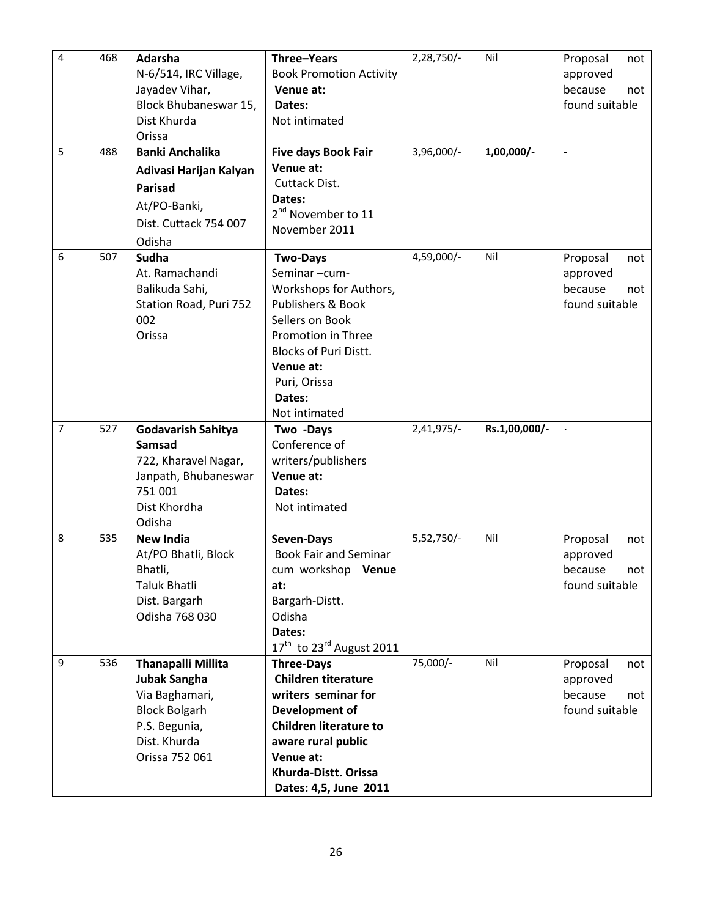| 4<br>5 | 468<br>488 | Adarsha<br>N-6/514, IRC Village,<br>Jayadev Vihar,<br>Block Bhubaneswar 15,<br>Dist Khurda<br>Orissa<br><b>Banki Anchalika</b><br>Adivasi Harijan Kalyan<br><b>Parisad</b><br>At/PO-Banki, | Three-Years<br><b>Book Promotion Activity</b><br>Venue at:<br>Dates:<br>Not intimated<br>Five days Book Fair<br>Venue at:<br>Cuttack Dist.<br>Dates:                                                                       | 2,28,750/-<br>3,96,000/- | Nil<br>$1,00,000/$ - | Proposal<br>not<br>approved<br>because<br>not<br>found suitable<br>$\blacksquare$ |
|--------|------------|--------------------------------------------------------------------------------------------------------------------------------------------------------------------------------------------|----------------------------------------------------------------------------------------------------------------------------------------------------------------------------------------------------------------------------|--------------------------|----------------------|-----------------------------------------------------------------------------------|
|        |            | Dist. Cuttack 754 007<br>Odisha                                                                                                                                                            | 2 <sup>nd</sup> November to 11<br>November 2011                                                                                                                                                                            |                          |                      |                                                                                   |
| 6      | 507        | Sudha<br>At. Ramachandi<br>Balikuda Sahi,<br>Station Road, Puri 752<br>002<br>Orissa                                                                                                       | <b>Two-Days</b><br>Seminar-cum-<br>Workshops for Authors,<br><b>Publishers &amp; Book</b><br>Sellers on Book<br>Promotion in Three<br><b>Blocks of Puri Distt.</b><br>Venue at:<br>Puri, Orissa<br>Dates:<br>Not intimated | 4,59,000/-               | Nil                  | Proposal<br>not<br>approved<br>because<br>not<br>found suitable                   |
| 7      | 527        | Godavarish Sahitya<br><b>Samsad</b><br>722, Kharavel Nagar,<br>Janpath, Bhubaneswar<br>751 001<br>Dist Khordha<br>Odisha                                                                   | Two -Days<br>Conference of<br>writers/publishers<br>Venue at:<br>Dates:<br>Not intimated                                                                                                                                   | $2,41,975/-$             | Rs.1,00,000/-        |                                                                                   |
| 8      | 535        | <b>New India</b><br>At/PO Bhatli, Block<br>Bhatli,<br>Taluk Bhatli<br>Dist. Bargarh<br>Odisha 768 030                                                                                      | Seven-Days<br><b>Book Fair and Seminar</b><br>cum workshop<br><b>Venue</b><br>at:<br>Bargarh-Distt.<br>Odisha<br>Dates:<br>$17th$ to 23 <sup>rd</sup> August 2011                                                          | 5,52,750/-               | Nil                  | Proposal<br>not<br>approved<br>because<br>not<br>found suitable                   |
| 9      | 536        | <b>Thanapalli Millita</b><br><b>Jubak Sangha</b><br>Via Baghamari,<br><b>Block Bolgarh</b><br>P.S. Begunia,<br>Dist. Khurda<br>Orissa 752 061                                              | <b>Three-Days</b><br><b>Children titerature</b><br>writers seminar for<br>Development of<br><b>Children literature to</b><br>aware rural public<br>Venue at:<br>Khurda-Distt. Orissa<br>Dates: 4,5, June 2011              | 75,000/-                 | Nil                  | Proposal<br>not<br>approved<br>because<br>not<br>found suitable                   |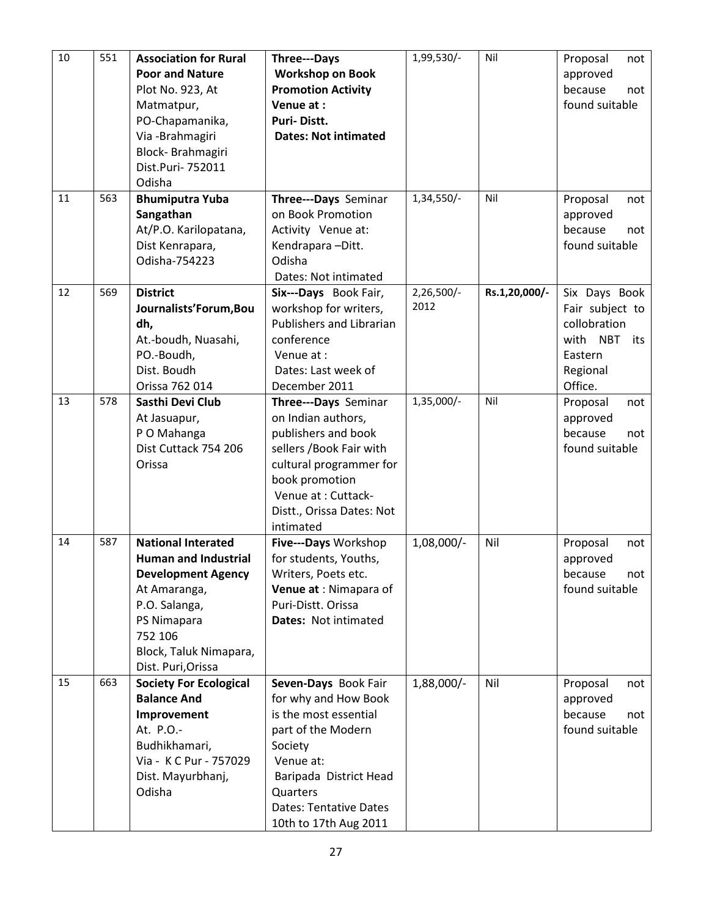| 10 | 551 | <b>Association for Rural</b>                        | Three---Days                                  | 1,99,530/-   | Nil           | Proposal<br>not                  |
|----|-----|-----------------------------------------------------|-----------------------------------------------|--------------|---------------|----------------------------------|
|    |     | <b>Poor and Nature</b>                              | <b>Workshop on Book</b>                       |              |               | approved                         |
|    |     | Plot No. 923, At                                    | <b>Promotion Activity</b>                     |              |               | because<br>not                   |
|    |     | Matmatpur,                                          | Venue at:                                     |              |               | found suitable                   |
|    |     | PO-Chapamanika,                                     | Puri-Distt.                                   |              |               |                                  |
|    |     | Via - Brahmagiri                                    | <b>Dates: Not intimated</b>                   |              |               |                                  |
|    |     | Block-Brahmagiri                                    |                                               |              |               |                                  |
|    |     | Dist.Puri- 752011                                   |                                               |              |               |                                  |
|    |     | Odisha                                              |                                               |              |               |                                  |
| 11 | 563 | <b>Bhumiputra Yuba</b>                              | Three---Days Seminar                          | 1,34,550/-   | Nil           | Proposal<br>not                  |
|    |     | Sangathan                                           | on Book Promotion                             |              |               | approved                         |
|    |     | At/P.O. Karilopatana,                               | Activity Venue at:                            |              |               | because<br>not                   |
|    |     | Dist Kenrapara,                                     | Kendrapara-Ditt.                              |              |               | found suitable                   |
|    |     | Odisha-754223                                       | Odisha                                        |              |               |                                  |
|    |     |                                                     | Dates: Not intimated                          |              |               |                                  |
| 12 | 569 | <b>District</b>                                     | Six---Days Book Fair,                         | $2,26,500/-$ | Rs.1,20,000/- | Six Days Book                    |
|    |     | Journalists'Forum, Bou                              | workshop for writers,                         | 2012         |               | Fair subject to                  |
|    |     | dh,                                                 | Publishers and Librarian                      |              |               | collobration                     |
|    |     | At.-boudh, Nuasahi,                                 | conference                                    |              |               | with<br><b>NBT</b><br>its        |
|    |     | PO.-Boudh,                                          | Venue at:                                     |              |               | Eastern                          |
|    |     | Dist. Boudh                                         | Dates: Last week of                           |              |               | Regional                         |
|    |     | Orissa 762 014                                      | December 2011                                 |              |               | Office.                          |
| 13 | 578 | Sasthi Devi Club                                    | Three---Days Seminar                          | 1,35,000/-   | Nil           | Proposal<br>not                  |
|    |     | At Jasuapur,                                        | on Indian authors,                            |              |               | approved                         |
|    |     | P O Mahanga                                         | publishers and book                           |              |               | because<br>not                   |
|    |     | Dist Cuttack 754 206                                | sellers / Book Fair with                      |              |               | found suitable                   |
|    |     | Orissa                                              | cultural programmer for                       |              |               |                                  |
|    |     |                                                     | book promotion                                |              |               |                                  |
|    |     |                                                     | Venue at : Cuttack-                           |              |               |                                  |
|    |     |                                                     | Distt., Orissa Dates: Not                     |              |               |                                  |
|    |     |                                                     | intimated                                     |              |               |                                  |
| 14 | 587 | <b>National Interated</b>                           | Five---Days Workshop                          | 1,08,000/-   | Nil           | Proposal<br>not                  |
|    |     | <b>Human and Industrial</b>                         | for students, Youths,                         |              |               | approved                         |
|    |     | <b>Development Agency</b>                           | Writers, Poets etc.                           |              |               | because<br>not                   |
|    |     | At Amaranga,                                        | Venue at : Nimapara of                        |              |               | found suitable                   |
|    |     | P.O. Salanga,                                       | Puri-Distt. Orissa                            |              |               |                                  |
|    |     | PS Nimapara                                         | Dates: Not intimated                          |              |               |                                  |
|    |     | 752 106                                             |                                               |              |               |                                  |
|    |     | Block, Taluk Nimapara,                              |                                               |              |               |                                  |
|    |     | Dist. Puri, Orissa                                  |                                               |              |               |                                  |
| 15 | 663 | <b>Society For Ecological</b><br><b>Balance And</b> | Seven-Days Book Fair                          | 1,88,000/-   | Nil           | Proposal<br>not                  |
|    |     |                                                     | for why and How Book<br>is the most essential |              |               | approved                         |
|    |     | Improvement<br>At. P.O.-                            | part of the Modern                            |              |               | because<br>not<br>found suitable |
|    |     | Budhikhamari,                                       |                                               |              |               |                                  |
|    |     | Via - K C Pur - 757029                              | Society<br>Venue at:                          |              |               |                                  |
|    |     |                                                     |                                               |              |               |                                  |
|    |     | Dist. Mayurbhanj,<br>Odisha                         | Baripada District Head<br>Quarters            |              |               |                                  |
|    |     |                                                     | <b>Dates: Tentative Dates</b>                 |              |               |                                  |
|    |     |                                                     |                                               |              |               |                                  |
|    |     |                                                     | 10th to 17th Aug 2011                         |              |               |                                  |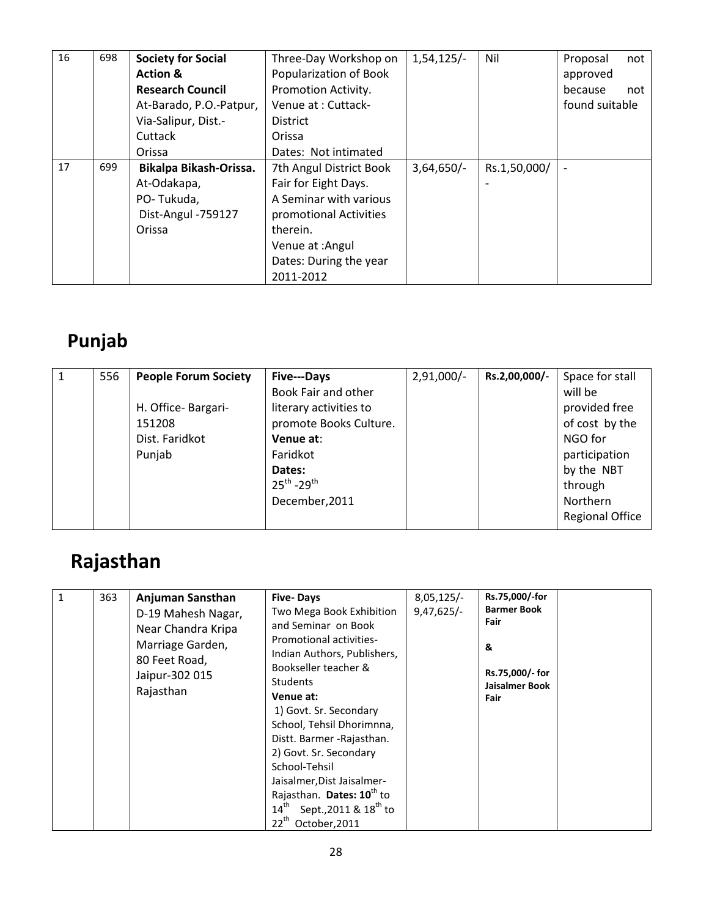| 16 | 698 | <b>Society for Social</b> | Three-Day Workshop on   | $1,54,125/-$ | Nil          | Proposal<br>not          |
|----|-----|---------------------------|-------------------------|--------------|--------------|--------------------------|
|    |     | <b>Action &amp;</b>       | Popularization of Book  |              |              | approved                 |
|    |     | <b>Research Council</b>   | Promotion Activity.     |              |              | because<br>not           |
|    |     | At-Barado, P.O.-Patpur,   | Venue at: Cuttack-      |              |              | found suitable           |
|    |     | Via-Salipur, Dist.-       | <b>District</b>         |              |              |                          |
|    |     | Cuttack                   | Orissa                  |              |              |                          |
|    |     | Orissa                    | Dates: Not intimated    |              |              |                          |
| 17 | 699 | Bikalpa Bikash-Orissa.    | 7th Angul District Book | $3,64,650/-$ | Rs.1,50,000/ | $\overline{\phantom{a}}$ |
|    |     | At-Odakapa,               | Fair for Eight Days.    |              |              |                          |
|    |     | PO-Tukuda,                | A Seminar with various  |              |              |                          |
|    |     | Dist-Angul -759127        | promotional Activities  |              |              |                          |
|    |     | Orissa                    | therein.                |              |              |                          |
|    |     |                           | Venue at : Angul        |              |              |                          |
|    |     |                           | Dates: During the year  |              |              |                          |
|    |     |                           | 2011-2012               |              |              |                          |

## Punjab

| $\mathbf{1}$ | 556 | <b>People Forum Society</b> | Five---Days            | $2,91,000/-$ | Rs.2,00,000/- | Space for stall        |
|--------------|-----|-----------------------------|------------------------|--------------|---------------|------------------------|
|              |     |                             | Book Fair and other    |              |               | will be                |
|              |     | H. Office-Bargari-          | literary activities to |              |               | provided free          |
|              |     | 151208                      | promote Books Culture. |              |               | of cost by the         |
|              |     | Dist. Faridkot              | Venue at:              |              |               | NGO for                |
|              |     | Punjab                      | Faridkot               |              |               | participation          |
|              |     |                             | Dates:                 |              |               | by the NBT             |
|              |     |                             | $25^{th} - 29^{th}$    |              |               | through                |
|              |     |                             | December, 2011         |              |               | <b>Northern</b>        |
|              |     |                             |                        |              |               | <b>Regional Office</b> |

# Rajasthan

| $14^{\text{th}}$<br>Sept., 2011 & 18 <sup>th</sup> to | $\mathbf{1}$<br>363 | Anjuman Sansthan<br>D-19 Mahesh Nagar,<br>Near Chandra Kripa<br>Marriage Garden,<br>80 Feet Road,<br>Jaipur-302 015<br>Rajasthan | <b>Five-Days</b><br>Two Mega Book Exhibition<br>and Seminar on Book<br>Promotional activities-<br>Indian Authors, Publishers,<br>Bookseller teacher &<br><b>Students</b><br>Venue at:<br>1) Govt. Sr. Secondary<br>School, Tehsil Dhorimnna,<br>Distt. Barmer - Rajasthan.<br>2) Govt. Sr. Secondary<br>School-Tehsil<br>Jaisalmer, Dist Jaisalmer-<br>Rajasthan. Dates: 10 <sup>th</sup> to | $8,05,125/-$<br>$9,47,625/-$ | Rs.75,000/-for<br><b>Barmer Book</b><br>Fair<br>&<br>Rs.75,000/- for<br>Jaisalmer Book<br>Fair |
|-------------------------------------------------------|---------------------|----------------------------------------------------------------------------------------------------------------------------------|----------------------------------------------------------------------------------------------------------------------------------------------------------------------------------------------------------------------------------------------------------------------------------------------------------------------------------------------------------------------------------------------|------------------------------|------------------------------------------------------------------------------------------------|
|-------------------------------------------------------|---------------------|----------------------------------------------------------------------------------------------------------------------------------|----------------------------------------------------------------------------------------------------------------------------------------------------------------------------------------------------------------------------------------------------------------------------------------------------------------------------------------------------------------------------------------------|------------------------------|------------------------------------------------------------------------------------------------|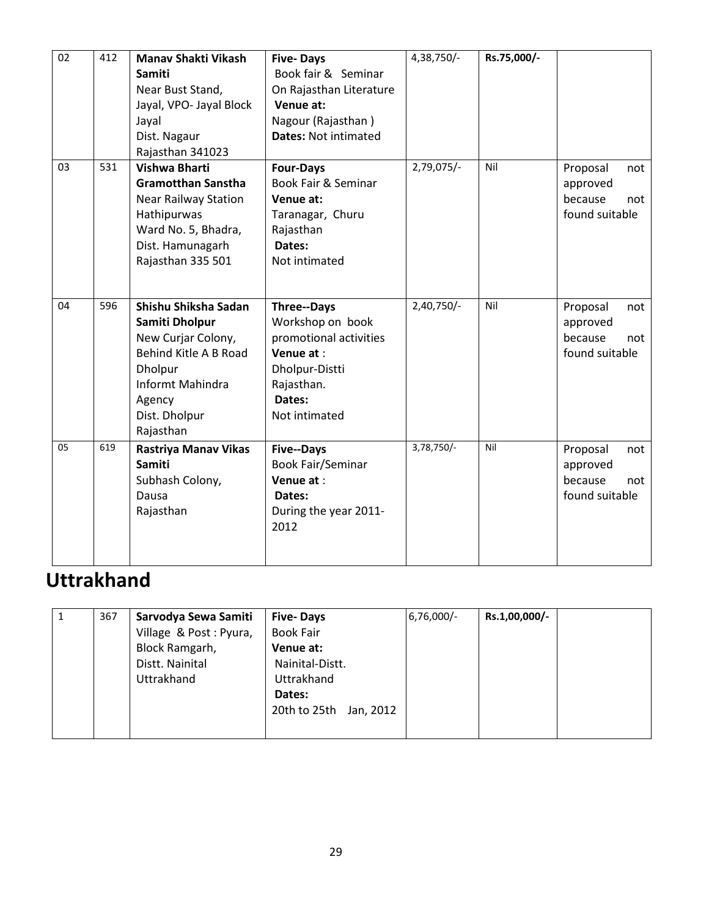| 02 | 412 | <b>Manav Shakti Vikash</b><br><b>Samiti</b><br>Near Bust Stand,<br>Jayal, VPO- Jayal Block<br>Jayal<br>Dist. Nagaur<br>Rajasthan 341023                             | <b>Five-Days</b><br>Book fair & Seminar<br>On Rajasthan Literature<br>Venue at:<br>Nagour (Rajasthan)<br><b>Dates: Not intimated</b> | 4,38,750/- | Rs.75,000/- |                                                                 |
|----|-----|---------------------------------------------------------------------------------------------------------------------------------------------------------------------|--------------------------------------------------------------------------------------------------------------------------------------|------------|-------------|-----------------------------------------------------------------|
| 03 | 531 | Vishwa Bharti<br><b>Gramotthan Sanstha</b><br><b>Near Railway Station</b><br>Hathipurwas<br>Ward No. 5, Bhadra,<br>Dist. Hamunagarh<br>Rajasthan 335 501            | <b>Four-Days</b><br>Book Fair & Seminar<br>Venue at:<br>Taranagar, Churu<br>Rajasthan<br>Dates:<br>Not intimated                     | 2,79,075/- | Nil         | Proposal<br>not<br>approved<br>because<br>not<br>found suitable |
| 04 | 596 | Shishu Shiksha Sadan<br>Samiti Dholpur<br>New Curjar Colony,<br>Behind Kitle A B Road<br><b>Dholpur</b><br>Informt Mahindra<br>Agency<br>Dist. Dholpur<br>Rajasthan | Three--Days<br>Workshop on book<br>promotional activities<br>Venue at:<br>Dholpur-Distti<br>Rajasthan.<br>Dates:<br>Not intimated    | 2,40,750/- | Nil         | Proposal<br>not<br>approved<br>because<br>not<br>found suitable |
| 05 | 619 | Rastriya Manav Vikas<br><b>Samiti</b><br>Subhash Colony,<br>Dausa<br>Rajasthan                                                                                      | <b>Five--Days</b><br><b>Book Fair/Seminar</b><br>Venue at:<br>Dates:<br>During the year 2011-<br>2012                                | 3,78,750/- | Nil         | Proposal<br>not<br>approved<br>because<br>not<br>found suitable |

# Uttrakhand

| 367 | Sarvodya Sewa Samiti   | <b>Five-Days</b>          | $6,76,000/-$ | Rs.1,00,000/- |  |
|-----|------------------------|---------------------------|--------------|---------------|--|
|     | Village & Post: Pyura, | <b>Book Fair</b>          |              |               |  |
|     | Block Ramgarh,         | Venue at:                 |              |               |  |
|     | Distt. Nainital        | Nainital-Distt.           |              |               |  |
|     | Uttrakhand             | Uttrakhand                |              |               |  |
|     |                        | Dates:                    |              |               |  |
|     |                        | 20th to 25th<br>Jan, 2012 |              |               |  |
|     |                        |                           |              |               |  |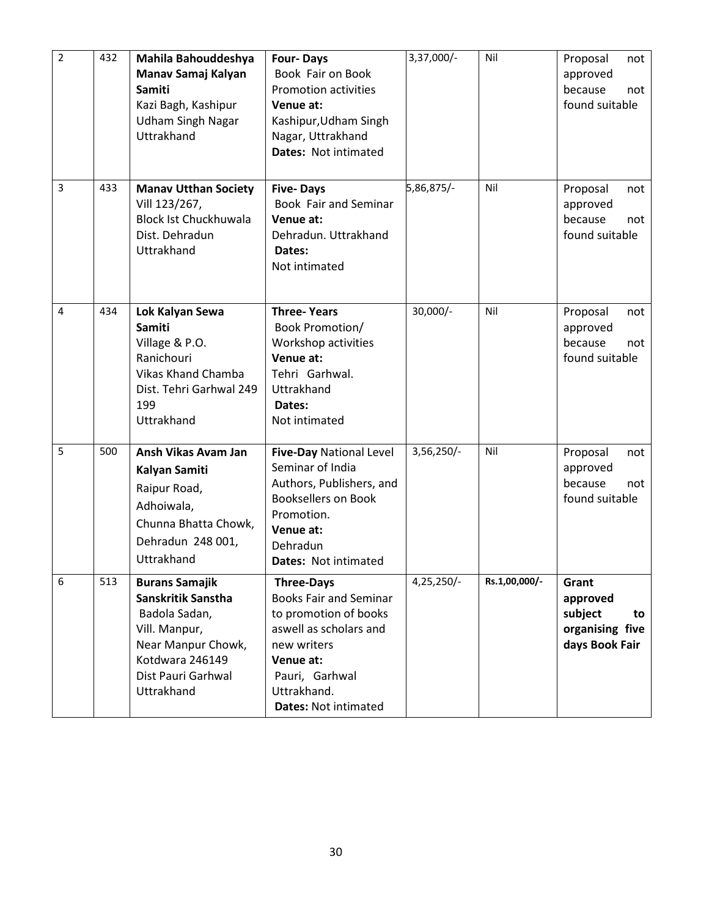| $\overline{2}$ | 432 | Mahila Bahouddeshya<br>Manav Samaj Kalyan<br><b>Samiti</b><br>Kazi Bagh, Kashipur<br><b>Udham Singh Nagar</b><br>Uttrakhand                                | <b>Four-Days</b><br>Book Fair on Book<br><b>Promotion activities</b><br>Venue at:<br>Kashipur, Udham Singh<br>Nagar, Uttrakhand<br>Dates: Not intimated                                           | 3,37,000/- | Nil           | Proposal<br>not<br>approved<br>because<br>not<br>found suitable         |
|----------------|-----|------------------------------------------------------------------------------------------------------------------------------------------------------------|---------------------------------------------------------------------------------------------------------------------------------------------------------------------------------------------------|------------|---------------|-------------------------------------------------------------------------|
| 3              | 433 | <b>Manav Utthan Society</b><br>Vill 123/267,<br><b>Block Ist Chuckhuwala</b><br>Dist. Dehradun<br>Uttrakhand                                               | <b>Five-Days</b><br>Book Fair and Seminar<br>Venue at:<br>Dehradun. Uttrakhand<br>Dates:<br>Not intimated                                                                                         | 5,86,875/- | Nil           | Proposal<br>not<br>approved<br>because<br>not<br>found suitable         |
| 4              | 434 | Lok Kalyan Sewa<br><b>Samiti</b><br>Village & P.O.<br>Ranichouri<br><b>Vikas Khand Chamba</b><br>Dist. Tehri Garhwal 249<br>199<br>Uttrakhand              | <b>Three-Years</b><br>Book Promotion/<br>Workshop activities<br>Venue at:<br>Tehri Garhwal.<br>Uttrakhand<br>Dates:<br>Not intimated                                                              | $30,000/-$ | Nil           | Proposal<br>not<br>approved<br>because<br>not<br>found suitable         |
| 5              | 500 | Ansh Vikas Avam Jan<br>Kalyan Samiti<br>Raipur Road,<br>Adhoiwala,<br>Chunna Bhatta Chowk,<br>Dehradun 248 001,<br>Uttrakhand                              | <b>Five-Day National Level</b><br>Seminar of India<br>Authors, Publishers, and<br><b>Booksellers on Book</b><br>Promotion.<br>Venue at:<br>Dehradun<br><b>Dates: Not intimated</b>                | 3,56,250/- | Nil           | Proposal<br>not<br>approved<br>because<br>not<br>found suitable         |
| 6              | 513 | <b>Burans Samajik</b><br>Sanskritik Sanstha<br>Badola Sadan,<br>Vill. Manpur,<br>Near Manpur Chowk,<br>Kotdwara 246149<br>Dist Pauri Garhwal<br>Uttrakhand | <b>Three-Days</b><br><b>Books Fair and Seminar</b><br>to promotion of books<br>aswell as scholars and<br>new writers<br>Venue at:<br>Pauri, Garhwal<br>Uttrakhand.<br><b>Dates: Not intimated</b> | 4,25,250/- | Rs.1,00,000/- | Grant<br>approved<br>subject<br>to<br>organising five<br>days Book Fair |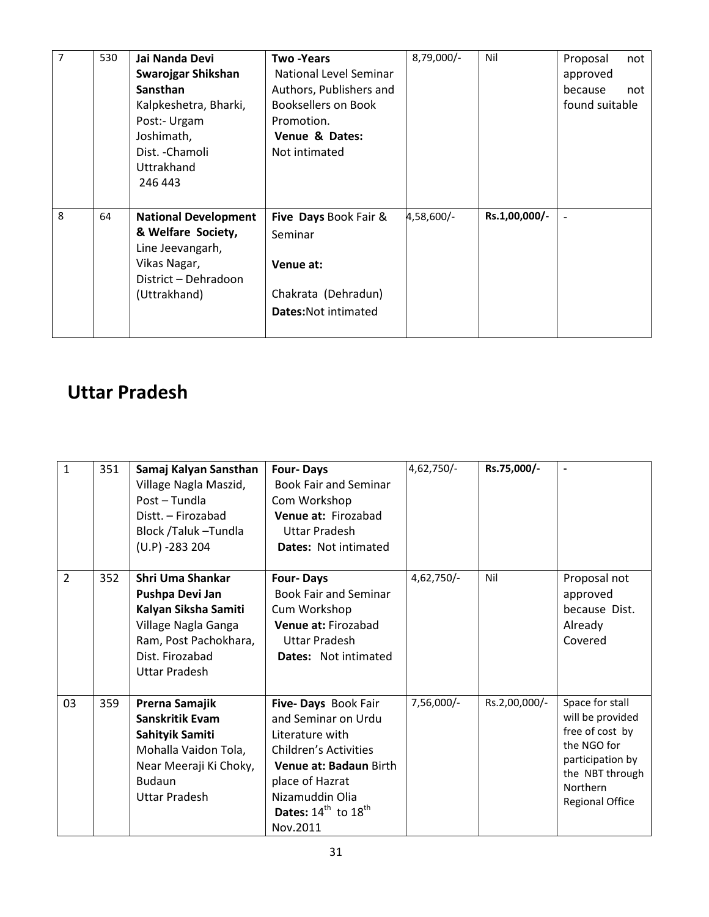| $\overline{7}$ | 530 | Jai Nanda Devi<br>Swarojgar Shikshan<br><b>Sansthan</b><br>Kalpkeshetra, Bharki,<br>Post:- Urgam<br>Joshimath,<br>Dist. - Chamoli<br>Uttrakhand<br>246 443 | Two -Years<br>National Level Seminar<br>Authors, Publishers and<br>Booksellers on Book<br>Promotion.<br>Venue & Dates:<br>Not intimated | 8,79,000/- | Nil           | Proposal<br>not<br>approved<br>because<br>not<br>found suitable |
|----------------|-----|------------------------------------------------------------------------------------------------------------------------------------------------------------|-----------------------------------------------------------------------------------------------------------------------------------------|------------|---------------|-----------------------------------------------------------------|
| 8              | 64  | <b>National Development</b><br>& Welfare Society,<br>Line Jeevangarh,<br>Vikas Nagar,<br>District - Dehradoon<br>(Uttrakhand)                              | Five Days Book Fair &<br>Seminar<br>Venue at:<br>Chakrata (Dehradun)<br><b>Dates: Not intimated</b>                                     | 4,58,600/- | Rs.1,00,000/- |                                                                 |

### Uttar Pradesh

| $\mathbf{1}$   | 351 | Samaj Kalyan Sansthan<br>Village Nagla Maszid,<br>Post - Tundla<br>Distt. - Firozabad<br>Block /Taluk -Tundla<br>$(U.P) - 283204$               | <b>Four-Days</b><br><b>Book Fair and Seminar</b><br>Com Workshop<br>Venue at: Firozabad<br><b>Uttar Pradesh</b><br><b>Dates: Not intimated</b>                                                        | 4,62,750/-   | Rs.75,000/-   |                                                                                                                                                    |
|----------------|-----|-------------------------------------------------------------------------------------------------------------------------------------------------|-------------------------------------------------------------------------------------------------------------------------------------------------------------------------------------------------------|--------------|---------------|----------------------------------------------------------------------------------------------------------------------------------------------------|
| $\overline{2}$ | 352 | Shri Uma Shankar<br>Pushpa Devi Jan<br>Kalyan Siksha Samiti<br>Village Nagla Ganga<br>Ram, Post Pachokhara,<br>Dist. Firozabad<br>Uttar Pradesh | <b>Four-Days</b><br><b>Book Fair and Seminar</b><br>Cum Workshop<br>Venue at: Firozabad<br>Uttar Pradesh<br><b>Dates:</b> Not intimated                                                               | 4,62,750/-   | Nil           | Proposal not<br>approved<br>because Dist.<br>Already<br>Covered                                                                                    |
| 03             | 359 | Prerna Samajik<br>Sanskritik Evam<br>Sahityik Samiti<br>Mohalla Vaidon Tola,<br>Near Meeraji Ki Choky,<br><b>Budaun</b><br>Uttar Pradesh        | Five- Days Book Fair<br>and Seminar on Urdu<br>Literature with<br><b>Children's Activities</b><br>Venue at: Badaun Birth<br>place of Hazrat<br>Nizamuddin Olia<br>Dates: $14th$ to $18th$<br>Nov.2011 | $7,56,000/-$ | Rs.2,00,000/- | Space for stall<br>will be provided<br>free of cost by<br>the NGO for<br>participation by<br>the NBT through<br>Northern<br><b>Regional Office</b> |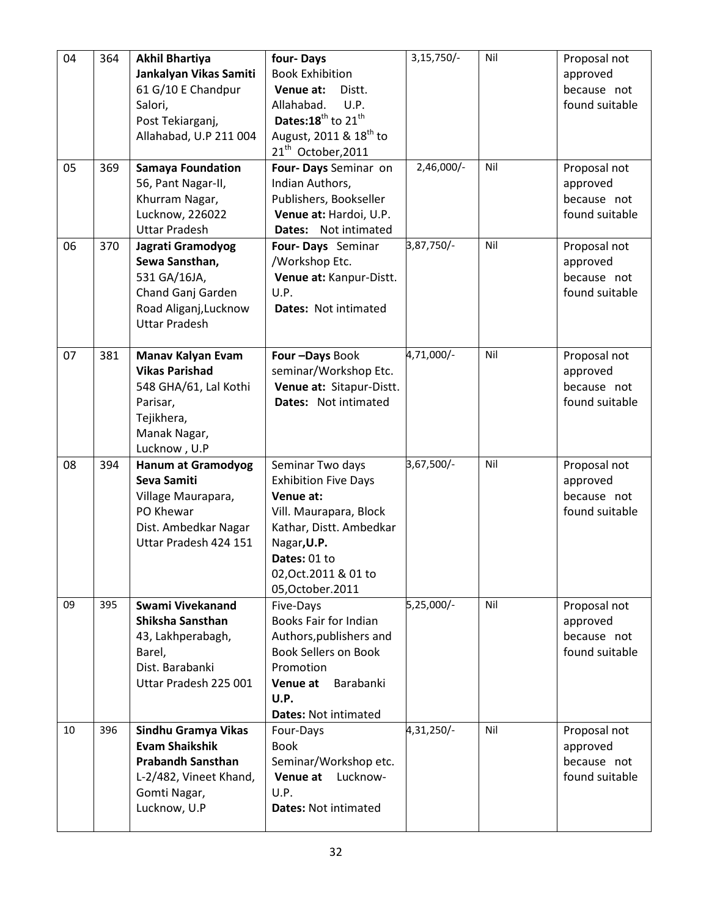| 04 | 364 | <b>Akhil Bhartiya</b><br>Jankalyan Vikas Samiti<br>61 G/10 E Chandpur<br>Salori,<br>Post Tekiarganj,<br>Allahabad, U.P 211 004     | four-Days<br><b>Book Exhibition</b><br>Venue at:<br>Distt.<br>Allahabad.<br>U.P.<br>Dates: 18 <sup>th</sup> to 21 <sup>th</sup><br>August, 2011 & 18 <sup>th</sup> to<br>21 <sup>th</sup> October, 2011 | $3,15,750/-$ | Nil | Proposal not<br>approved<br>because not<br>found suitable |
|----|-----|------------------------------------------------------------------------------------------------------------------------------------|---------------------------------------------------------------------------------------------------------------------------------------------------------------------------------------------------------|--------------|-----|-----------------------------------------------------------|
| 05 | 369 | <b>Samaya Foundation</b><br>56, Pant Nagar-II,<br>Khurram Nagar,<br>Lucknow, 226022<br><b>Uttar Pradesh</b>                        | Four- Days Seminar on<br>Indian Authors,<br>Publishers, Bookseller<br>Venue at: Hardoi, U.P.<br>Dates: Not intimated                                                                                    | 2,46,000/-   | Nil | Proposal not<br>approved<br>because not<br>found suitable |
| 06 | 370 | Jagrati Gramodyog<br>Sewa Sansthan,<br>531 GA/16JA,<br>Chand Ganj Garden<br>Road Aliganj, Lucknow<br><b>Uttar Pradesh</b>          | Four-Days Seminar<br>/Workshop Etc.<br>Venue at: Kanpur-Distt.<br>U.P.<br><b>Dates: Not intimated</b>                                                                                                   | 3,87,750/-   | Nil | Proposal not<br>approved<br>because not<br>found suitable |
| 07 | 381 | Manav Kalyan Evam<br><b>Vikas Parishad</b><br>548 GHA/61, Lal Kothi<br>Parisar,<br>Tejikhera,<br>Manak Nagar,<br>Lucknow, U.P      | Four-Days Book<br>seminar/Workshop Etc.<br>Venue at: Sitapur-Distt.<br>Dates: Not intimated                                                                                                             | 4,71,000/-   | Nil | Proposal not<br>approved<br>because not<br>found suitable |
| 08 | 394 | <b>Hanum at Gramodyog</b><br>Seva Samiti<br>Village Maurapara,<br>PO Khewar<br>Dist. Ambedkar Nagar<br>Uttar Pradesh 424 151       | Seminar Two days<br><b>Exhibition Five Days</b><br>Venue at:<br>Vill. Maurapara, Block<br>Kathar, Distt. Ambedkar<br>Nagar, U.P.<br>Dates: 01 to<br>02, Oct. 2011 & 01 to<br>05, October. 2011          | 3,67,500/-   | Nil | Proposal not<br>approved<br>because not<br>found suitable |
| 09 | 395 | Swami Vivekanand<br>Shiksha Sansthan<br>43, Lakhperabagh,<br>Barel,<br>Dist. Barabanki<br>Uttar Pradesh 225 001                    | Five-Days<br>Books Fair for Indian<br>Authors, publishers and<br><b>Book Sellers on Book</b><br>Promotion<br>Barabanki<br>Venue at<br>U.P.<br><b>Dates: Not intimated</b>                               | 5,25,000/-   | Nil | Proposal not<br>approved<br>because not<br>found suitable |
| 10 | 396 | Sindhu Gramya Vikas<br><b>Evam Shaikshik</b><br><b>Prabandh Sansthan</b><br>L-2/482, Vineet Khand,<br>Gomti Nagar,<br>Lucknow, U.P | Four-Days<br><b>Book</b><br>Seminar/Workshop etc.<br>Venue at<br>Lucknow-<br>U.P.<br><b>Dates: Not intimated</b>                                                                                        | 4,31,250/-   | Nil | Proposal not<br>approved<br>because not<br>found suitable |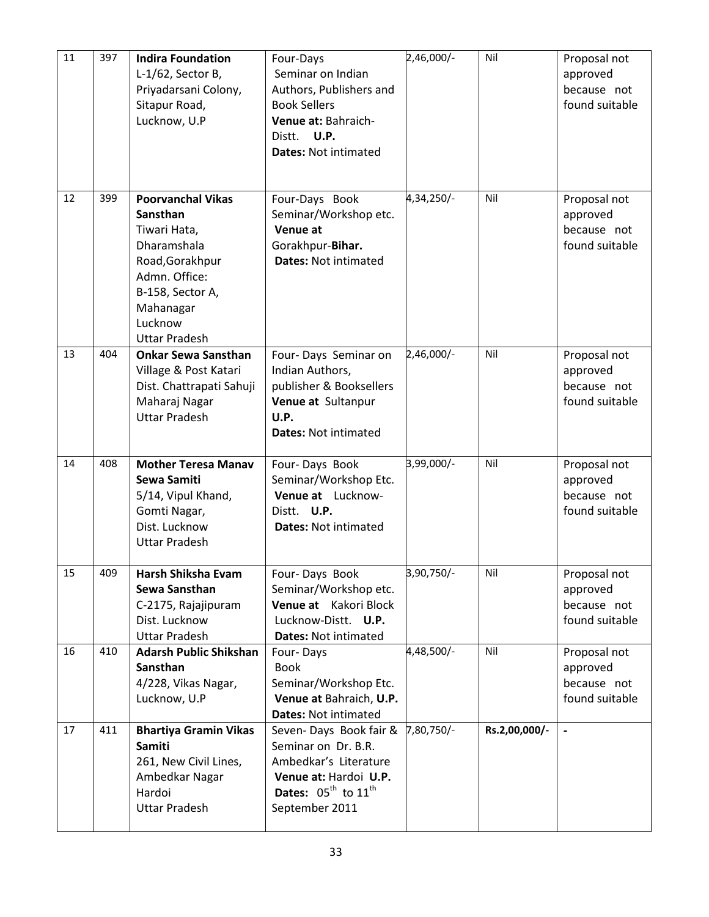| 11 | 397 | <b>Indira Foundation</b><br>$L-1/62$ , Sector B,<br>Priyadarsani Colony,<br>Sitapur Road,<br>Lucknow, U.P                                                                   | Four-Days<br>Seminar on Indian<br>Authors, Publishers and<br><b>Book Sellers</b><br>Venue at: Bahraich-<br>Distt. U.P.<br><b>Dates: Not intimated</b>            | 2,46,000/- | Nil           | Proposal not<br>approved<br>because not<br>found suitable |
|----|-----|-----------------------------------------------------------------------------------------------------------------------------------------------------------------------------|------------------------------------------------------------------------------------------------------------------------------------------------------------------|------------|---------------|-----------------------------------------------------------|
| 12 | 399 | <b>Poorvanchal Vikas</b><br>Sansthan<br>Tiwari Hata,<br>Dharamshala<br>Road, Gorakhpur<br>Admn. Office:<br>B-158, Sector A,<br>Mahanagar<br>Lucknow<br><b>Uttar Pradesh</b> | Four-Days Book<br>Seminar/Workshop etc.<br><b>Venue at</b><br>Gorakhpur-Bihar.<br><b>Dates: Not intimated</b>                                                    | 4,34,250/- | Nil           | Proposal not<br>approved<br>because not<br>found suitable |
| 13 | 404 | <b>Onkar Sewa Sansthan</b><br>Village & Post Katari<br>Dist. Chattrapati Sahuji<br>Maharaj Nagar<br><b>Uttar Pradesh</b>                                                    | Four-Days Seminar on<br>Indian Authors,<br>publisher & Booksellers<br>Venue at Sultanpur<br>U.P.<br><b>Dates: Not intimated</b>                                  | 2,46,000/- | Nil           | Proposal not<br>approved<br>because not<br>found suitable |
| 14 | 408 | <b>Mother Teresa Manav</b><br>Sewa Samiti<br>5/14, Vipul Khand,<br>Gomti Nagar,<br>Dist. Lucknow<br><b>Uttar Pradesh</b>                                                    | Four-Days Book<br>Seminar/Workshop Etc.<br>Venue at Lucknow-<br>Distt. U.P.<br><b>Dates: Not intimated</b>                                                       | 3,99,000/- | Nil           | Proposal not<br>approved<br>because not<br>found suitable |
| 15 | 409 | Harsh Shiksha Evam<br>Sewa Sansthan<br>C-2175, Rajajipuram<br>Dist. Lucknow<br><b>Uttar Pradesh</b>                                                                         | Four-Days Book<br>Seminar/Workshop etc.<br>Venue at Kakori Block<br>Lucknow-Distt. U.P.<br>Dates: Not intimated                                                  | 3,90,750/- | Nil           | Proposal not<br>approved<br>because not<br>found suitable |
| 16 | 410 | <b>Adarsh Public Shikshan</b><br><b>Sansthan</b><br>4/228, Vikas Nagar,<br>Lucknow, U.P                                                                                     | Four-Days<br><b>Book</b><br>Seminar/Workshop Etc.<br>Venue at Bahraich, U.P.<br><b>Dates: Not intimated</b>                                                      | 4,48,500/- | Nil           | Proposal not<br>approved<br>because not<br>found suitable |
| 17 | 411 | <b>Bhartiya Gramin Vikas</b><br>Samiti<br>261, New Civil Lines,<br>Ambedkar Nagar<br>Hardoi<br><b>Uttar Pradesh</b>                                                         | Seven-Days Book fair &<br>Seminar on Dr. B.R.<br>Ambedkar's Literature<br>Venue at: Hardoi U.P.<br>Dates: $05^{\text{th}}$ to $11^{\text{th}}$<br>September 2011 | 7,80,750/- | Rs.2,00,000/- | $\overline{\phantom{a}}$                                  |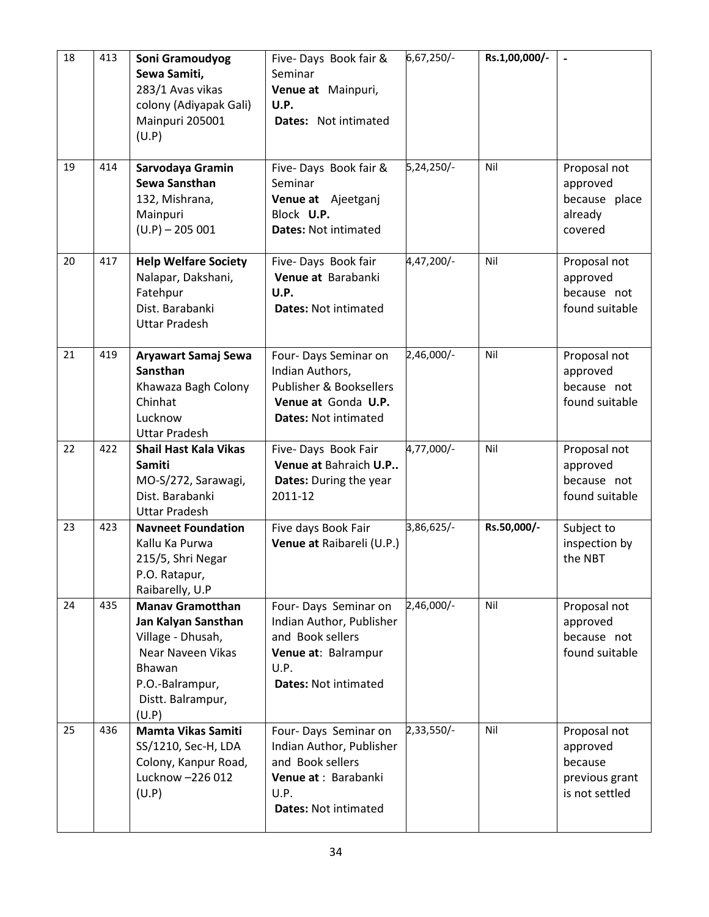| 18 | 413 | Soni Gramoudyog<br>Sewa Samiti,<br>283/1 Avas vikas<br>colony (Adiyapak Gali)<br>Mainpuri 205001<br>(U.P)                                           | Five-Days Book fair &<br>Seminar<br>Venue at Mainpuri,<br>U.P.<br>Dates: Not intimated                                               | 6,67,250/- | Rs.1,00,000/- |                                                                         |
|----|-----|-----------------------------------------------------------------------------------------------------------------------------------------------------|--------------------------------------------------------------------------------------------------------------------------------------|------------|---------------|-------------------------------------------------------------------------|
| 19 | 414 | Sarvodaya Gramin<br>Sewa Sansthan<br>132, Mishrana,<br>Mainpuri<br>$(U.P) - 205001$                                                                 | Five-Days Book fair &<br>Seminar<br>Venue at Ajeetganj<br>Block U.P.<br><b>Dates: Not intimated</b>                                  | 5,24,250/- | Nil           | Proposal not<br>approved<br>because place<br>already<br>covered         |
| 20 | 417 | <b>Help Welfare Society</b><br>Nalapar, Dakshani,<br>Fatehpur<br>Dist. Barabanki<br><b>Uttar Pradesh</b>                                            | Five-Days Book fair<br>Venue at Barabanki<br>U.P.<br><b>Dates: Not intimated</b>                                                     | 4,47,200/- | Nil           | Proposal not<br>approved<br>because not<br>found suitable               |
| 21 | 419 | Aryawart Samaj Sewa<br><b>Sansthan</b><br>Khawaza Bagh Colony<br>Chinhat<br>Lucknow<br><b>Uttar Pradesh</b>                                         | Four- Days Seminar on<br>Indian Authors,<br><b>Publisher &amp; Booksellers</b><br>Venue at Gonda U.P.<br><b>Dates: Not intimated</b> | 2,46,000/- | Nil           | Proposal not<br>approved<br>because not<br>found suitable               |
| 22 | 422 | <b>Shail Hast Kala Vikas</b><br>Samiti<br>MO-S/272, Sarawagi,<br>Dist. Barabanki<br><b>Uttar Pradesh</b>                                            | Five-Days Book Fair<br>Venue at Bahraich U.P<br>Dates: During the year<br>2011-12                                                    | 4,77,000/- | Nil           | Proposal not<br>approved<br>because not<br>found suitable               |
| 23 | 423 | <b>Navneet Foundation</b><br>Kallu Ka Purwa<br>215/5, Shri Negar<br>P.O. Ratapur,<br>Raibarelly, U.P                                                | Five days Book Fair<br>Venue at Raibareli (U.P.)                                                                                     | 3,86,625/- | Rs.50,000/-   | Subject to<br>inspection by<br>the NBT                                  |
| 24 | 435 | <b>Manay Gramotthan</b><br>Jan Kalyan Sansthan<br>Village - Dhusah,<br>Near Naveen Vikas<br>Bhawan<br>P.O.-Balrampur,<br>Distt. Balrampur,<br>(U.P) | Four-Days Seminar on<br>Indian Author, Publisher<br>and Book sellers<br>Venue at: Balrampur<br>U.P.<br><b>Dates: Not intimated</b>   | 2,46,000/- | Nil           | Proposal not<br>approved<br>because not<br>found suitable               |
| 25 | 436 | <b>Mamta Vikas Samiti</b><br>SS/1210, Sec-H, LDA<br>Colony, Kanpur Road,<br>Lucknow -226 012<br>(U.P)                                               | Four-Days Seminar on<br>Indian Author, Publisher<br>and Book sellers<br>Venue at: Barabanki<br>U.P.<br><b>Dates: Not intimated</b>   | 2,33,550/- | Nil           | Proposal not<br>approved<br>because<br>previous grant<br>is not settled |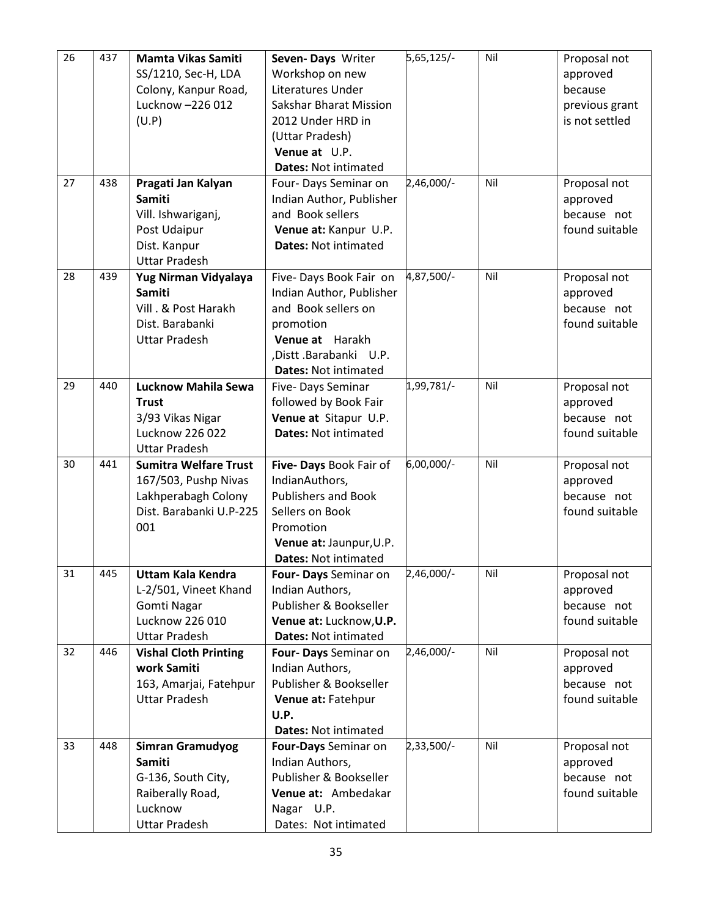| 26 | 437 | Mamta Vikas Samiti                  | Seven-Days Writer           | 5,65,125/- | Nil | Proposal not   |
|----|-----|-------------------------------------|-----------------------------|------------|-----|----------------|
|    |     | SS/1210, Sec-H, LDA                 | Workshop on new             |            |     | approved       |
|    |     | Colony, Kanpur Road,                | Literatures Under           |            |     | because        |
|    |     | Lucknow -226 012                    | Sakshar Bharat Mission      |            |     | previous grant |
|    |     | (U.P)                               | 2012 Under HRD in           |            |     | is not settled |
|    |     |                                     | (Uttar Pradesh)             |            |     |                |
|    |     |                                     | Venue at U.P.               |            |     |                |
|    |     |                                     | <b>Dates: Not intimated</b> |            |     |                |
| 27 | 438 |                                     |                             | 2,46,000/- | Nil | Proposal not   |
|    |     | Pragati Jan Kalyan<br><b>Samiti</b> | Four- Days Seminar on       |            |     |                |
|    |     |                                     | Indian Author, Publisher    |            |     | approved       |
|    |     | Vill. Ishwariganj,                  | and Book sellers            |            |     | because not    |
|    |     | Post Udaipur                        | Venue at: Kanpur U.P.       |            |     | found suitable |
|    |     | Dist. Kanpur                        | <b>Dates: Not intimated</b> |            |     |                |
|    |     | <b>Uttar Pradesh</b>                |                             |            |     |                |
| 28 | 439 | Yug Nirman Vidyalaya                | Five-Days Book Fair on      | 4,87,500/- | Nil | Proposal not   |
|    |     | <b>Samiti</b>                       | Indian Author, Publisher    |            |     | approved       |
|    |     | Vill . & Post Harakh                | and Book sellers on         |            |     | because not    |
|    |     | Dist. Barabanki                     | promotion                   |            |     | found suitable |
|    |     | <b>Uttar Pradesh</b>                | Venue at Harakh             |            |     |                |
|    |     |                                     | ,Distt .Barabanki U.P.      |            |     |                |
|    |     |                                     | <b>Dates: Not intimated</b> |            |     |                |
| 29 | 440 | Lucknow Mahila Sewa                 | Five-Days Seminar           | 1,99,781/- | Nil | Proposal not   |
|    |     | <b>Trust</b>                        | followed by Book Fair       |            |     | approved       |
|    |     | 3/93 Vikas Nigar                    | Venue at Sitapur U.P.       |            |     | because not    |
|    |     | Lucknow 226 022                     | <b>Dates: Not intimated</b> |            |     | found suitable |
|    |     | <b>Uttar Pradesh</b>                |                             |            |     |                |
| 30 | 441 | <b>Sumitra Welfare Trust</b>        | Five- Days Book Fair of     | 6,00,000/- | Nil | Proposal not   |
|    |     | 167/503, Pushp Nivas                | IndianAuthors,              |            |     | approved       |
|    |     | Lakhperabagh Colony                 | <b>Publishers and Book</b>  |            |     | because not    |
|    |     | Dist. Barabanki U.P-225             | Sellers on Book             |            |     | found suitable |
|    |     | 001                                 | Promotion                   |            |     |                |
|    |     |                                     | Venue at: Jaunpur, U.P.     |            |     |                |
|    |     |                                     | <b>Dates: Not intimated</b> |            |     |                |
| 31 | 445 | <b>Uttam Kala Kendra</b>            | Four- Days Seminar on       | 2,46,000/- | Nil | Proposal not   |
|    |     | L-2/501, Vineet Khand               | Indian Authors,             |            |     | approved       |
|    |     | Gomti Nagar                         | Publisher & Bookseller      |            |     | because not    |
|    |     | Lucknow 226 010                     | Venue at: Lucknow, U.P.     |            |     | found suitable |
|    |     | <b>Uttar Pradesh</b>                | <b>Dates: Not intimated</b> |            |     |                |
| 32 | 446 | <b>Vishal Cloth Printing</b>        | Four- Days Seminar on       | 2,46,000/- | Nil | Proposal not   |
|    |     | work Samiti                         | Indian Authors,             |            |     | approved       |
|    |     | 163, Amarjai, Fatehpur              | Publisher & Bookseller      |            |     | because not    |
|    |     | <b>Uttar Pradesh</b>                | Venue at: Fatehpur          |            |     | found suitable |
|    |     |                                     | U.P.                        |            |     |                |
|    |     |                                     | <b>Dates: Not intimated</b> |            |     |                |
| 33 | 448 | <b>Simran Gramudyog</b>             | Four-Days Seminar on        | 2,33,500/- | Nil | Proposal not   |
|    |     | Samiti                              | Indian Authors,             |            |     | approved       |
|    |     | G-136, South City,                  | Publisher & Bookseller      |            |     | because not    |
|    |     | Raiberally Road,                    | Venue at: Ambedakar         |            |     | found suitable |
|    |     | Lucknow                             | Nagar U.P.                  |            |     |                |
|    |     | <b>Uttar Pradesh</b>                | Dates: Not intimated        |            |     |                |
|    |     |                                     |                             |            |     |                |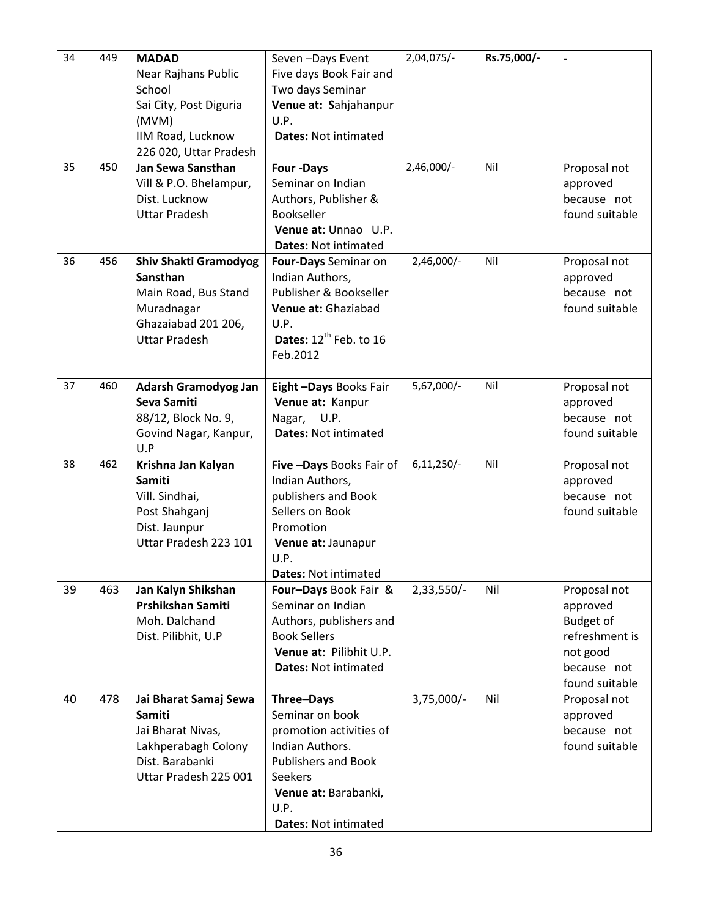| 34 | 449 | <b>MADAD</b>                            | Seven-Days Event                               | 2,04,075/-     | Rs.75,000/- | $\overline{\phantom{a}}$ |
|----|-----|-----------------------------------------|------------------------------------------------|----------------|-------------|--------------------------|
|    |     | Near Rajhans Public                     | Five days Book Fair and                        |                |             |                          |
|    |     | School                                  | Two days Seminar                               |                |             |                          |
|    |     | Sai City, Post Diguria                  | Venue at: Sahjahanpur                          |                |             |                          |
|    |     | (MVM)                                   | U.P.                                           |                |             |                          |
|    |     | IIM Road, Lucknow                       | <b>Dates: Not intimated</b>                    |                |             |                          |
|    |     | 226 020, Uttar Pradesh                  |                                                |                |             |                          |
| 35 | 450 | <b>Jan Sewa Sansthan</b>                | <b>Four-Days</b>                               | 2,46,000/-     | Nil         | Proposal not             |
|    |     | Vill & P.O. Bhelampur,                  | Seminar on Indian                              |                |             | approved                 |
|    |     | Dist. Lucknow                           | Authors, Publisher &                           |                |             | because not              |
|    |     | <b>Uttar Pradesh</b>                    | Bookseller                                     |                |             | found suitable           |
|    |     |                                         | Venue at: Unnao U.P.                           |                |             |                          |
|    |     |                                         | <b>Dates: Not intimated</b>                    |                |             |                          |
| 36 | 456 | <b>Shiv Shakti Gramodyog</b>            | Four-Days Seminar on                           | $2,46,000/-$   | Nil         | Proposal not             |
|    |     | Sansthan                                | Indian Authors,                                |                |             | approved                 |
|    |     | Main Road, Bus Stand                    | Publisher & Bookseller                         |                |             | because not              |
|    |     | Muradnagar                              | Venue at: Ghaziabad                            |                |             | found suitable           |
|    |     | Ghazaiabad 201 206,                     | U.P.                                           |                |             |                          |
|    |     | <b>Uttar Pradesh</b>                    | Dates: $12^{th}$ Feb. to 16                    |                |             |                          |
|    |     |                                         | Feb.2012                                       |                |             |                          |
|    |     |                                         |                                                |                |             |                          |
| 37 | 460 | <b>Adarsh Gramodyog Jan</b>             | Eight-Days Books Fair                          | $5,67,000/-$   | Nil         | Proposal not             |
|    |     | Seva Samiti                             | Venue at: Kanpur                               |                |             | approved                 |
|    |     | 88/12, Block No. 9,                     | Nagar,<br>U.P.                                 |                |             | because not              |
|    |     | Govind Nagar, Kanpur,                   | <b>Dates: Not intimated</b>                    |                |             | found suitable           |
|    |     | U.P                                     |                                                |                |             |                          |
| 38 | 462 | Krishna Jan Kalyan                      | Five - Days Books Fair of                      | $6, 11, 250/-$ | Nil         | Proposal not             |
|    |     | Samiti                                  | Indian Authors,                                |                |             | approved                 |
|    |     | Vill. Sindhai,                          | publishers and Book                            |                |             | because not              |
|    |     | Post Shahganj                           | Sellers on Book                                |                |             | found suitable           |
|    |     | Dist. Jaunpur                           | Promotion                                      |                |             |                          |
|    |     | Uttar Pradesh 223 101                   | Venue at: Jaunapur                             |                |             |                          |
|    |     |                                         | U.P.                                           |                |             |                          |
|    |     |                                         | <b>Dates: Not intimated</b>                    |                |             |                          |
| 39 | 463 | Jan Kalyn Shikshan<br>Prshikshan Samiti | Four-Days Book Fair &                          | $2,33,550/-$   | Nil         | Proposal not             |
|    |     | Moh. Dalchand                           | Seminar on Indian                              |                |             | approved                 |
|    |     |                                         | Authors, publishers and                        |                |             | <b>Budget of</b>         |
|    |     | Dist. Pilibhit, U.P                     | <b>Book Sellers</b><br>Venue at: Pilibhit U.P. |                |             | refreshment is           |
|    |     |                                         | <b>Dates: Not intimated</b>                    |                |             | not good<br>because not  |
|    |     |                                         |                                                |                |             | found suitable           |
| 40 | 478 | Jai Bharat Samaj Sewa                   | Three-Days                                     | $3,75,000/-$   | Nil         | Proposal not             |
|    |     | Samiti                                  | Seminar on book                                |                |             | approved                 |
|    |     | Jai Bharat Nivas,                       | promotion activities of                        |                |             | because not              |
|    |     | Lakhperabagh Colony                     | Indian Authors.                                |                |             | found suitable           |
|    |     | Dist. Barabanki                         | <b>Publishers and Book</b>                     |                |             |                          |
|    |     | Uttar Pradesh 225 001                   | <b>Seekers</b>                                 |                |             |                          |
|    |     |                                         | Venue at: Barabanki,                           |                |             |                          |
|    |     |                                         | U.P.                                           |                |             |                          |
|    |     |                                         | <b>Dates: Not intimated</b>                    |                |             |                          |
|    |     |                                         |                                                |                |             |                          |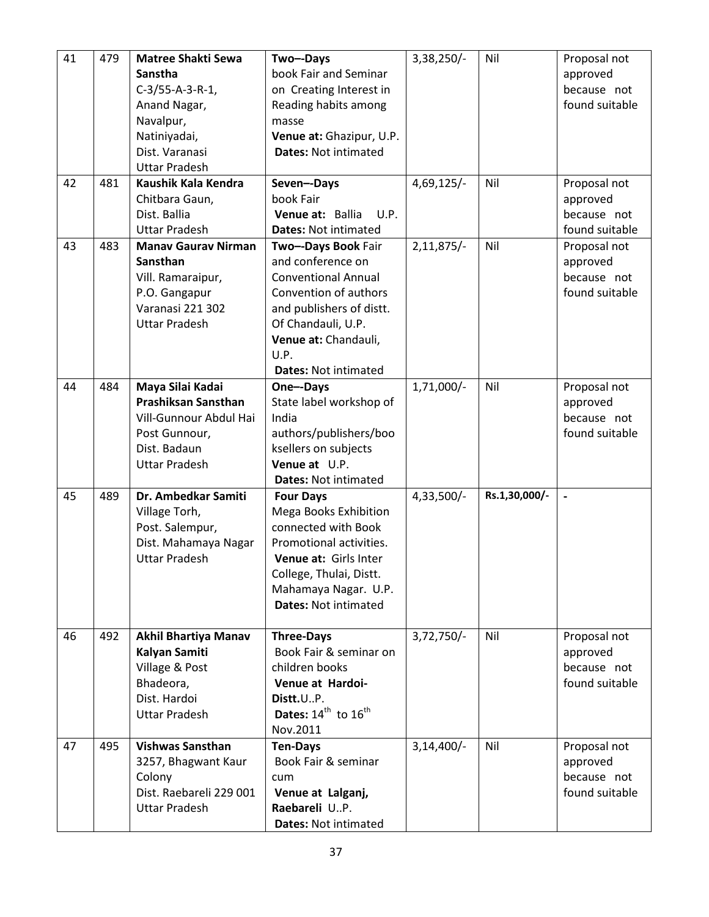| 41 | 479 | <b>Matree Shakti Sewa</b>  | Two--Days                     | $3,38,250/-$ | Nil           | Proposal not   |
|----|-----|----------------------------|-------------------------------|--------------|---------------|----------------|
|    |     | Sanstha                    | book Fair and Seminar         |              |               | approved       |
|    |     | $C-3/55-A-3-R-1,$          | on Creating Interest in       |              |               | because not    |
|    |     | Anand Nagar,               | Reading habits among          |              |               | found suitable |
|    |     | Navalpur,                  | masse                         |              |               |                |
|    |     | Natiniyadai,               | Venue at: Ghazipur, U.P.      |              |               |                |
|    |     | Dist. Varanasi             | <b>Dates: Not intimated</b>   |              |               |                |
|    |     | <b>Uttar Pradesh</b>       |                               |              |               |                |
| 42 | 481 | Kaushik Kala Kendra        | Seven--Days                   | $4,69,125/-$ | Nil           | Proposal not   |
|    |     | Chitbara Gaun,             | book Fair                     |              |               | approved       |
|    |     | Dist. Ballia               | U.P.<br>Venue at: Ballia      |              |               | because not    |
|    |     | <b>Uttar Pradesh</b>       | <b>Dates: Not intimated</b>   |              |               | found suitable |
| 43 | 483 | <b>Manav Gaurav Nirman</b> | Two--Days Book Fair           | $2,11,875/-$ | Nil           | Proposal not   |
|    |     | Sansthan                   | and conference on             |              |               | approved       |
|    |     | Vill. Ramaraipur,          | <b>Conventional Annual</b>    |              |               | because not    |
|    |     | P.O. Gangapur              | Convention of authors         |              |               | found suitable |
|    |     | Varanasi 221 302           | and publishers of distt.      |              |               |                |
|    |     | <b>Uttar Pradesh</b>       | Of Chandauli, U.P.            |              |               |                |
|    |     |                            | Venue at: Chandauli,          |              |               |                |
|    |     |                            | U.P.                          |              |               |                |
|    |     |                            | <b>Dates: Not intimated</b>   |              |               |                |
| 44 | 484 | Maya Silai Kadai           | One--Days                     | $1,71,000/-$ | Nil           | Proposal not   |
|    |     | Prashiksan Sansthan        | State label workshop of       |              |               | approved       |
|    |     | Vill-Gunnour Abdul Hai     | India                         |              |               | because not    |
|    |     | Post Gunnour,              | authors/publishers/boo        |              |               | found suitable |
|    |     | Dist. Badaun               | ksellers on subjects          |              |               |                |
|    |     | <b>Uttar Pradesh</b>       | Venue at U.P.                 |              |               |                |
|    |     |                            | <b>Dates: Not intimated</b>   |              |               |                |
| 45 | 489 | Dr. Ambedkar Samiti        | <b>Four Days</b>              | $4,33,500/-$ | Rs.1,30,000/- | $\overline{a}$ |
|    |     | Village Torh,              | Mega Books Exhibition         |              |               |                |
|    |     | Post. Salempur,            | connected with Book           |              |               |                |
|    |     | Dist. Mahamaya Nagar       | Promotional activities.       |              |               |                |
|    |     | <b>Uttar Pradesh</b>       | Venue at: Girls Inter         |              |               |                |
|    |     |                            | College, Thulai, Distt.       |              |               |                |
|    |     |                            | Mahamaya Nagar. U.P.          |              |               |                |
|    |     |                            | <b>Dates: Not intimated</b>   |              |               |                |
|    |     |                            |                               |              |               |                |
| 46 | 492 | Akhil Bhartiya Manav       | <b>Three-Days</b>             | $3,72,750/-$ | Nil           | Proposal not   |
|    |     | Kalyan Samiti              | Book Fair & seminar on        |              |               | approved       |
|    |     | Village & Post             | children books                |              |               | because not    |
|    |     | Bhadeora,                  | Venue at Hardoi-              |              |               | found suitable |
|    |     | Dist. Hardoi               | Distt.UP.                     |              |               |                |
|    |     | <b>Uttar Pradesh</b>       | Dates: $14^{th}$ to $16^{th}$ |              |               |                |
|    |     |                            | Nov.2011                      |              |               |                |
| 47 | 495 | <b>Vishwas Sansthan</b>    | <b>Ten-Days</b>               | $3,14,400/-$ | Nil           | Proposal not   |
|    |     | 3257, Bhagwant Kaur        | Book Fair & seminar           |              |               | approved       |
|    |     | Colony                     | cum                           |              |               | because not    |
|    |     | Dist. Raebareli 229 001    | Venue at Lalganj,             |              |               | found suitable |
|    |     | <b>Uttar Pradesh</b>       | Raebareli U.P.                |              |               |                |
|    |     |                            | <b>Dates: Not intimated</b>   |              |               |                |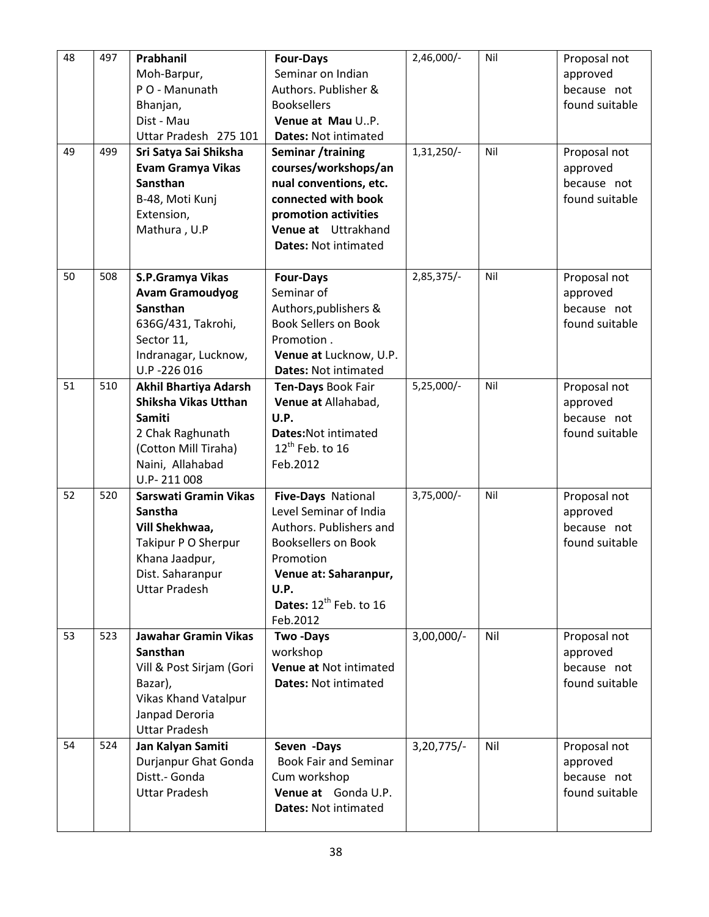| 48 | 497 | Prabhanil<br>Moh-Barpur,<br>P O - Manunath<br>Bhanjan,<br>Dist - Mau<br>Uttar Pradesh 275 101                                                    | <b>Four-Days</b><br>Seminar on Indian<br>Authors. Publisher &<br><b>Booksellers</b><br>Venue at Mau U.P.<br><b>Dates: Not intimated</b>                                                        | $2,46,000/-$ | Nil | Proposal not<br>approved<br>because not<br>found suitable |
|----|-----|--------------------------------------------------------------------------------------------------------------------------------------------------|------------------------------------------------------------------------------------------------------------------------------------------------------------------------------------------------|--------------|-----|-----------------------------------------------------------|
| 49 | 499 | Sri Satya Sai Shiksha<br><b>Evam Gramya Vikas</b><br>Sansthan<br>B-48, Moti Kunj<br>Extension,<br>Mathura, U.P                                   | Seminar /training<br>courses/workshops/an<br>nual conventions, etc.<br>connected with book<br>promotion activities<br>Venue at Uttrakhand<br><b>Dates: Not intimated</b>                       | 1,31,250/-   | Nil | Proposal not<br>approved<br>because not<br>found suitable |
| 50 | 508 | S.P.Gramya Vikas<br><b>Avam Gramoudyog</b><br>Sansthan<br>636G/431, Takrohi,<br>Sector 11,<br>Indranagar, Lucknow,<br>U.P-226 016                | <b>Four-Days</b><br>Seminar of<br>Authors, publishers &<br><b>Book Sellers on Book</b><br>Promotion.<br>Venue at Lucknow, U.P.<br><b>Dates: Not intimated</b>                                  | 2,85,375/-   | Nil | Proposal not<br>approved<br>because not<br>found suitable |
| 51 | 510 | Akhil Bhartiya Adarsh<br>Shiksha Vikas Utthan<br><b>Samiti</b><br>2 Chak Raghunath<br>(Cotton Mill Tiraha)<br>Naini, Allahabad<br>U.P-211008     | Ten-Days Book Fair<br>Venue at Allahabad,<br>U.P.<br>Dates: Not intimated<br>$12^{th}$ Feb. to 16<br>Feb.2012                                                                                  | $5,25,000/-$ | Nil | Proposal not<br>approved<br>because not<br>found suitable |
| 52 | 520 | Sarswati Gramin Vikas<br><b>Sanstha</b><br>Vill Shekhwaa,<br>Takipur P O Sherpur<br>Khana Jaadpur,<br>Dist. Saharanpur<br><b>Uttar Pradesh</b>   | Five-Days National<br>Level Seminar of India<br>Authors. Publishers and<br><b>Booksellers on Book</b><br>Promotion<br>Venue at: Saharanpur,<br>U.P.<br>Dates: $12^{th}$ Feb. to 16<br>Feb.2012 | $3,75,000/-$ | Nil | Proposal not<br>approved<br>because not<br>found suitable |
| 53 | 523 | <b>Jawahar Gramin Vikas</b><br>Sansthan<br>Vill & Post Sirjam (Gori<br>Bazar),<br>Vikas Khand Vatalpur<br>Janpad Deroria<br><b>Uttar Pradesh</b> | <b>Two-Days</b><br>workshop<br>Venue at Not intimated<br><b>Dates: Not intimated</b>                                                                                                           | $3,00,000/-$ | Nil | Proposal not<br>approved<br>because not<br>found suitable |
| 54 | 524 | Jan Kalyan Samiti<br>Durjanpur Ghat Gonda<br>Distt.- Gonda<br><b>Uttar Pradesh</b>                                                               | Seven -Days<br><b>Book Fair and Seminar</b><br>Cum workshop<br>Venue at Gonda U.P.<br><b>Dates: Not intimated</b>                                                                              | $3,20,775/-$ | Nil | Proposal not<br>approved<br>because not<br>found suitable |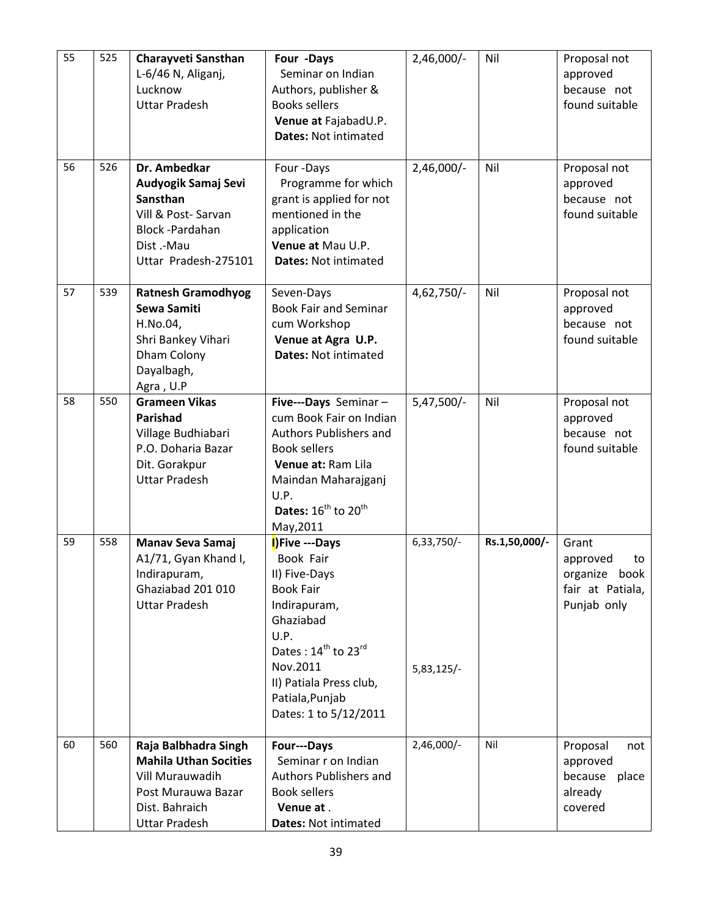| 55 | 525 | Charayveti Sansthan<br>L-6/46 N, Aliganj,<br>Lucknow<br><b>Uttar Pradesh</b>                                                            | Four -Days<br>Seminar on Indian<br>Authors, publisher &<br><b>Books sellers</b><br>Venue at FajabadU.P.<br><b>Dates: Not intimated</b>                                                                                                  | 2,46,000/-                 | Nil           | Proposal not<br>approved<br>because not<br>found suitable                   |
|----|-----|-----------------------------------------------------------------------------------------------------------------------------------------|-----------------------------------------------------------------------------------------------------------------------------------------------------------------------------------------------------------------------------------------|----------------------------|---------------|-----------------------------------------------------------------------------|
| 56 | 526 | Dr. Ambedkar<br>Audyogik Samaj Sevi<br>Sansthan<br>Vill & Post-Sarvan<br>Block-Pardahan<br>Dist.-Mau<br>Uttar Pradesh-275101            | Four-Days<br>Programme for which<br>grant is applied for not<br>mentioned in the<br>application<br>Venue at Mau U.P.<br><b>Dates: Not intimated</b>                                                                                     | $2,46,000/-$               | Nil           | Proposal not<br>approved<br>because not<br>found suitable                   |
| 57 | 539 | <b>Ratnesh Gramodhyog</b><br>Sewa Samiti<br>H.No.04,<br>Shri Bankey Vihari<br>Dham Colony<br>Dayalbagh,<br>Agra, U.P                    | Seven-Days<br><b>Book Fair and Seminar</b><br>cum Workshop<br>Venue at Agra U.P.<br><b>Dates: Not intimated</b>                                                                                                                         | 4,62,750/-                 | Nil           | Proposal not<br>approved<br>because not<br>found suitable                   |
| 58 | 550 | <b>Grameen Vikas</b><br>Parishad<br>Village Budhiabari<br>P.O. Doharia Bazar<br>Dit. Gorakpur<br><b>Uttar Pradesh</b>                   | Five---Days Seminar-<br>cum Book Fair on Indian<br>Authors Publishers and<br><b>Book sellers</b><br>Venue at: Ram Lila<br>Maindan Maharajganj<br>U.P.<br>Dates: $16^{th}$ to $20^{th}$<br>May, 2011                                     | $5,47,500/-$               | Nil           | Proposal not<br>approved<br>because not<br>found suitable                   |
| 59 | 558 | <b>Manav Seva Samaj</b><br>A1/71, Gyan Khand I,<br>Indirapuram,<br>Ghaziabad 201 010<br><b>Uttar Pradesh</b>                            | I)Five ---Days<br>Book Fair<br>II) Five-Days<br><b>Book Fair</b><br>Indirapuram,<br>Ghaziabad<br>U.P.<br>Dates: 14 <sup>th</sup> to 23 <sup>rd</sup><br>Nov.2011<br>II) Patiala Press club,<br>Patiala, Punjab<br>Dates: 1 to 5/12/2011 | 6,33,750/-<br>$5,83,125/-$ | Rs.1,50,000/- | Grant<br>approved<br>to<br>organize book<br>fair at Patiala,<br>Punjab only |
| 60 | 560 | Raja Balbhadra Singh<br><b>Mahila Uthan Socities</b><br>Vill Murauwadih<br>Post Murauwa Bazar<br>Dist. Bahraich<br><b>Uttar Pradesh</b> | <b>Four---Days</b><br>Seminar r on Indian<br><b>Authors Publishers and</b><br><b>Book sellers</b><br>Venue at.<br>Dates: Not intimated                                                                                                  | 2,46,000/-                 | Nil           | Proposal<br>not<br>approved<br>because<br>place<br>already<br>covered       |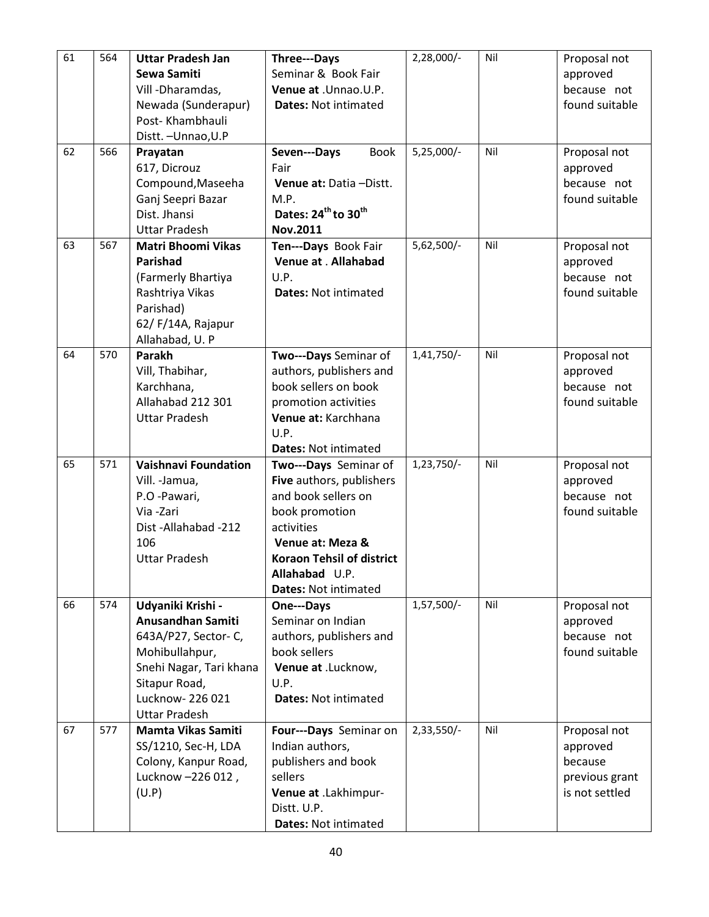| 61 | 564 | <b>Uttar Pradesh Jan</b><br>Sewa Samiti<br>Vill - Dharamdas,<br>Newada (Sunderapur)<br>Post-Khambhauli<br>Distt. - Unnao, U.P                                          | Three---Days<br>Seminar & Book Fair<br>Venue at .Unnao.U.P.<br><b>Dates: Not intimated</b>                                                                                                                        | 2,28,000/-   | Nil | Proposal not<br>approved<br>because not<br>found suitable               |
|----|-----|------------------------------------------------------------------------------------------------------------------------------------------------------------------------|-------------------------------------------------------------------------------------------------------------------------------------------------------------------------------------------------------------------|--------------|-----|-------------------------------------------------------------------------|
| 62 | 566 | Prayatan<br>617, Dicrouz<br>Compound, Maseeha<br>Ganj Seepri Bazar<br>Dist. Jhansi<br><b>Uttar Pradesh</b>                                                             | <b>Book</b><br>Seven---Days<br>Fair<br>Venue at: Datia-Distt.<br>M.P.<br>Dates: 24 <sup>th</sup> to 30 <sup>th</sup><br>Nov.2011                                                                                  | 5,25,000/-   | Nil | Proposal not<br>approved<br>because not<br>found suitable               |
| 63 | 567 | <b>Matri Bhoomi Vikas</b><br>Parishad<br>(Farmerly Bhartiya<br>Rashtriya Vikas<br>Parishad)<br>62/F/14A, Rajapur<br>Allahabad, U. P                                    | Ten---Days Book Fair<br>Venue at . Allahabad<br>U.P.<br><b>Dates: Not intimated</b>                                                                                                                               | $5,62,500/-$ | Nil | Proposal not<br>approved<br>because not<br>found suitable               |
| 64 | 570 | <b>Parakh</b><br>Vill, Thabihar,<br>Karchhana,<br>Allahabad 212 301<br><b>Uttar Pradesh</b>                                                                            | Two---Days Seminar of<br>authors, publishers and<br>book sellers on book<br>promotion activities<br>Venue at: Karchhana<br>U.P.<br><b>Dates: Not intimated</b>                                                    | 1,41,750/-   | Nil | Proposal not<br>approved<br>because not<br>found suitable               |
| 65 | 571 | <b>Vaishnavi Foundation</b><br>Vill. - Jamua,<br>P.O -Pawari,<br>Via -Zari<br>Dist-Allahabad-212<br>106<br><b>Uttar Pradesh</b>                                        | Two---Days Seminar of<br>Five authors, publishers<br>and book sellers on<br>book promotion<br>activities<br>Venue at: Meza &<br><b>Koraon Tehsil of district</b><br>Allahabad U.P.<br><b>Dates: Not intimated</b> | $1,23,750/-$ | Nil | Proposal not<br>approved<br>because not<br>found suitable               |
| 66 | 574 | Udyaniki Krishi -<br>Anusandhan Samiti<br>643A/P27, Sector-C,<br>Mohibullahpur,<br>Snehi Nagar, Tari khana<br>Sitapur Road,<br>Lucknow-226 021<br><b>Uttar Pradesh</b> | One---Days<br>Seminar on Indian<br>authors, publishers and<br>book sellers<br>Venue at .Lucknow,<br>U.P.<br><b>Dates: Not intimated</b>                                                                           | 1,57,500/-   | Nil | Proposal not<br>approved<br>because not<br>found suitable               |
| 67 | 577 | <b>Mamta Vikas Samiti</b><br>SS/1210, Sec-H, LDA<br>Colony, Kanpur Road,<br>Lucknow -226 012,<br>(U.P)                                                                 | Four---Days Seminar on<br>Indian authors,<br>publishers and book<br>sellers<br>Venue at .Lakhimpur-<br>Distt. U.P.<br>Dates: Not intimated                                                                        | $2,33,550/-$ | Nil | Proposal not<br>approved<br>because<br>previous grant<br>is not settled |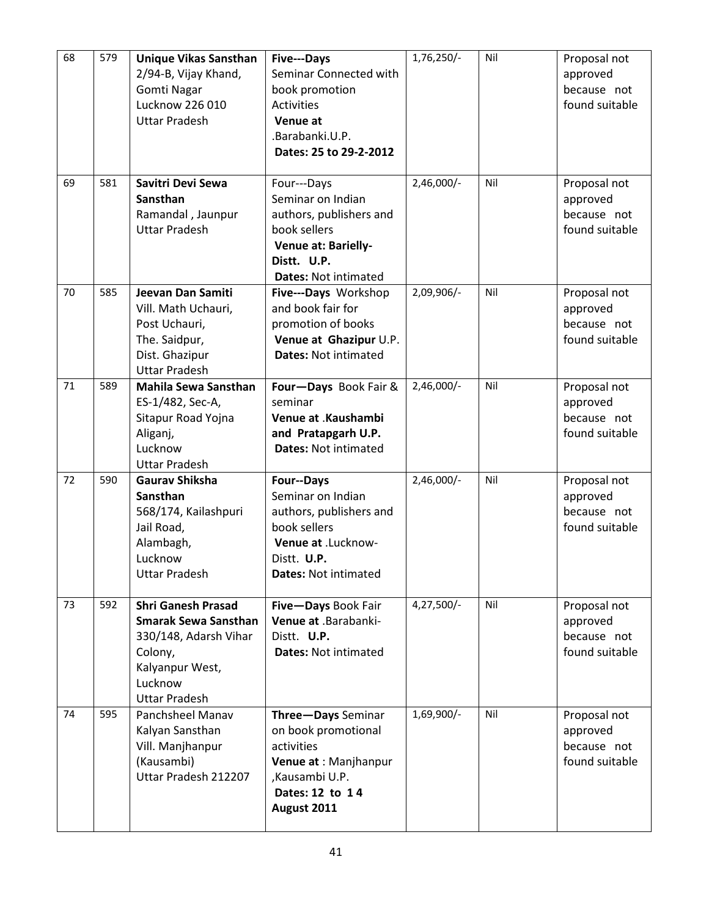| 68 | 579 | <b>Unique Vikas Sansthan</b><br>2/94-B, Vijay Khand,<br>Gomti Nagar<br>Lucknow 226 010<br><b>Uttar Pradesh</b>                                     | Five---Days<br>Seminar Connected with<br>book promotion<br><b>Activities</b><br>Venue at<br>.Barabanki.U.P.<br>Dates: 25 to 29-2-2012                 | 1,76,250/-   | Nil | Proposal not<br>approved<br>because not<br>found suitable |
|----|-----|----------------------------------------------------------------------------------------------------------------------------------------------------|-------------------------------------------------------------------------------------------------------------------------------------------------------|--------------|-----|-----------------------------------------------------------|
| 69 | 581 | Savitri Devi Sewa<br>Sansthan<br>Ramandal, Jaunpur<br><b>Uttar Pradesh</b>                                                                         | Four---Days<br>Seminar on Indian<br>authors, publishers and<br>book sellers<br>Venue at: Barielly-<br>Distt. U.P.<br><b>Dates: Not intimated</b>      | $2,46,000/-$ | Nil | Proposal not<br>approved<br>because not<br>found suitable |
| 70 | 585 | Jeevan Dan Samiti<br>Vill. Math Uchauri,<br>Post Uchauri,<br>The. Saidpur,<br>Dist. Ghazipur<br><b>Uttar Pradesh</b>                               | Five---Days Workshop<br>and book fair for<br>promotion of books<br>Venue at Ghazipur U.P.<br><b>Dates: Not intimated</b>                              | 2,09,906/-   | Nil | Proposal not<br>approved<br>because not<br>found suitable |
| 71 | 589 | <b>Mahila Sewa Sansthan</b><br>ES-1/482, Sec-A,<br>Sitapur Road Yojna<br>Aliganj,<br>Lucknow<br><b>Uttar Pradesh</b>                               | Four-Days Book Fair &<br>seminar<br>Venue at .Kaushambi<br>and Pratapgarh U.P.<br><b>Dates: Not intimated</b>                                         | $2,46,000/-$ | Nil | Proposal not<br>approved<br>because not<br>found suitable |
| 72 | 590 | <b>Gaurav Shiksha</b><br>Sansthan<br>568/174, Kailashpuri<br>Jail Road,<br>Alambagh,<br>Lucknow<br><b>Uttar Pradesh</b>                            | <b>Four--Days</b><br>Seminar on Indian<br>authors, publishers and<br>book sellers<br>Venue at .Lucknow-<br>Distt. U.P.<br><b>Dates: Not intimated</b> | $2,46,000/-$ | Nil | Proposal not<br>approved<br>because not<br>found suitable |
| 73 | 592 | <b>Shri Ganesh Prasad</b><br><b>Smarak Sewa Sansthan</b><br>330/148, Adarsh Vihar<br>Colony,<br>Kalyanpur West,<br>Lucknow<br><b>Uttar Pradesh</b> | Five-Days Book Fair<br>Venue at .Barabanki-<br>Distt. U.P.<br><b>Dates: Not intimated</b>                                                             | 4,27,500/-   | Nil | Proposal not<br>approved<br>because not<br>found suitable |
| 74 | 595 | Panchsheel Manav<br>Kalyan Sansthan<br>Vill. Manjhanpur<br>(Kausambi)<br>Uttar Pradesh 212207                                                      | Three-Days Seminar<br>on book promotional<br>activities<br>Venue at : Manjhanpur<br>,Kausambi U.P.<br>Dates: 12 to 14<br>August 2011                  | 1,69,900/-   | Nil | Proposal not<br>approved<br>because not<br>found suitable |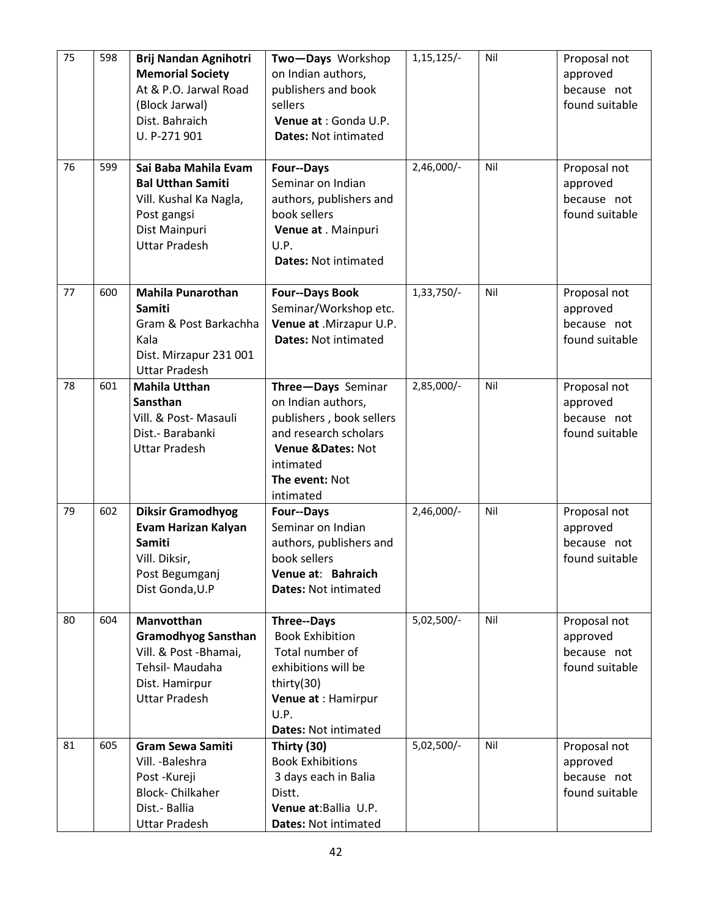| 75 | 598 | <b>Brij Nandan Agnihotri</b><br><b>Memorial Society</b><br>At & P.O. Jarwal Road<br>(Block Jarwal)<br>Dist. Bahraich<br>U. P-271 901 | Two-Days Workshop<br>on Indian authors,<br>publishers and book<br>sellers<br>Venue at : Gonda U.P.<br><b>Dates: Not intimated</b>                                  | $1,15,125/-$ | Nil | Proposal not<br>approved<br>because not<br>found suitable |
|----|-----|--------------------------------------------------------------------------------------------------------------------------------------|--------------------------------------------------------------------------------------------------------------------------------------------------------------------|--------------|-----|-----------------------------------------------------------|
| 76 | 599 | Sai Baba Mahila Evam<br><b>Bal Utthan Samiti</b><br>Vill. Kushal Ka Nagla,<br>Post gangsi<br>Dist Mainpuri<br><b>Uttar Pradesh</b>   | Four--Days<br>Seminar on Indian<br>authors, publishers and<br>book sellers<br>Venue at . Mainpuri<br>U.P.<br><b>Dates: Not intimated</b>                           | 2,46,000/-   | Nil | Proposal not<br>approved<br>because not<br>found suitable |
| 77 | 600 | <b>Mahila Punarothan</b><br><b>Samiti</b><br>Gram & Post Barkachha<br>Kala<br>Dist. Mirzapur 231 001<br><b>Uttar Pradesh</b>         | <b>Four--Days Book</b><br>Seminar/Workshop etc.<br>Venue at .Mirzapur U.P.<br><b>Dates: Not intimated</b>                                                          | 1,33,750/-   | Nil | Proposal not<br>approved<br>because not<br>found suitable |
| 78 | 601 | <b>Mahila Utthan</b><br>Sansthan<br>Vill. & Post-Masauli<br>Dist.- Barabanki<br><b>Uttar Pradesh</b>                                 | Three-Days Seminar<br>on Indian authors,<br>publishers, book sellers<br>and research scholars<br>Venue &Dates: Not<br>intimated<br>The event: Not<br>intimated     | 2,85,000/-   | Nil | Proposal not<br>approved<br>because not<br>found suitable |
| 79 | 602 | <b>Diksir Gramodhyog</b><br>Evam Harizan Kalyan<br><b>Samiti</b><br>Vill. Diksir,<br>Post Begumganj<br>Dist Gonda, U.P               | <b>Four--Days</b><br>Seminar on Indian<br>authors, publishers and<br>book sellers<br>Venue at: Bahraich<br><b>Dates: Not intimated</b>                             | $2,46,000/-$ | Nil | Proposal not<br>approved<br>because not<br>found suitable |
| 80 | 604 | Manvotthan<br><b>Gramodhyog Sansthan</b><br>Vill. & Post -Bhamai,<br>Tehsil- Maudaha<br>Dist. Hamirpur<br><b>Uttar Pradesh</b>       | <b>Three--Days</b><br><b>Book Exhibition</b><br>Total number of<br>exhibitions will be<br>thirty(30)<br>Venue at : Hamirpur<br>U.P.<br><b>Dates: Not intimated</b> | 5,02,500/-   | Nil | Proposal not<br>approved<br>because not<br>found suitable |
| 81 | 605 | <b>Gram Sewa Samiti</b><br>Vill. - Baleshra<br>Post-Kureji<br><b>Block-Chilkaher</b><br>Dist.- Ballia<br><b>Uttar Pradesh</b>        | Thirty (30)<br><b>Book Exhibitions</b><br>3 days each in Balia<br>Distt.<br>Venue at: Ballia U.P.<br><b>Dates: Not intimated</b>                                   | 5,02,500/-   | Nil | Proposal not<br>approved<br>because not<br>found suitable |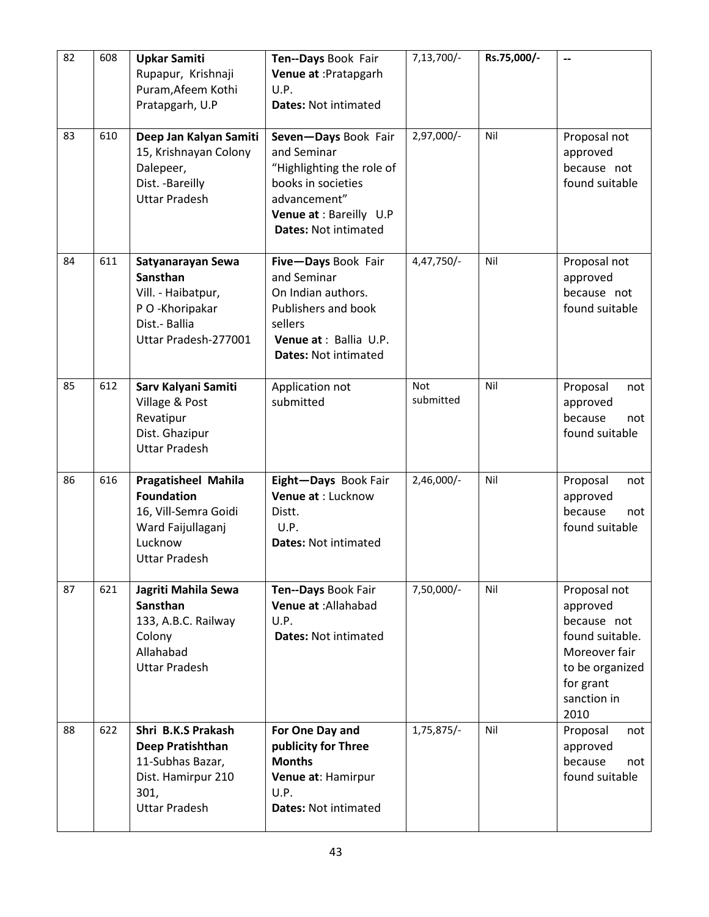| 82 | 608 | <b>Upkar Samiti</b><br>Rupapur, Krishnaji                                                                                       | Ten--Days Book Fair<br>Venue at : Pratapgarh                                                                                                                     | 7,13,700/-              | Rs.75,000/- | --                                                                                                                                 |
|----|-----|---------------------------------------------------------------------------------------------------------------------------------|------------------------------------------------------------------------------------------------------------------------------------------------------------------|-------------------------|-------------|------------------------------------------------------------------------------------------------------------------------------------|
|    |     | Puram, Afeem Kothi<br>Pratapgarh, U.P                                                                                           | U.P.<br><b>Dates: Not intimated</b>                                                                                                                              |                         |             |                                                                                                                                    |
| 83 | 610 | Deep Jan Kalyan Samiti<br>15, Krishnayan Colony<br>Dalepeer,<br>Dist. - Bareilly<br><b>Uttar Pradesh</b>                        | Seven-Days Book Fair<br>and Seminar<br>"Highlighting the role of<br>books in societies<br>advancement"<br>Venue at : Bareilly U.P<br><b>Dates: Not intimated</b> | 2,97,000/-              | Nil         | Proposal not<br>approved<br>because not<br>found suitable                                                                          |
| 84 | 611 | Satyanarayan Sewa<br><b>Sansthan</b><br>Vill. - Haibatpur,<br>P O -Khoripakar<br>Dist.- Ballia<br>Uttar Pradesh-277001          | Five-Days Book Fair<br>and Seminar<br>On Indian authors.<br>Publishers and book<br>sellers<br>Venue at : Ballia U.P.<br><b>Dates: Not intimated</b>              | 4,47,750/-              | Nil         | Proposal not<br>approved<br>because not<br>found suitable                                                                          |
| 85 | 612 | Sarv Kalyani Samiti<br>Village & Post<br>Revatipur<br>Dist. Ghazipur<br><b>Uttar Pradesh</b>                                    | Application not<br>submitted                                                                                                                                     | <b>Not</b><br>submitted | Nil         | Proposal<br>not<br>approved<br>because<br>not<br>found suitable                                                                    |
| 86 | 616 | <b>Pragatisheel Mahila</b><br><b>Foundation</b><br>16, Vill-Semra Goidi<br>Ward Faijullaganj<br>Lucknow<br><b>Uttar Pradesh</b> | Eight-Days Book Fair<br>Venue at : Lucknow<br>Distt.<br>U.P.<br><b>Dates: Not intimated</b>                                                                      | $2,46,000/-$            | Nil         | Proposal<br>not<br>approved<br>because<br>not<br>found suitable                                                                    |
| 87 | 621 | Jagriti Mahila Sewa<br><b>Sansthan</b><br>133, A.B.C. Railway<br>Colony<br>Allahabad<br><b>Uttar Pradesh</b>                    | Ten--Days Book Fair<br>Venue at : Allahabad<br>U.P.<br><b>Dates: Not intimated</b>                                                                               | 7,50,000/-              | Nil         | Proposal not<br>approved<br>because not<br>found suitable.<br>Moreover fair<br>to be organized<br>for grant<br>sanction in<br>2010 |
| 88 | 622 | Shri B.K.S Prakash<br>Deep Pratishthan<br>11-Subhas Bazar,<br>Dist. Hamirpur 210<br>301,<br><b>Uttar Pradesh</b>                | For One Day and<br>publicity for Three<br><b>Months</b><br>Venue at: Hamirpur<br>U.P.<br><b>Dates: Not intimated</b>                                             | 1,75,875/-              | Nil         | Proposal<br>not<br>approved<br>because<br>not<br>found suitable                                                                    |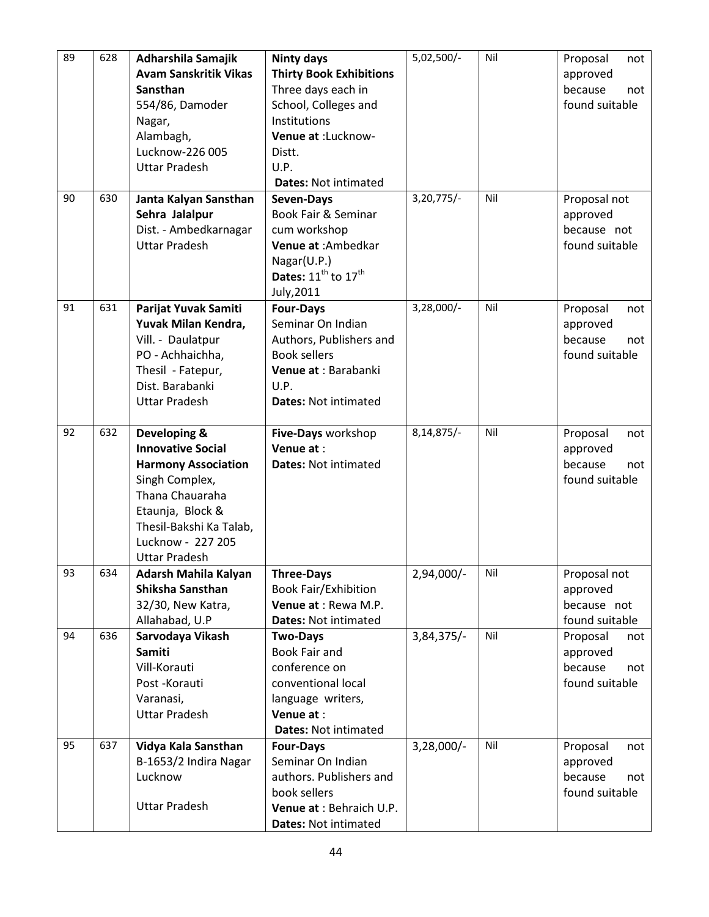| 89 | 628 | Adharshila Samajik           | <b>Ninty days</b>                           | 5,02,500/-   | Nil | Proposal<br>not         |
|----|-----|------------------------------|---------------------------------------------|--------------|-----|-------------------------|
|    |     | <b>Avam Sanskritik Vikas</b> | <b>Thirty Book Exhibitions</b>              |              |     | approved                |
|    |     | Sansthan                     | Three days each in                          |              |     | because<br>not          |
|    |     | 554/86, Damoder              | School, Colleges and                        |              |     | found suitable          |
|    |     | Nagar,                       | Institutions                                |              |     |                         |
|    |     | Alambagh,                    | Venue at :Lucknow-                          |              |     |                         |
|    |     | Lucknow-226 005              | Distt.                                      |              |     |                         |
|    |     | <b>Uttar Pradesh</b>         | U.P.                                        |              |     |                         |
|    |     |                              | <b>Dates: Not intimated</b>                 |              |     |                         |
| 90 | 630 |                              |                                             | $3,20,775/-$ | Nil |                         |
|    |     | Janta Kalyan Sansthan        | Seven-Days<br>Book Fair & Seminar           |              |     | Proposal not            |
|    |     | Sehra Jalalpur               |                                             |              |     | approved<br>because not |
|    |     | Dist. - Ambedkarnagar        | cum workshop                                |              |     |                         |
|    |     | <b>Uttar Pradesh</b>         | Venue at : Ambedkar                         |              |     | found suitable          |
|    |     |                              | Nagar(U.P.)                                 |              |     |                         |
|    |     |                              | Dates: 11 <sup>th</sup> to 17 <sup>th</sup> |              |     |                         |
|    |     |                              | July, 2011                                  |              |     |                         |
| 91 | 631 | Parijat Yuvak Samiti         | <b>Four-Days</b>                            | $3,28,000/-$ | Nil | Proposal<br>not         |
|    |     | Yuvak Milan Kendra,          | Seminar On Indian                           |              |     | approved                |
|    |     | Vill. - Daulatpur            | Authors, Publishers and                     |              |     | because<br>not          |
|    |     | PO - Achhaichha,             | <b>Book sellers</b>                         |              |     | found suitable          |
|    |     | Thesil - Fatepur,            | Venue at : Barabanki                        |              |     |                         |
|    |     | Dist. Barabanki              | U.P.                                        |              |     |                         |
|    |     | <b>Uttar Pradesh</b>         | <b>Dates: Not intimated</b>                 |              |     |                         |
|    |     |                              |                                             |              |     |                         |
| 92 | 632 | Developing &                 | Five-Days workshop                          | 8, 14, 875/- | Nil | Proposal<br>not         |
|    |     | <b>Innovative Social</b>     | Venue at:                                   |              |     | approved                |
|    |     | <b>Harmony Association</b>   | <b>Dates: Not intimated</b>                 |              |     | because<br>not          |
|    |     | Singh Complex,               |                                             |              |     | found suitable          |
|    |     | Thana Chauaraha              |                                             |              |     |                         |
|    |     | Etaunja, Block &             |                                             |              |     |                         |
|    |     | Thesil-Bakshi Ka Talab,      |                                             |              |     |                         |
|    |     | Lucknow - 227 205            |                                             |              |     |                         |
|    |     | <b>Uttar Pradesh</b>         |                                             |              |     |                         |
| 93 | 634 | Adarsh Mahila Kalyan         | <b>Three-Days</b>                           | 2,94,000/-   | Nil | Proposal not            |
|    |     | Shiksha Sansthan             | <b>Book Fair/Exhibition</b>                 |              |     | approved                |
|    |     | 32/30, New Katra,            | Venue at : Rewa M.P.                        |              |     | because not             |
|    |     | Allahabad, U.P               | <b>Dates: Not intimated</b>                 |              |     | found suitable          |
| 94 | 636 | Sarvodaya Vikash             | <b>Two-Days</b>                             | 3,84,375/-   | Nil | Proposal<br>not         |
|    |     | Samiti                       | <b>Book Fair and</b>                        |              |     | approved                |
|    |     | Vill-Korauti                 | conference on                               |              |     | because<br>not          |
|    |     | Post-Korauti                 | conventional local                          |              |     | found suitable          |
|    |     | Varanasi,                    | language writers,                           |              |     |                         |
|    |     | <b>Uttar Pradesh</b>         | Venue at:                                   |              |     |                         |
|    |     |                              | <b>Dates: Not intimated</b>                 |              |     |                         |
| 95 | 637 | Vidya Kala Sansthan          | <b>Four-Days</b>                            | 3,28,000/-   | Nil | Proposal<br>not         |
|    |     | B-1653/2 Indira Nagar        | Seminar On Indian                           |              |     | approved                |
|    |     | Lucknow                      | authors. Publishers and                     |              |     | because<br>not          |
|    |     |                              | book sellers                                |              |     | found suitable          |
|    |     | <b>Uttar Pradesh</b>         | Venue at : Behraich U.P.                    |              |     |                         |
|    |     |                              | Dates: Not intimated                        |              |     |                         |
|    |     |                              |                                             |              |     |                         |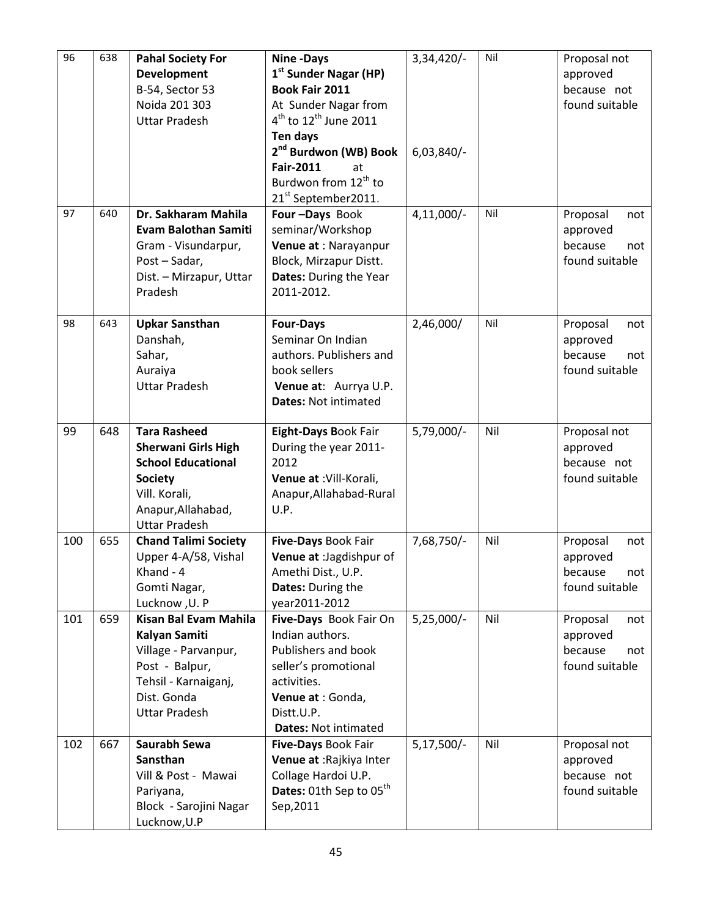| 96<br>638<br>Nil<br>$3,34,420/-$<br><b>Pahal Society For</b><br><b>Nine-Days</b>            | Proposal not                     |
|---------------------------------------------------------------------------------------------|----------------------------------|
| 1 <sup>st</sup> Sunder Nagar (HP)<br><b>Development</b>                                     | approved                         |
| B-54, Sector 53<br>Book Fair 2011                                                           | because not                      |
| Noida 201 303<br>At Sunder Nagar from                                                       | found suitable                   |
| $4^{\text{th}}$ to 12 <sup>th</sup> June 2011<br><b>Uttar Pradesh</b>                       |                                  |
| <b>Ten days</b>                                                                             |                                  |
| 2 <sup>nd</sup> Burdwon (WB) Book<br>$6,03,840/$ -                                          |                                  |
| <b>Fair-2011</b><br>at                                                                      |                                  |
| Burdwon from 12 <sup>th</sup> to                                                            |                                  |
| 21 <sup>st</sup> September2011.                                                             |                                  |
| 97<br>Nil<br>640<br>Dr. Sakharam Mahila<br>Four-Days Book<br>$4,11,000/-$                   | Proposal<br>not                  |
| seminar/Workshop<br><b>Evam Balothan Samiti</b>                                             | approved                         |
| Gram - Visundarpur,<br>Venue at : Narayanpur                                                | because<br>not                   |
| Post-Sadar,<br>Block, Mirzapur Distt.                                                       | found suitable                   |
| Dates: During the Year<br>Dist. - Mirzapur, Uttar                                           |                                  |
| Pradesh<br>2011-2012.                                                                       |                                  |
|                                                                                             |                                  |
| 98<br>643<br>Nil<br><b>Upkar Sansthan</b><br>2,46,000/<br><b>Four-Days</b>                  | Proposal<br>not                  |
| Seminar On Indian<br>Danshah,                                                               | approved                         |
| authors. Publishers and<br>Sahar,                                                           | because<br>not                   |
| book sellers<br>Auraiya                                                                     | found suitable                   |
| <b>Uttar Pradesh</b><br>Venue at: Aurrya U.P.                                               |                                  |
| <b>Dates: Not intimated</b>                                                                 |                                  |
|                                                                                             |                                  |
| <b>Tara Rasheed</b><br>99<br>648<br>Eight-Days Book Fair<br>5,79,000/-<br>Nil               | Proposal not                     |
| <b>Sherwani Girls High</b><br>During the year 2011-                                         | approved                         |
| <b>School Educational</b><br>2012                                                           | because not                      |
| Venue at : Vill-Korali,<br><b>Society</b>                                                   | found suitable                   |
| Vill. Korali,<br>Anapur, Allahabad-Rural                                                    |                                  |
| Anapur, Allahabad,<br>U.P.                                                                  |                                  |
| <b>Uttar Pradesh</b>                                                                        |                                  |
| 100<br>655<br><b>Chand Talimi Society</b><br>Five-Days Book Fair<br>7,68,750/-<br>Nil       | Proposal<br>not                  |
| Upper 4-A/58, Vishal<br>Venue at : Jagdishpur of                                            | approved                         |
| Khand - 4<br>Amethi Dist., U.P.                                                             | because<br>not                   |
| Gomti Nagar,<br>Dates: During the                                                           | found suitable                   |
| Lucknow, U. P<br>year2011-2012                                                              |                                  |
| <b>Kisan Bal Evam Mahila</b><br>659<br>Five-Days Book Fair On<br>$5,25,000/-$<br>Nil<br>101 | Proposal<br>not                  |
| Indian authors.<br><b>Kalyan Samiti</b>                                                     | approved                         |
| Publishers and book<br>Village - Parvanpur,                                                 | because<br>not<br>found suitable |
| Post - Balpur,<br>seller's promotional<br>Tehsil - Karnaiganj,<br>activities.               |                                  |
| Dist. Gonda<br>Venue at : Gonda,                                                            |                                  |
| <b>Uttar Pradesh</b><br>Distt.U.P.                                                          |                                  |
| <b>Dates: Not intimated</b>                                                                 |                                  |
| Saurabh Sewa<br>$5,17,500/-$<br>Nil<br>102<br>667<br>Five-Days Book Fair                    | Proposal not                     |
| Sansthan<br>Venue at : Rajkiya Inter                                                        | approved                         |
|                                                                                             |                                  |
|                                                                                             |                                  |
| Collage Hardoi U.P.<br>Vill & Post - Mawai                                                  | because not                      |
| Dates: 01th Sep to 05 <sup>th</sup><br>Pariyana,<br>Block - Sarojini Nagar<br>Sep, 2011     | found suitable                   |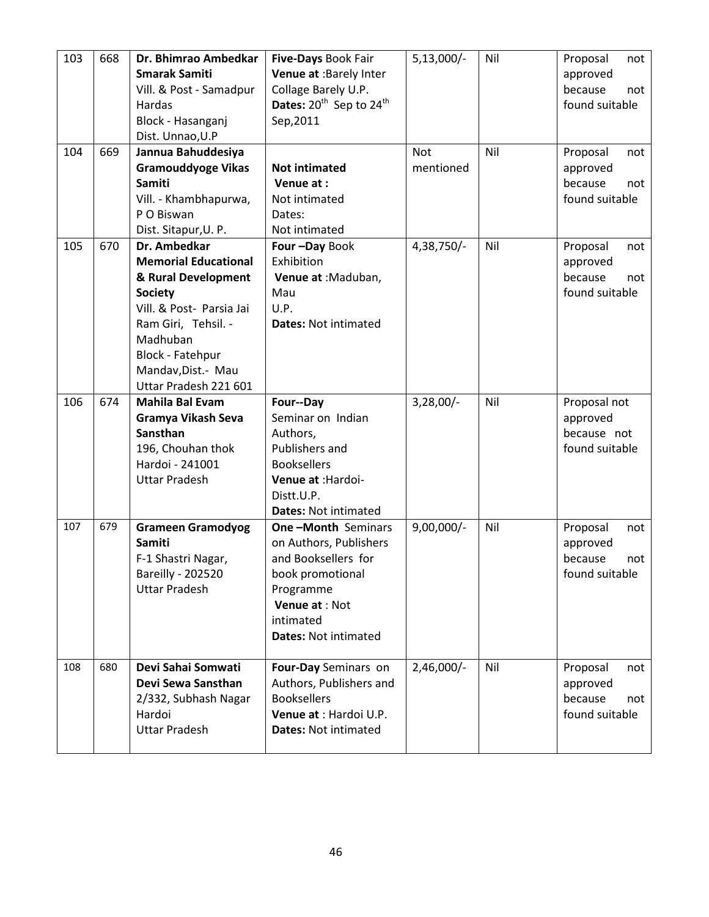| 103 | 668 | Dr. Bhimrao Ambedkar<br><b>Smarak Samiti</b><br>Vill. & Post - Samadpur<br><b>Hardas</b><br>Block - Hasanganj<br>Dist. Unnao, U.P                                                                                             | Five-Days Book Fair<br>Venue at :Barely Inter<br>Collage Barely U.P.<br>Dates: 20 <sup>th</sup> Sep to 24 <sup>th</sup><br>Sep, 2011                                      | $5,13,000/-$            | Nil | Proposal<br>not<br>approved<br>because<br>not<br>found suitable |
|-----|-----|-------------------------------------------------------------------------------------------------------------------------------------------------------------------------------------------------------------------------------|---------------------------------------------------------------------------------------------------------------------------------------------------------------------------|-------------------------|-----|-----------------------------------------------------------------|
| 104 | 669 | Jannua Bahuddesiya<br><b>Gramouddyoge Vikas</b><br><b>Samiti</b><br>Vill. - Khambhapurwa,<br>P O Biswan<br>Dist. Sitapur, U. P.                                                                                               | <b>Not intimated</b><br>Venue at:<br>Not intimated<br>Dates:<br>Not intimated                                                                                             | <b>Not</b><br>mentioned | Nil | Proposal<br>not<br>approved<br>because<br>not<br>found suitable |
| 105 | 670 | Dr. Ambedkar<br><b>Memorial Educational</b><br>& Rural Development<br><b>Society</b><br>Vill. & Post- Parsia Jai<br>Ram Giri, Tehsil. -<br>Madhuban<br><b>Block - Fatehpur</b><br>Mandav, Dist.- Mau<br>Uttar Pradesh 221 601 | Four-Day Book<br>Exhibition<br>Venue at : Maduban,<br>Mau<br>U.P.<br><b>Dates: Not intimated</b>                                                                          | 4,38,750/-              | Nil | Proposal<br>not<br>approved<br>because<br>not<br>found suitable |
| 106 | 674 | <b>Mahila Bal Evam</b><br>Gramya Vikash Seva<br>Sansthan<br>196, Chouhan thok<br>Hardoi - 241001<br><b>Uttar Pradesh</b>                                                                                                      | Four--Day<br>Seminar on Indian<br>Authors,<br>Publishers and<br><b>Booksellers</b><br>Venue at : Hardoi-<br>Distt.U.P.<br><b>Dates: Not intimated</b>                     | $3,28,00/-$             | Nil | Proposal not<br>approved<br>because not<br>found suitable       |
| 107 | 679 | <b>Grameen Gramodyog</b><br><b>Samiti</b><br>F-1 Shastri Nagar,<br><b>Bareilly - 202520</b><br><b>Uttar Pradesh</b>                                                                                                           | <b>One-Month Seminars</b><br>on Authors, Publishers<br>and Booksellers for<br>book promotional<br>Programme<br>Venue at : Not<br>intimated<br><b>Dates: Not intimated</b> | $9,00,000/-$            | Nil | Proposal<br>not<br>approved<br>because<br>not<br>found suitable |
| 108 | 680 | Devi Sahai Somwati<br>Devi Sewa Sansthan<br>2/332, Subhash Nagar<br>Hardoi<br><b>Uttar Pradesh</b>                                                                                                                            | Four-Day Seminars on<br>Authors, Publishers and<br><b>Booksellers</b><br>Venue at : Hardoi U.P.<br><b>Dates: Not intimated</b>                                            | $2,46,000/-$            | Nil | Proposal<br>not<br>approved<br>because<br>not<br>found suitable |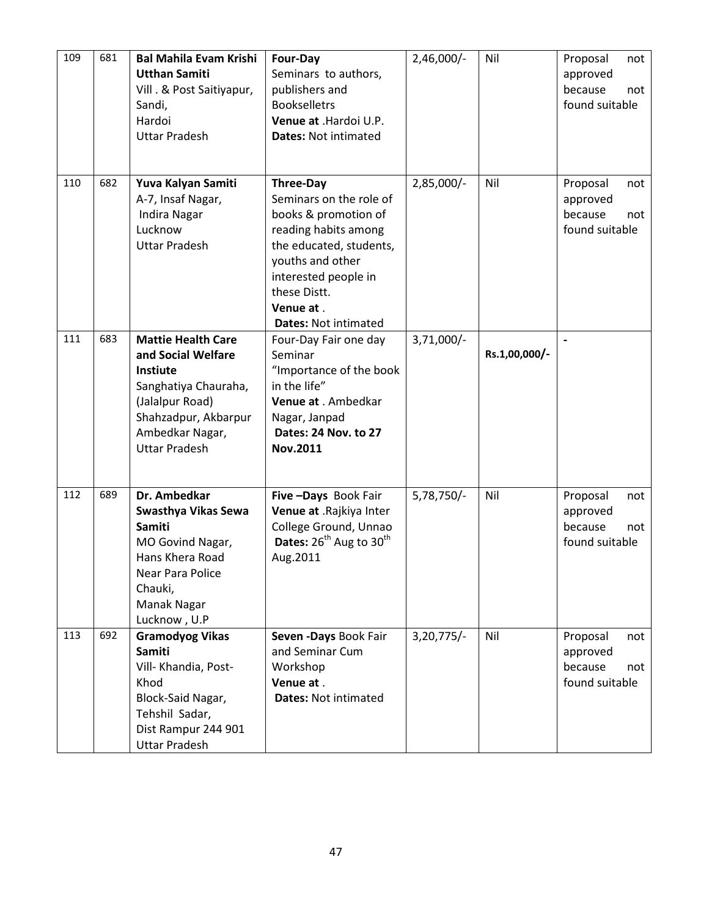| 109 | 681 | <b>Bal Mahila Evam Krishi</b><br><b>Utthan Samiti</b><br>Vill . & Post Saitiyapur,<br>Sandi,<br>Hardoi<br><b>Uttar Pradesh</b>                                                   | Four-Day<br>Seminars to authors,<br>publishers and<br><b>Bookselletrs</b><br>Venue at .Hardoi U.P.<br><b>Dates: Not intimated</b>                                                                                              | 2,46,000/-   | Nil           | Proposal<br>not<br>approved<br>because<br>not<br>found suitable |
|-----|-----|----------------------------------------------------------------------------------------------------------------------------------------------------------------------------------|--------------------------------------------------------------------------------------------------------------------------------------------------------------------------------------------------------------------------------|--------------|---------------|-----------------------------------------------------------------|
| 110 | 682 | Yuva Kalyan Samiti<br>A-7, Insaf Nagar,<br><b>Indira Nagar</b><br>Lucknow<br><b>Uttar Pradesh</b>                                                                                | <b>Three-Day</b><br>Seminars on the role of<br>books & promotion of<br>reading habits among<br>the educated, students,<br>youths and other<br>interested people in<br>these Distt.<br>Venue at.<br><b>Dates: Not intimated</b> | 2,85,000/-   | Nil           | Proposal<br>not<br>approved<br>because<br>not<br>found suitable |
| 111 | 683 | <b>Mattie Health Care</b><br>and Social Welfare<br><b>Instiute</b><br>Sanghatiya Chauraha,<br>(Jalalpur Road)<br>Shahzadpur, Akbarpur<br>Ambedkar Nagar,<br><b>Uttar Pradesh</b> | Four-Day Fair one day<br>Seminar<br>"Importance of the book<br>in the life"<br>Venue at . Ambedkar<br>Nagar, Janpad<br>Dates: 24 Nov. to 27<br>Nov.2011                                                                        | $3,71,000/-$ | Rs.1,00,000/- |                                                                 |
| 112 | 689 | Dr. Ambedkar<br>Swasthya Vikas Sewa<br><b>Samiti</b><br>MO Govind Nagar,<br>Hans Khera Road<br>Near Para Police<br>Chauki,<br>Manak Nagar<br>Lucknow, U.P                        | Five-Days Book Fair<br>Venue at .Rajkiya Inter<br>College Ground, Unnao<br><b>Dates:</b> $26^{th}$ Aug to $30^{th}$<br>Aug.2011                                                                                                | $5,78,750/-$ | Nil           | Proposal<br>not<br>approved<br>because<br>not<br>found suitable |
| 113 | 692 | <b>Gramodyog Vikas</b><br>Samiti<br>Vill- Khandia, Post-<br>Khod<br>Block-Said Nagar,<br>Tehshil Sadar,<br>Dist Rampur 244 901<br><b>Uttar Pradesh</b>                           | Seven - Days Book Fair<br>and Seminar Cum<br>Workshop<br>Venue at.<br><b>Dates: Not intimated</b>                                                                                                                              | $3,20,775/-$ | Nil           | Proposal<br>not<br>approved<br>because<br>not<br>found suitable |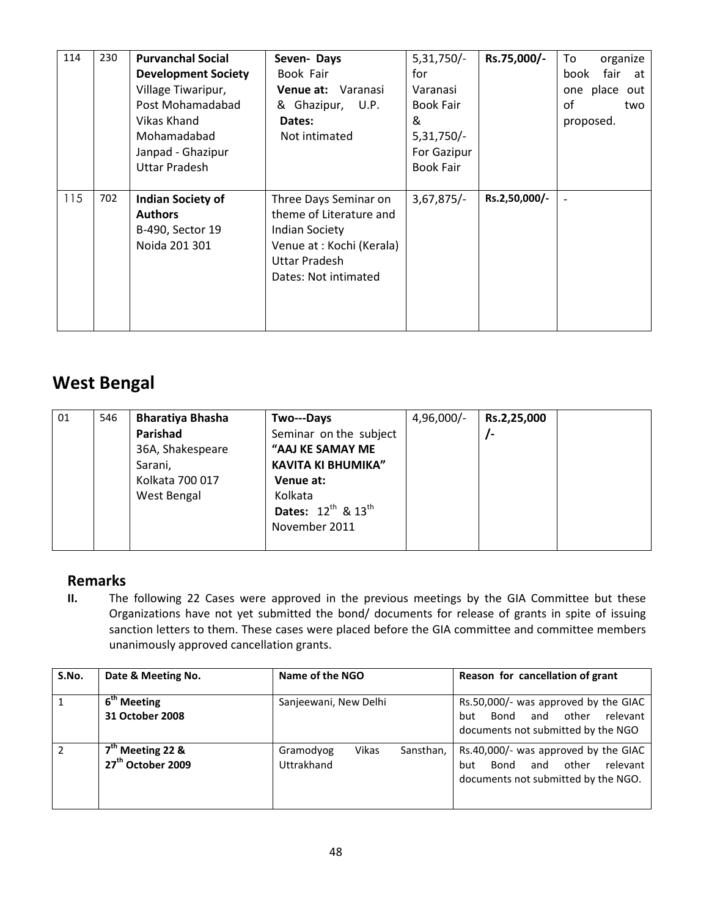| 114 | 230 | <b>Purvanchal Social</b><br><b>Development Society</b><br>Village Tiwaripur,<br>Post Mohamadabad<br>Vikas Khand<br>Mohamadabad<br>Janpad - Ghazipur<br><b>Uttar Pradesh</b> | Seven-Days<br>Book Fair<br><b>Venue at:</b> Varanasi<br>& Ghazipur, U.P.<br>Dates:<br>Not intimated                                                    | $5,31,750/-$<br>for<br>Varanasi<br><b>Book Fair</b><br>&<br>$5,31,750/-$<br>For Gazipur<br><b>Book Fair</b> | Rs.75,000/-   | To<br>organize<br>fair<br>book<br>at<br>one place<br>out<br>of<br>two<br>proposed. |
|-----|-----|-----------------------------------------------------------------------------------------------------------------------------------------------------------------------------|--------------------------------------------------------------------------------------------------------------------------------------------------------|-------------------------------------------------------------------------------------------------------------|---------------|------------------------------------------------------------------------------------|
| 115 | 702 | <b>Indian Society of</b><br><b>Authors</b><br>B-490, Sector 19<br>Noida 201 301                                                                                             | Three Days Seminar on<br>theme of Literature and<br><b>Indian Society</b><br>Venue at : Kochi (Kerala)<br><b>Uttar Pradesh</b><br>Dates: Not intimated | $3,67,875/-$                                                                                                | Rs.2,50,000/- |                                                                                    |

#### West Bengal

| 01 | 546 | <b>Bharatiya Bhasha</b><br>Parishad            | Two---Days<br>Seminar on the subject                            | 4,96,000/- | Rs.2,25,000 |  |
|----|-----|------------------------------------------------|-----------------------------------------------------------------|------------|-------------|--|
|    |     | 36A, Shakespeare<br>Sarani,<br>Kolkata 700 017 | "AAJ KE SAMAY ME<br><b>KAVITA KI BHUMIKA"</b><br>Venue at:      |            |             |  |
|    |     | West Bengal                                    | Kolkata<br><b>Dates:</b> $12^{th}$ & $13^{th}$<br>November 2011 |            |             |  |

#### Remarks

II. The following 22 Cases were approved in the previous meetings by the GIA Committee but these Organizations have not yet submitted the bond/ documents for release of grants in spite of issuing sanction letters to them. These cases were placed before the GIA committee and committee members unanimously approved cancellation grants.

| S.No.          | Date & Meeting No.                                  | Name of the NGO                               | Reason for cancellation of grant                                                                                       |  |  |
|----------------|-----------------------------------------------------|-----------------------------------------------|------------------------------------------------------------------------------------------------------------------------|--|--|
| $\mathbf{1}$   | 6 <sup>th</sup> Meeting<br>31 October 2008          | Sanjeewani, New Delhi                         | Rs.50,000/- was approved by the GIAC<br>other<br>relevant<br>and<br>Bond<br>but<br>documents not submitted by the NGO  |  |  |
| $\overline{2}$ | $7th$ Meeting 22 &<br>27 <sup>th</sup> October 2009 | Vikas<br>Gramodyog<br>Sansthan,<br>Uttrakhand | Rs.40,000/- was approved by the GIAC<br>relevant<br>other<br>Bond<br>and<br>but<br>documents not submitted by the NGO. |  |  |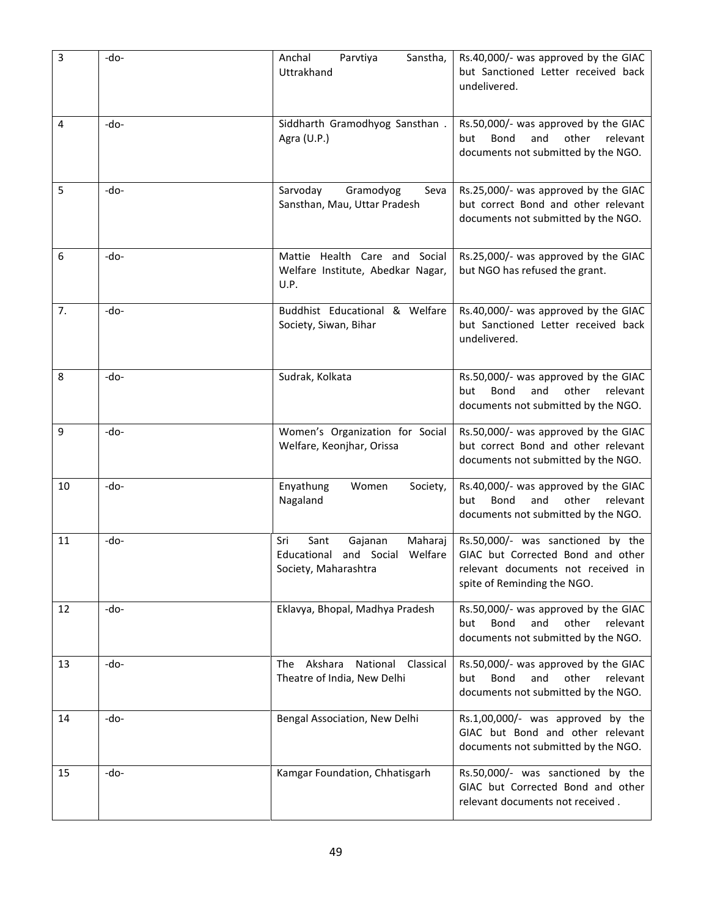| 3  | -do-   | Anchal<br>Parvtiya<br>Sanstha,<br>Uttrakhand                                                | Rs.40,000/- was approved by the GIAC<br>but Sanctioned Letter received back<br>undelivered.                                                 |
|----|--------|---------------------------------------------------------------------------------------------|---------------------------------------------------------------------------------------------------------------------------------------------|
| 4  | -do-   | Siddharth Gramodhyog Sansthan.<br>Agra (U.P.)                                               | Rs.50,000/- was approved by the GIAC<br>but<br>Bond<br>and<br>other<br>relevant<br>documents not submitted by the NGO.                      |
| 5  | $-do-$ | Sarvoday<br>Gramodyog<br>Seva<br>Sansthan, Mau, Uttar Pradesh                               | Rs.25,000/- was approved by the GIAC<br>but correct Bond and other relevant<br>documents not submitted by the NGO.                          |
| 6  | $-do-$ | Mattie Health Care and Social<br>Welfare Institute, Abedkar Nagar,<br>U.P.                  | Rs.25,000/- was approved by the GIAC<br>but NGO has refused the grant.                                                                      |
| 7. | -do-   | Buddhist Educational & Welfare<br>Society, Siwan, Bihar                                     | Rs.40,000/- was approved by the GIAC<br>but Sanctioned Letter received back<br>undelivered.                                                 |
| 8  | -do-   | Sudrak, Kolkata                                                                             | Rs.50,000/- was approved by the GIAC<br>but<br>Bond<br>and<br>other<br>relevant<br>documents not submitted by the NGO.                      |
| 9  | -do-   | Women's Organization for Social<br>Welfare, Keonjhar, Orissa                                | Rs.50,000/- was approved by the GIAC<br>but correct Bond and other relevant<br>documents not submitted by the NGO.                          |
| 10 | -do-   | Enyathung<br>Women<br>Society,<br>Nagaland                                                  | Rs.40,000/- was approved by the GIAC<br>Bond<br>other<br>but<br>and<br>relevant<br>documents not submitted by the NGO.                      |
| 11 | $-do-$ | Sant<br>Maharaj<br>Sri<br>Gajanan<br>Educational and Social Welfare<br>Society, Maharashtra | Rs.50,000/- was sanctioned by the<br>GIAC but Corrected Bond and other<br>relevant documents not received in<br>spite of Reminding the NGO. |
| 12 | $-do-$ | Eklavya, Bhopal, Madhya Pradesh                                                             | Rs.50,000/- was approved by the GIAC<br>other relevant<br>but<br>Bond<br>and<br>documents not submitted by the NGO.                         |
| 13 | $-do-$ | Akshara<br>National<br>Classical<br>The<br>Theatre of India, New Delhi                      | Rs.50,000/- was approved by the GIAC<br>Bond<br>other<br>but<br>and<br>relevant<br>documents not submitted by the NGO.                      |
| 14 | -do-   | Bengal Association, New Delhi                                                               | Rs.1,00,000/- was approved by the<br>GIAC but Bond and other relevant<br>documents not submitted by the NGO.                                |
| 15 | -do-   | Kamgar Foundation, Chhatisgarh                                                              | Rs.50,000/- was sanctioned by the<br>GIAC but Corrected Bond and other<br>relevant documents not received.                                  |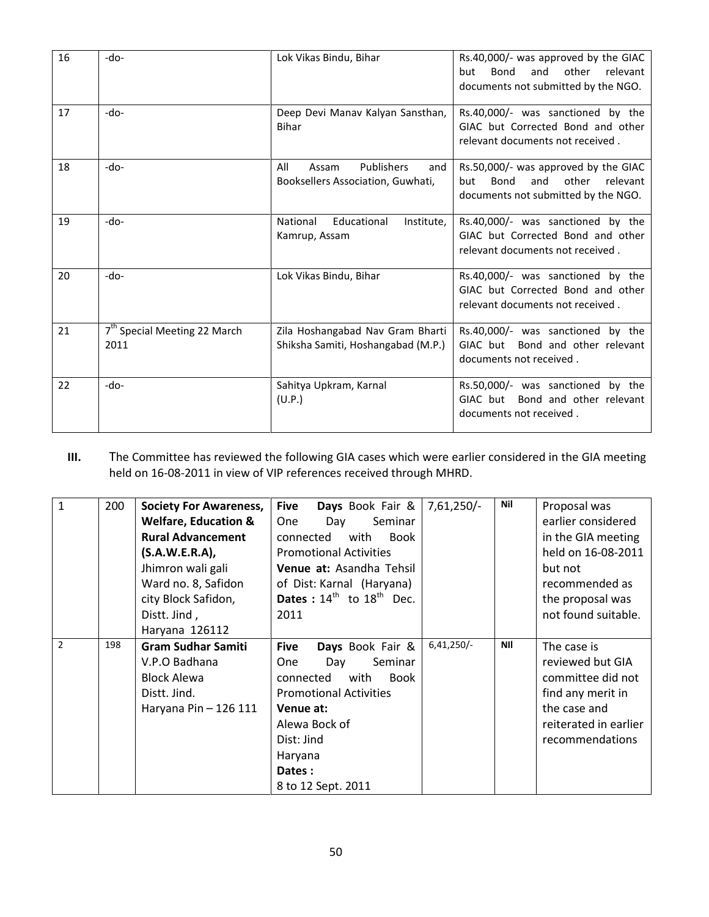| 16 | -do-                                             | Lok Vikas Bindu, Bihar                                                 | Rs.40,000/- was approved by the GIAC<br>other<br>Bond<br>and<br>relevant<br>but<br>documents not submitted by the NGO. |
|----|--------------------------------------------------|------------------------------------------------------------------------|------------------------------------------------------------------------------------------------------------------------|
| 17 | $-do-$                                           | Deep Devi Manav Kalyan Sansthan,<br><b>Bihar</b>                       | Rs.40,000/- was sanctioned by the<br>GIAC but Corrected Bond and other<br>relevant documents not received.             |
| 18 | $-do-$                                           | Publishers<br>All<br>Assam<br>and<br>Booksellers Association, Guwhati, | Rs.50,000/- was approved by the GIAC<br>other relevant<br>Bond<br>and<br>but<br>documents not submitted by the NGO.    |
| 19 | -do-                                             | Educational<br>National<br>Institute,<br>Kamrup, Assam                 | Rs.40,000/- was sanctioned by the<br>GIAC but Corrected Bond and other<br>relevant documents not received.             |
| 20 | $-do-$                                           | Lok Vikas Bindu, Bihar                                                 | Rs.40,000/- was sanctioned by the<br>GIAC but Corrected Bond and other<br>relevant documents not received.             |
| 21 | 7 <sup>th</sup> Special Meeting 22 March<br>2011 | Zila Hoshangabad Nav Gram Bharti<br>Shiksha Samiti, Hoshangabad (M.P.) | Rs.40,000/- was sanctioned by the<br>GIAC but Bond and other relevant<br>documents not received.                       |
| 22 | $-do-$                                           | Sahitya Upkram, Karnal<br>(U.P.)                                       | Rs.50,000/- was sanctioned by the<br>GIAC but Bond and other relevant<br>documents not received.                       |

III. The Committee has reviewed the following GIA cases which were earlier considered in the GIA meeting held on 16-08-2011 in view of VIP references received through MHRD.

| $\mathbf{1}$   | 200 | <b>Society For Awareness,</b><br><b>Welfare, Education &amp;</b><br><b>Rural Advancement</b><br>(S.A.W.E.R.A)<br>Jhimron wali gali<br>Ward no. 8, Safidon<br>city Block Safidon,<br>Distt. Jind, | Days Book Fair &<br><b>Five</b><br>Seminar<br><b>One</b><br>Day<br>with<br>Book<br>connected<br><b>Promotional Activities</b><br>Venue at: Asandha Tehsil<br>of Dist: Karnal (Haryana)<br><b>Dates</b> : $14^{th}$ to $18^{th}$ Dec.<br>2011 | $7,61,250/-$ | Nil        | Proposal was<br>earlier considered<br>in the GIA meeting<br>held on 16-08-2011<br>but not<br>recommended as<br>the proposal was<br>not found suitable. |
|----------------|-----|--------------------------------------------------------------------------------------------------------------------------------------------------------------------------------------------------|----------------------------------------------------------------------------------------------------------------------------------------------------------------------------------------------------------------------------------------------|--------------|------------|--------------------------------------------------------------------------------------------------------------------------------------------------------|
|                |     | Haryana 126112                                                                                                                                                                                   |                                                                                                                                                                                                                                              |              |            |                                                                                                                                                        |
| $\overline{2}$ | 198 | <b>Gram Sudhar Samiti</b><br>V.P.O Badhana<br><b>Block Alewa</b><br>Distt. Jind.<br>Haryana Pin - 126 111                                                                                        | Days Book Fair &<br><b>Five</b><br>Seminar<br><b>One</b><br>Day<br>with<br>connected<br><b>Book</b><br><b>Promotional Activities</b><br>Venue at:<br>Alewa Bock of<br>Dist: Jind<br>Haryana<br>Dates:<br>8 to 12 Sept. 2011                  | $6,41,250/-$ | <b>NII</b> | The case is<br>reviewed but GIA<br>committee did not<br>find any merit in<br>the case and<br>reiterated in earlier<br>recommendations                  |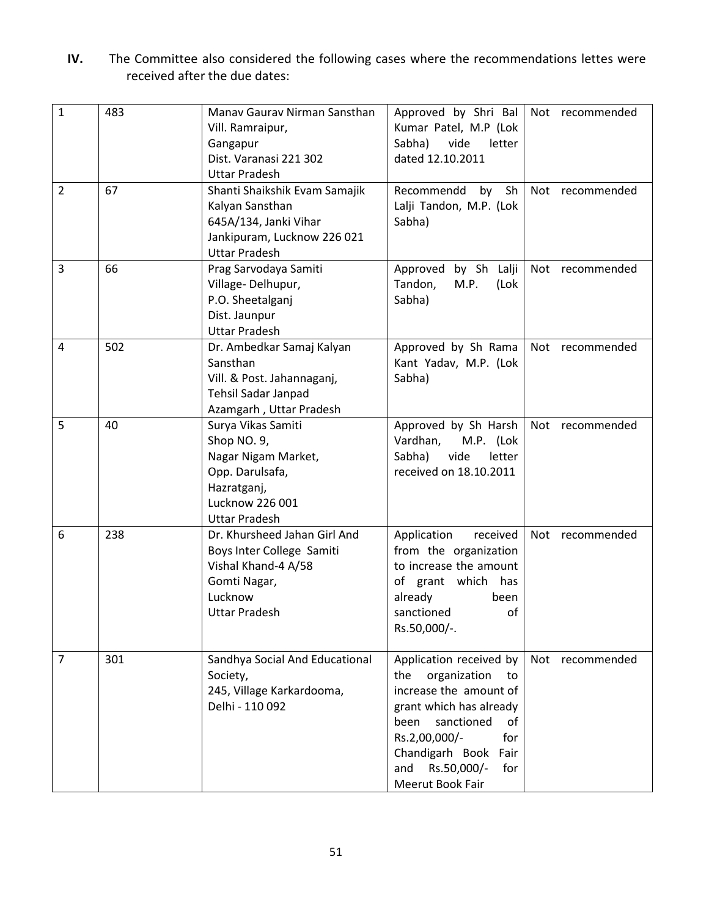IV. The Committee also considered the following cases where the recommendations lettes were received after the due dates:

| $\mathbf{1}$   | 483 | Manav Gaurav Nirman Sansthan   | Approved by Shri Bal                          | Not recommended |
|----------------|-----|--------------------------------|-----------------------------------------------|-----------------|
|                |     | Vill. Ramraipur,               | Kumar Patel, M.P (Lok                         |                 |
|                |     | Gangapur                       | Sabha)<br>vide<br>letter                      |                 |
|                |     | Dist. Varanasi 221 302         | dated 12.10.2011                              |                 |
|                |     | <b>Uttar Pradesh</b>           |                                               |                 |
| $\overline{2}$ | 67  | Shanti Shaikshik Evam Samajik  | Recommendd<br>Sh<br>by                        | Not recommended |
|                |     | Kalyan Sansthan                | Lalji Tandon, M.P. (Lok                       |                 |
|                |     | 645A/134, Janki Vihar          | Sabha)                                        |                 |
|                |     | Jankipuram, Lucknow 226 021    |                                               |                 |
|                |     | <b>Uttar Pradesh</b>           |                                               |                 |
| 3              | 66  | Prag Sarvodaya Samiti          | Approved by Sh Lalji                          | Not recommended |
|                |     | Village-Delhupur,              | Tandon,<br>M.P.<br>(Lok                       |                 |
|                |     | P.O. Sheetalganj               | Sabha)                                        |                 |
|                |     | Dist. Jaunpur                  |                                               |                 |
|                |     | <b>Uttar Pradesh</b>           |                                               |                 |
| 4              | 502 | Dr. Ambedkar Samaj Kalyan      | Approved by Sh Rama                           | Not recommended |
|                |     | Sansthan                       | Kant Yadav, M.P. (Lok                         |                 |
|                |     | Vill. & Post. Jahannaganj,     | Sabha)                                        |                 |
|                |     | <b>Tehsil Sadar Janpad</b>     |                                               |                 |
|                |     | Azamgarh, Uttar Pradesh        |                                               |                 |
| 5              | 40  | Surya Vikas Samiti             | Approved by Sh Harsh                          | Not recommended |
|                |     | Shop NO. 9,                    | Vardhan,<br>M.P. (Lok                         |                 |
|                |     | Nagar Nigam Market,            | Sabha)<br>vide<br>letter                      |                 |
|                |     | Opp. Darulsafa,                | received on 18.10.2011                        |                 |
|                |     | Hazratganj,                    |                                               |                 |
|                |     | Lucknow 226 001                |                                               |                 |
|                |     | <b>Uttar Pradesh</b>           |                                               |                 |
| 6              | 238 | Dr. Khursheed Jahan Girl And   | Application<br>received                       | Not recommended |
|                |     | Boys Inter College Samiti      | from the organization                         |                 |
|                |     | Vishal Khand-4 A/58            | to increase the amount                        |                 |
|                |     | Gomti Nagar,                   | of grant which has                            |                 |
|                |     | Lucknow                        | already<br>been                               |                 |
|                |     | <b>Uttar Pradesh</b>           | sanctioned<br>оf                              |                 |
|                |     |                                | Rs.50,000/-.                                  |                 |
|                |     |                                |                                               |                 |
| 7              | 301 | Sandhya Social And Educational | Application received by                       | Not recommended |
|                |     | Society,                       | organization<br>the<br>to                     |                 |
|                |     | 245, Village Karkardooma,      | increase the amount of                        |                 |
|                |     | Delhi - 110 092                | grant which has already                       |                 |
|                |     |                                | sanctioned<br>been<br>of                      |                 |
|                |     |                                | Rs.2,00,000/-<br>for                          |                 |
|                |     |                                | Chandigarh Book Fair                          |                 |
|                |     |                                |                                               |                 |
|                |     |                                |                                               |                 |
|                |     |                                | Rs.50,000/-<br>and<br>for<br>Meerut Book Fair |                 |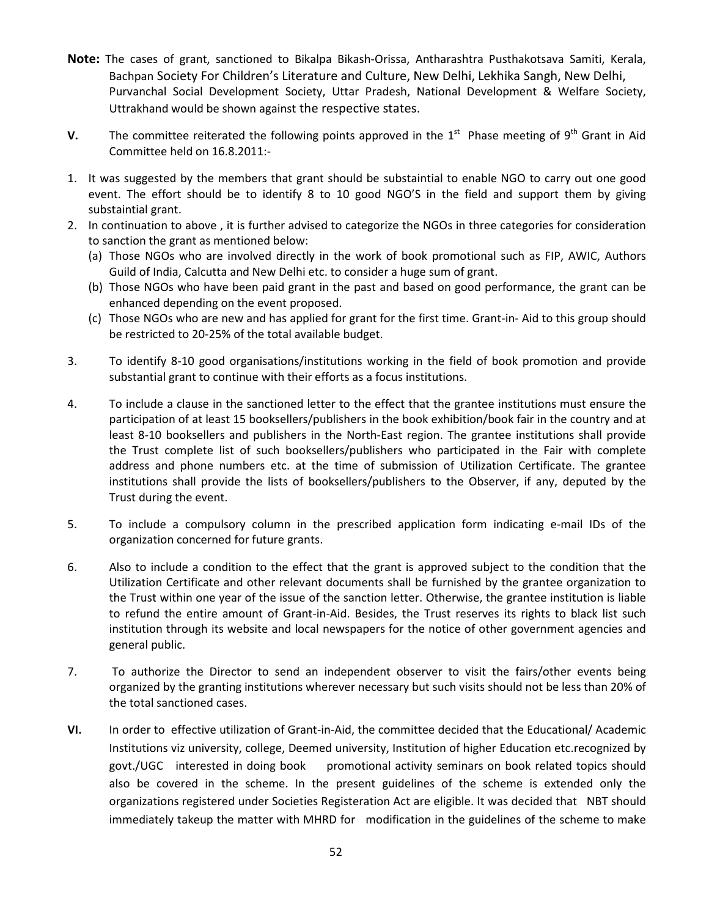- Note: The cases of grant, sanctioned to Bikalpa Bikash-Orissa, Antharashtra Pusthakotsava Samiti, Kerala, Bachpan Society For Children's Literature and Culture, New Delhi, Lekhika Sangh, New Delhi, Purvanchal Social Development Society, Uttar Pradesh, National Development & Welfare Society, Uttrakhand would be shown against the respective states.
- V. The committee reiterated the following points approved in the  $1<sup>st</sup>$  Phase meeting of 9<sup>th</sup> Grant in Aid Committee held on 16.8.2011:-
- 1. It was suggested by the members that grant should be substaintial to enable NGO to carry out one good event. The effort should be to identify 8 to 10 good NGO'S in the field and support them by giving substaintial grant.
- 2. In continuation to above , it is further advised to categorize the NGOs in three categories for consideration to sanction the grant as mentioned below:
	- (a) Those NGOs who are involved directly in the work of book promotional such as FIP, AWIC, Authors Guild of India, Calcutta and New Delhi etc. to consider a huge sum of grant.
	- (b) Those NGOs who have been paid grant in the past and based on good performance, the grant can be enhanced depending on the event proposed.
	- (c) Those NGOs who are new and has applied for grant for the first time. Grant-in- Aid to this group should be restricted to 20-25% of the total available budget.
- 3. To identify 8-10 good organisations/institutions working in the field of book promotion and provide substantial grant to continue with their efforts as a focus institutions.
- 4. To include a clause in the sanctioned letter to the effect that the grantee institutions must ensure the participation of at least 15 booksellers/publishers in the book exhibition/book fair in the country and at least 8-10 booksellers and publishers in the North-East region. The grantee institutions shall provide the Trust complete list of such booksellers/publishers who participated in the Fair with complete address and phone numbers etc. at the time of submission of Utilization Certificate. The grantee institutions shall provide the lists of booksellers/publishers to the Observer, if any, deputed by the Trust during the event.
- 5. To include a compulsory column in the prescribed application form indicating e-mail IDs of the organization concerned for future grants.
- 6. Also to include a condition to the effect that the grant is approved subject to the condition that the Utilization Certificate and other relevant documents shall be furnished by the grantee organization to the Trust within one year of the issue of the sanction letter. Otherwise, the grantee institution is liable to refund the entire amount of Grant-in-Aid. Besides, the Trust reserves its rights to black list such institution through its website and local newspapers for the notice of other government agencies and general public.
- 7. To authorize the Director to send an independent observer to visit the fairs/other events being organized by the granting institutions wherever necessary but such visits should not be less than 20% of the total sanctioned cases.
- VI. In order to effective utilization of Grant-in-Aid, the committee decided that the Educational/ Academic Institutions viz university, college, Deemed university, Institution of higher Education etc.recognized by govt./UGC interested in doing book promotional activity seminars on book related topics should also be covered in the scheme. In the present guidelines of the scheme is extended only the organizations registered under Societies Registeration Act are eligible. It was decided that NBT should immediately takeup the matter with MHRD for modification in the guidelines of the scheme to make